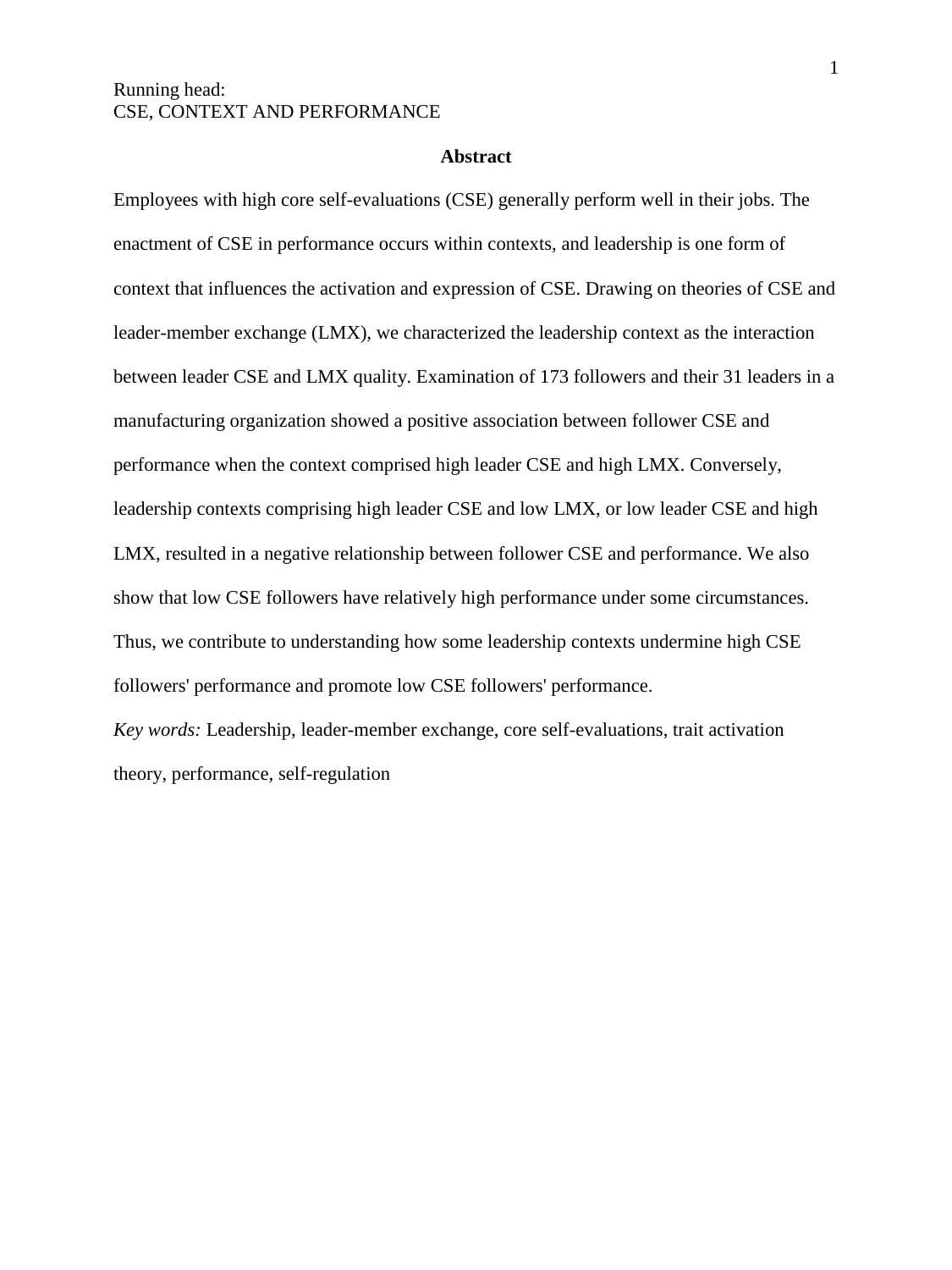#### **Abstract**

Employees with high core self-evaluations (CSE) generally perform well in their jobs. The enactment of CSE in performance occurs within contexts, and leadership is one form of context that influences the activation and expression of CSE. Drawing on theories of CSE and leader-member exchange (LMX), we characterized the leadership context as the interaction between leader CSE and LMX quality. Examination of 173 followers and their 31 leaders in a manufacturing organization showed a positive association between follower CSE and performance when the context comprised high leader CSE and high LMX. Conversely, leadership contexts comprising high leader CSE and low LMX, or low leader CSE and high LMX, resulted in a negative relationship between follower CSE and performance. We also show that low CSE followers have relatively high performance under some circumstances. Thus, we contribute to understanding how some leadership contexts undermine high CSE followers' performance and promote low CSE followers' performance.

*Key words:* Leadership, leader-member exchange, core self-evaluations, trait activation theory, performance, self-regulation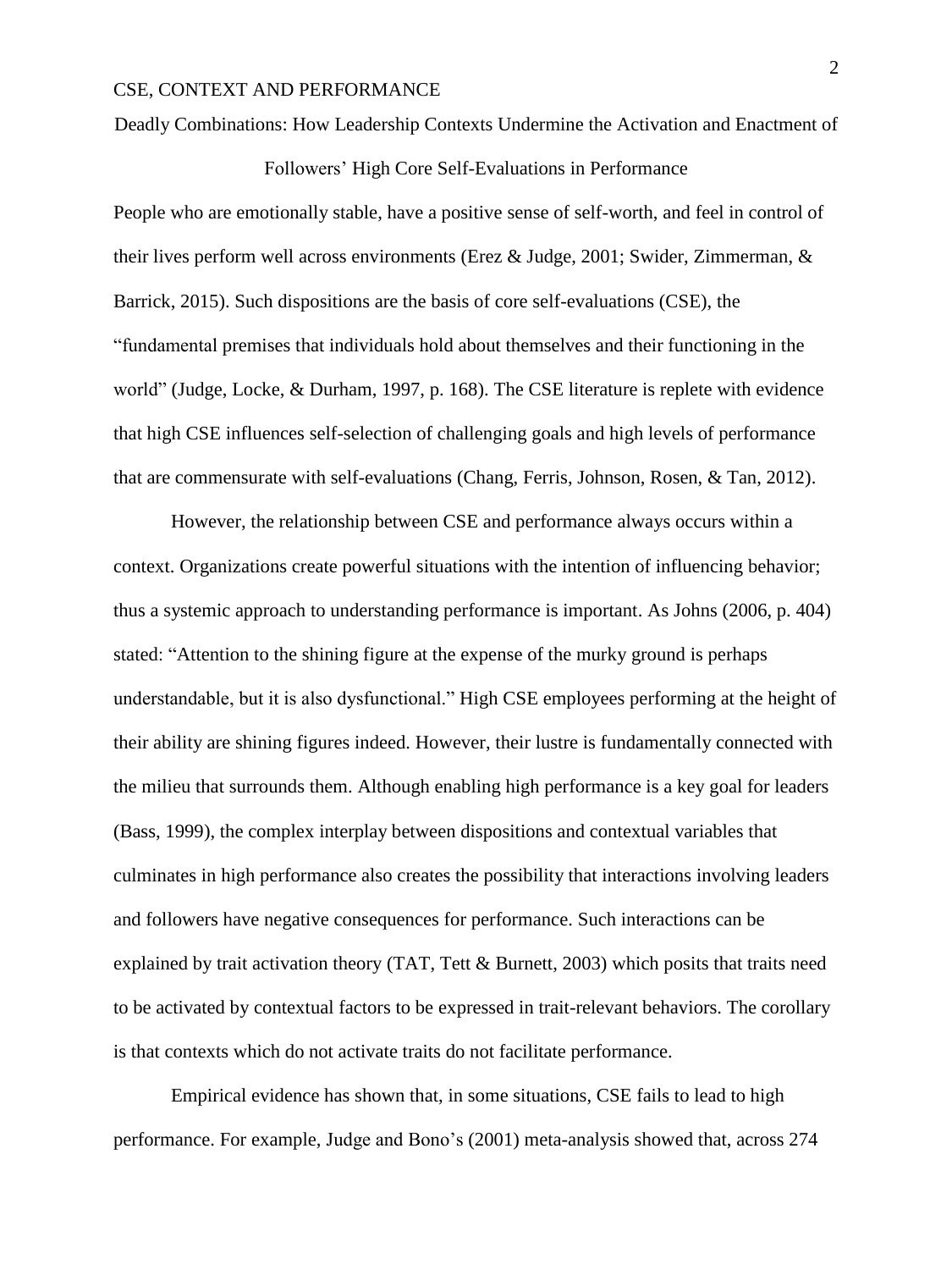#### Deadly Combinations: How Leadership Contexts Undermine the Activation and Enactment of

Followers' High Core Self-Evaluations in Performance

People who are emotionally stable, have a positive sense of self-worth, and feel in control of their lives perform well across environments (Erez & Judge, 2001; Swider, Zimmerman, & Barrick, 2015). Such dispositions are the basis of core self-evaluations (CSE), the "fundamental premises that individuals hold about themselves and their functioning in the world" (Judge, Locke, & Durham, 1997, p. 168). The CSE literature is replete with evidence that high CSE influences self-selection of challenging goals and high levels of performance that are commensurate with self-evaluations (Chang, Ferris, Johnson, Rosen, & Tan, 2012).

However, the relationship between CSE and performance always occurs within a context. Organizations create powerful situations with the intention of influencing behavior; thus a systemic approach to understanding performance is important. As Johns (2006, p. 404) stated: "Attention to the shining figure at the expense of the murky ground is perhaps understandable, but it is also dysfunctional." High CSE employees performing at the height of their ability are shining figures indeed. However, their lustre is fundamentally connected with the milieu that surrounds them. Although enabling high performance is a key goal for leaders (Bass, 1999), the complex interplay between dispositions and contextual variables that culminates in high performance also creates the possibility that interactions involving leaders and followers have negative consequences for performance. Such interactions can be explained by trait activation theory (TAT, Tett & Burnett, 2003) which posits that traits need to be activated by contextual factors to be expressed in trait-relevant behaviors. The corollary is that contexts which do not activate traits do not facilitate performance.

Empirical evidence has shown that, in some situations, CSE fails to lead to high performance. For example, Judge and Bono's (2001) meta-analysis showed that, across 274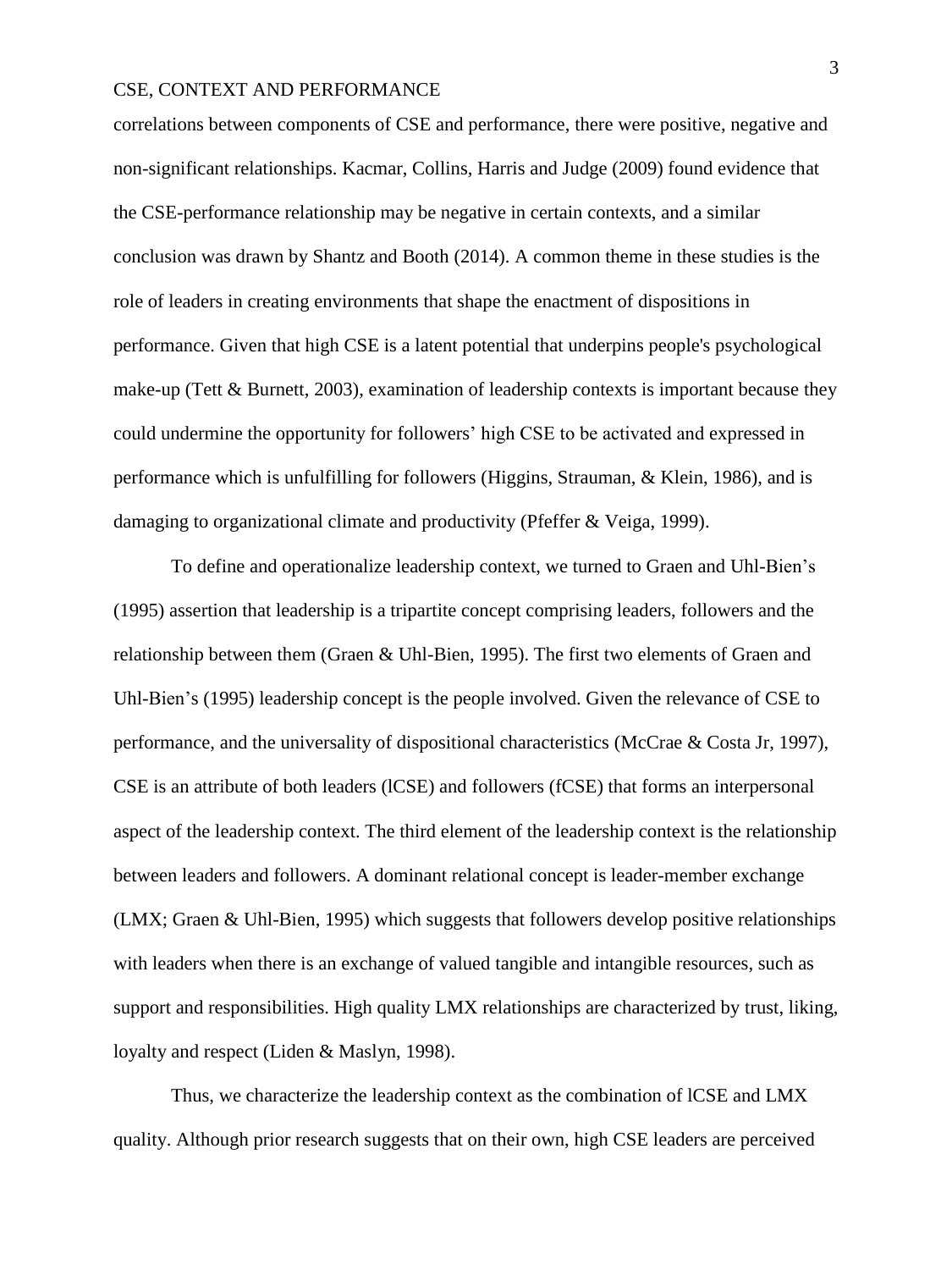correlations between components of CSE and performance, there were positive, negative and non-significant relationships. Kacmar, Collins, Harris and Judge (2009) found evidence that the CSE-performance relationship may be negative in certain contexts, and a similar conclusion was drawn by Shantz and Booth (2014). A common theme in these studies is the role of leaders in creating environments that shape the enactment of dispositions in performance. Given that high CSE is a latent potential that underpins people's psychological make-up (Tett & Burnett, 2003), examination of leadership contexts is important because they could undermine the opportunity for followers' high CSE to be activated and expressed in performance which is unfulfilling for followers (Higgins, Strauman, & Klein, 1986), and is damaging to organizational climate and productivity (Pfeffer & Veiga, 1999).

To define and operationalize leadership context, we turned to Graen and Uhl-Bien's (1995) assertion that leadership is a tripartite concept comprising leaders, followers and the relationship between them (Graen & Uhl-Bien, 1995). The first two elements of Graen and Uhl-Bien's (1995) leadership concept is the people involved. Given the relevance of CSE to performance, and the universality of dispositional characteristics (McCrae & Costa Jr, 1997), CSE is an attribute of both leaders (lCSE) and followers (fCSE) that forms an interpersonal aspect of the leadership context. The third element of the leadership context is the relationship between leaders and followers. A dominant relational concept is leader-member exchange (LMX; Graen & Uhl-Bien, 1995) which suggests that followers develop positive relationships with leaders when there is an exchange of valued tangible and intangible resources, such as support and responsibilities. High quality LMX relationships are characterized by trust, liking, loyalty and respect (Liden & Maslyn, 1998).

Thus, we characterize the leadership context as the combination of lCSE and LMX quality. Although prior research suggests that on their own, high CSE leaders are perceived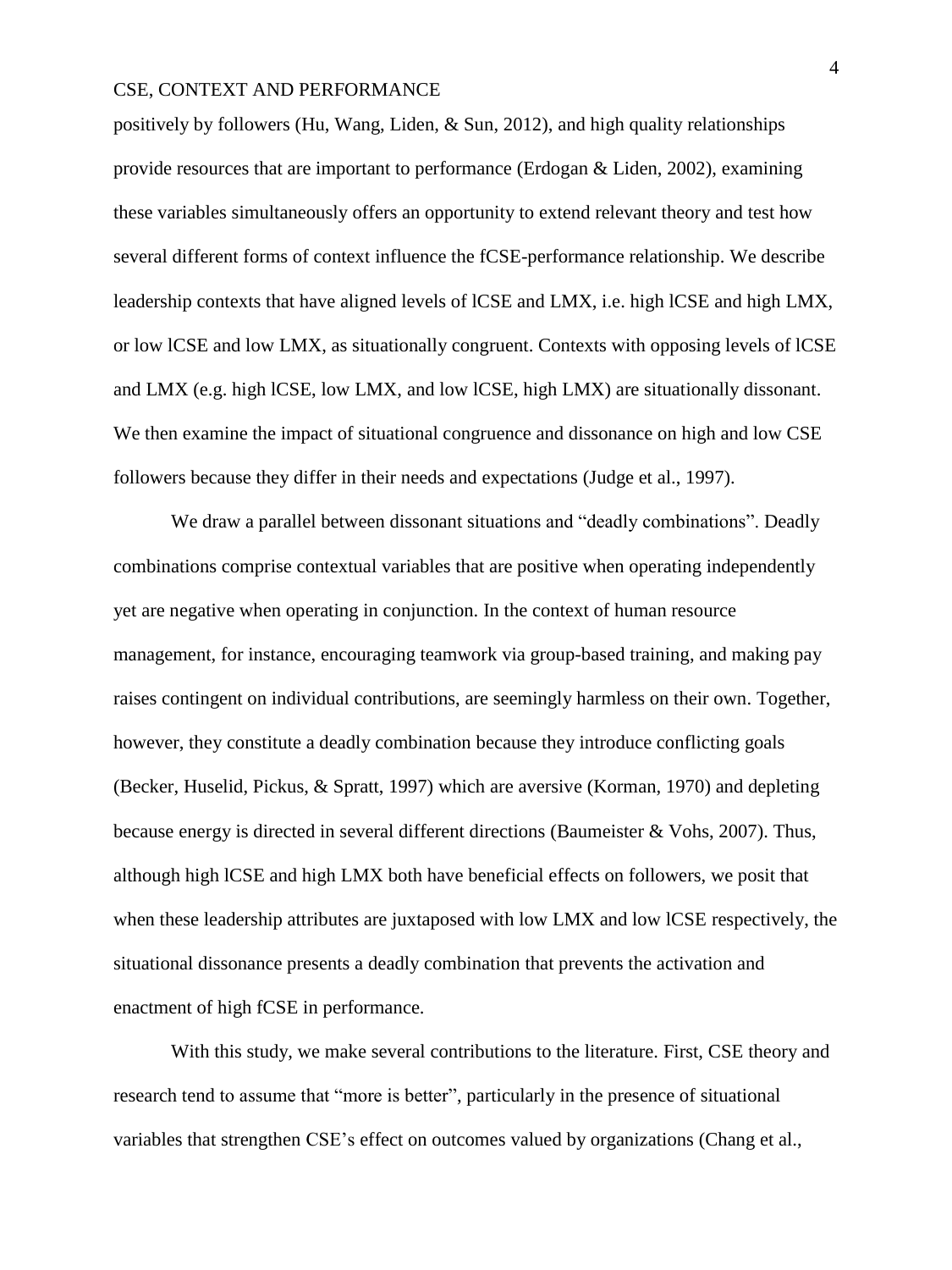positively by followers (Hu, Wang, Liden, & Sun, 2012), and high quality relationships provide resources that are important to performance (Erdogan & Liden, 2002), examining these variables simultaneously offers an opportunity to extend relevant theory and test how several different forms of context influence the fCSE-performance relationship. We describe leadership contexts that have aligned levels of lCSE and LMX, i.e. high lCSE and high LMX, or low lCSE and low LMX, as situationally congruent. Contexts with opposing levels of lCSE and LMX (e.g. high lCSE, low LMX, and low lCSE, high LMX) are situationally dissonant. We then examine the impact of situational congruence and dissonance on high and low CSE followers because they differ in their needs and expectations (Judge et al., 1997).

We draw a parallel between dissonant situations and "deadly combinations". Deadly combinations comprise contextual variables that are positive when operating independently yet are negative when operating in conjunction. In the context of human resource management, for instance, encouraging teamwork via group-based training, and making pay raises contingent on individual contributions, are seemingly harmless on their own. Together, however, they constitute a deadly combination because they introduce conflicting goals (Becker, Huselid, Pickus, & Spratt, 1997) which are aversive (Korman, 1970) and depleting because energy is directed in several different directions (Baumeister & Vohs, 2007). Thus, although high lCSE and high LMX both have beneficial effects on followers, we posit that when these leadership attributes are juxtaposed with low LMX and low lCSE respectively, the situational dissonance presents a deadly combination that prevents the activation and enactment of high fCSE in performance.

With this study, we make several contributions to the literature. First, CSE theory and research tend to assume that "more is better", particularly in the presence of situational variables that strengthen CSE's effect on outcomes valued by organizations (Chang et al.,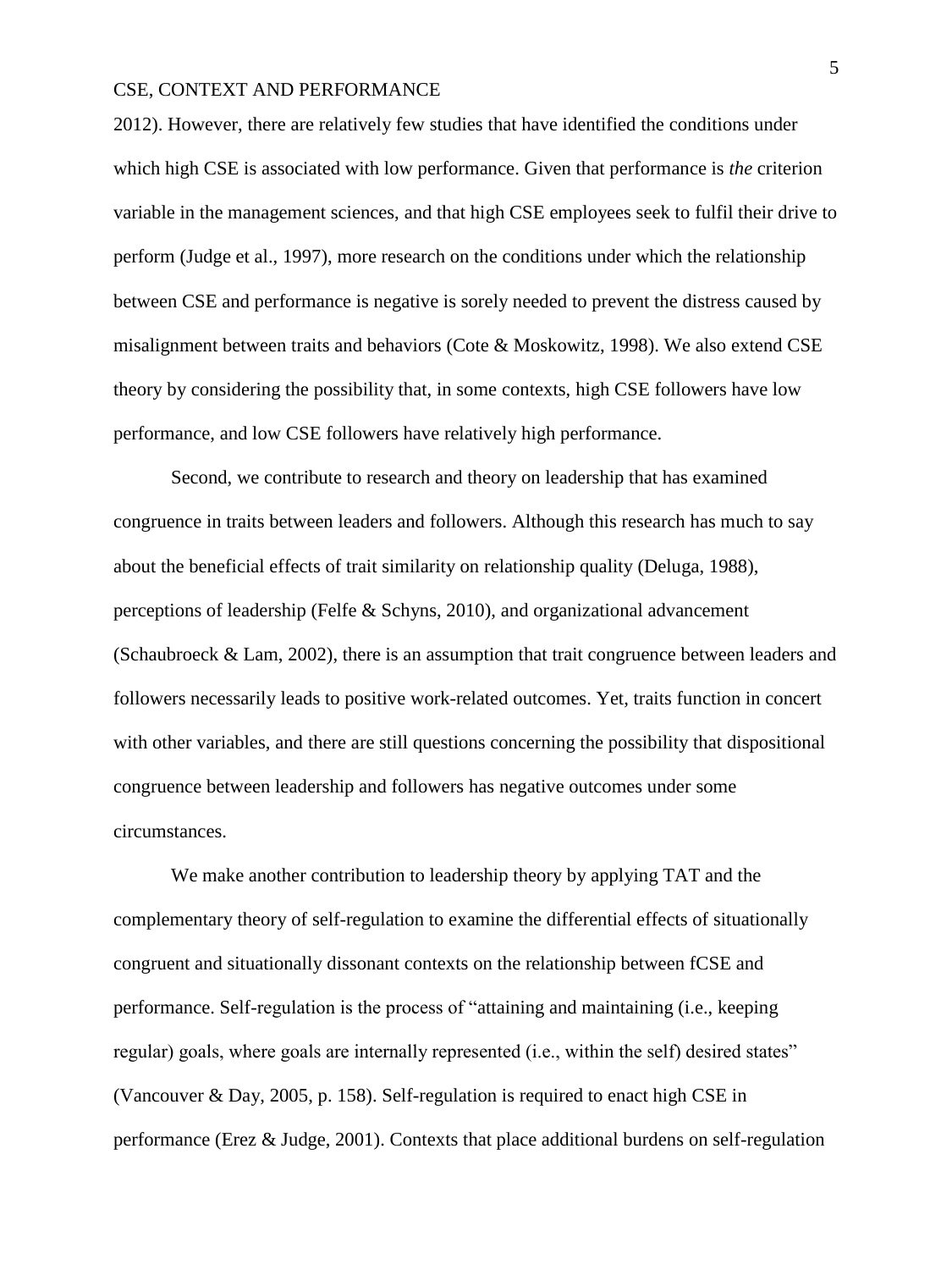2012). However, there are relatively few studies that have identified the conditions under which high CSE is associated with low performance. Given that performance is *the* criterion variable in the management sciences, and that high CSE employees seek to fulfil their drive to perform (Judge et al., 1997), more research on the conditions under which the relationship between CSE and performance is negative is sorely needed to prevent the distress caused by misalignment between traits and behaviors (Cote & Moskowitz, 1998). We also extend CSE theory by considering the possibility that, in some contexts, high CSE followers have low performance, and low CSE followers have relatively high performance.

Second, we contribute to research and theory on leadership that has examined congruence in traits between leaders and followers. Although this research has much to say about the beneficial effects of trait similarity on relationship quality (Deluga, 1988), perceptions of leadership (Felfe & Schyns, 2010), and organizational advancement (Schaubroeck & Lam, 2002), there is an assumption that trait congruence between leaders and followers necessarily leads to positive work-related outcomes. Yet, traits function in concert with other variables, and there are still questions concerning the possibility that dispositional congruence between leadership and followers has negative outcomes under some circumstances.

We make another contribution to leadership theory by applying TAT and the complementary theory of self-regulation to examine the differential effects of situationally congruent and situationally dissonant contexts on the relationship between fCSE and performance. Self-regulation is the process of "attaining and maintaining (i.e., keeping regular) goals, where goals are internally represented (i.e., within the self) desired states" (Vancouver & Day, 2005, p. 158). Self-regulation is required to enact high CSE in performance (Erez & Judge, 2001). Contexts that place additional burdens on self-regulation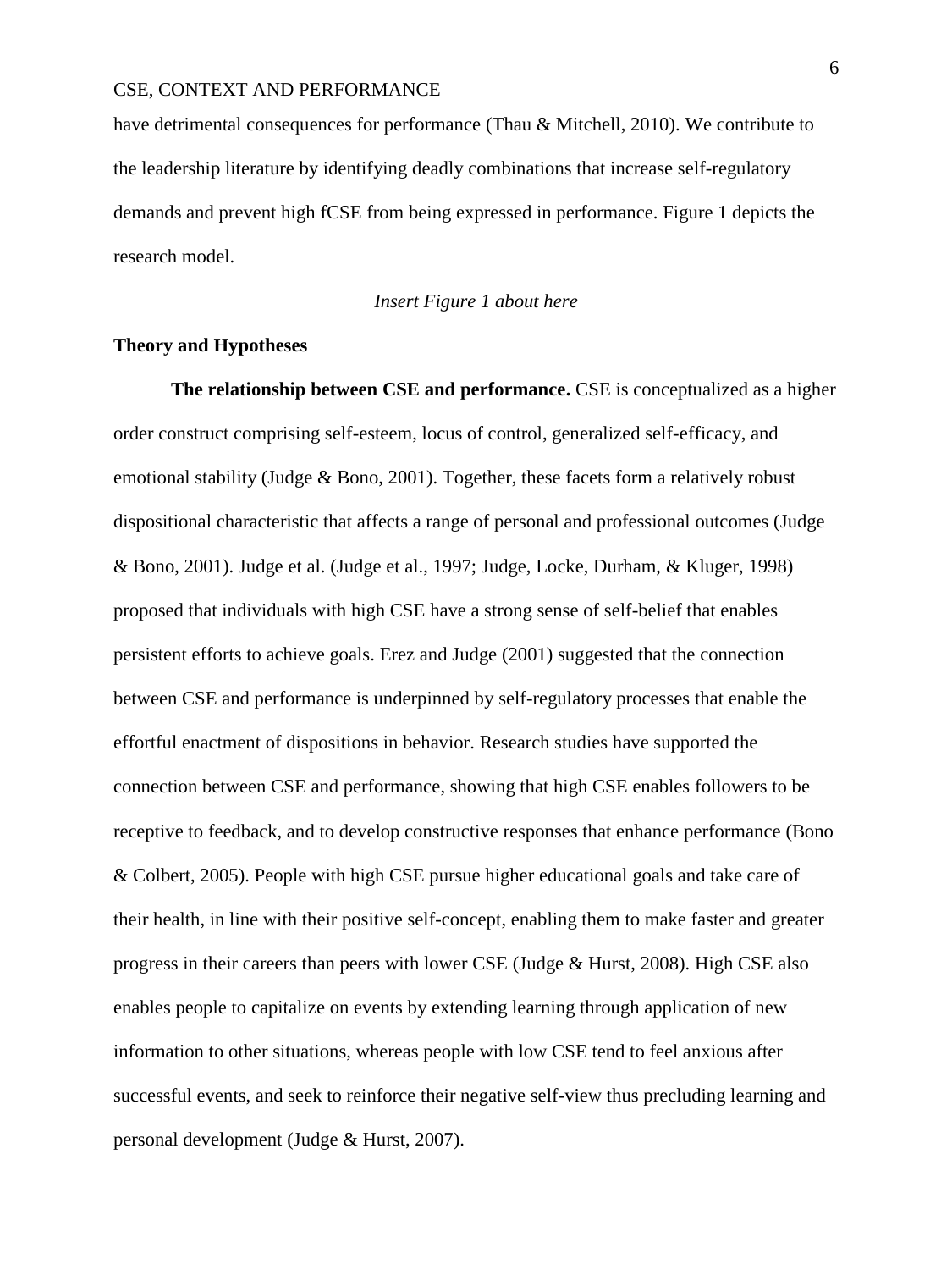have detrimental consequences for performance (Thau & Mitchell, 2010). We contribute to the leadership literature by identifying deadly combinations that increase self-regulatory demands and prevent high fCSE from being expressed in performance. Figure 1 depicts the research model.

## *Insert Figure 1 about here*

## **Theory and Hypotheses**

**The relationship between CSE and performance.** CSE is conceptualized as a higher order construct comprising self-esteem, locus of control, generalized self-efficacy, and emotional stability (Judge & Bono, 2001). Together, these facets form a relatively robust dispositional characteristic that affects a range of personal and professional outcomes (Judge & Bono, 2001). Judge et al. (Judge et al., 1997; Judge, Locke, Durham, & Kluger, 1998) proposed that individuals with high CSE have a strong sense of self-belief that enables persistent efforts to achieve goals. Erez and Judge (2001) suggested that the connection between CSE and performance is underpinned by self-regulatory processes that enable the effortful enactment of dispositions in behavior. Research studies have supported the connection between CSE and performance, showing that high CSE enables followers to be receptive to feedback, and to develop constructive responses that enhance performance (Bono & Colbert, 2005). People with high CSE pursue higher educational goals and take care of their health, in line with their positive self-concept, enabling them to make faster and greater progress in their careers than peers with lower CSE (Judge & Hurst, 2008). High CSE also enables people to capitalize on events by extending learning through application of new information to other situations, whereas people with low CSE tend to feel anxious after successful events, and seek to reinforce their negative self-view thus precluding learning and personal development (Judge & Hurst, 2007).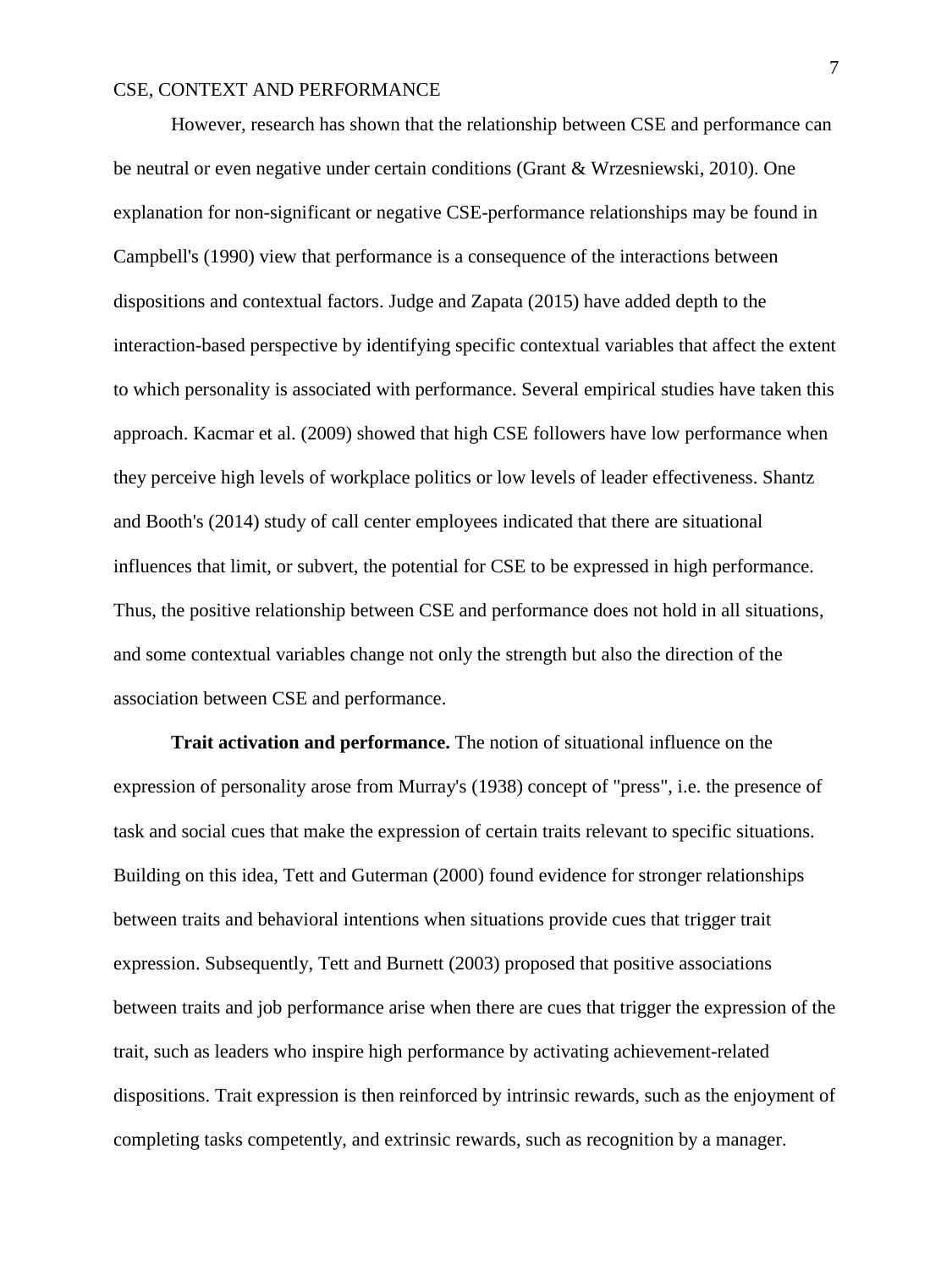However, research has shown that the relationship between CSE and performance can be neutral or even negative under certain conditions (Grant & Wrzesniewski, 2010). One explanation for non-significant or negative CSE-performance relationships may be found in Campbell's (1990) view that performance is a consequence of the interactions between dispositions and contextual factors. Judge and Zapata (2015) have added depth to the interaction-based perspective by identifying specific contextual variables that affect the extent to which personality is associated with performance. Several empirical studies have taken this approach. Kacmar et al. (2009) showed that high CSE followers have low performance when they perceive high levels of workplace politics or low levels of leader effectiveness. Shantz and Booth's (2014) study of call center employees indicated that there are situational influences that limit, or subvert, the potential for CSE to be expressed in high performance. Thus, the positive relationship between CSE and performance does not hold in all situations, and some contextual variables change not only the strength but also the direction of the association between CSE and performance.

**Trait activation and performance.** The notion of situational influence on the expression of personality arose from Murray's (1938) concept of "press", i.e. the presence of task and social cues that make the expression of certain traits relevant to specific situations. Building on this idea, Tett and Guterman (2000) found evidence for stronger relationships between traits and behavioral intentions when situations provide cues that trigger trait expression. Subsequently, Tett and Burnett (2003) proposed that positive associations between traits and job performance arise when there are cues that trigger the expression of the trait, such as leaders who inspire high performance by activating achievement-related dispositions. Trait expression is then reinforced by intrinsic rewards, such as the enjoyment of completing tasks competently, and extrinsic rewards, such as recognition by a manager.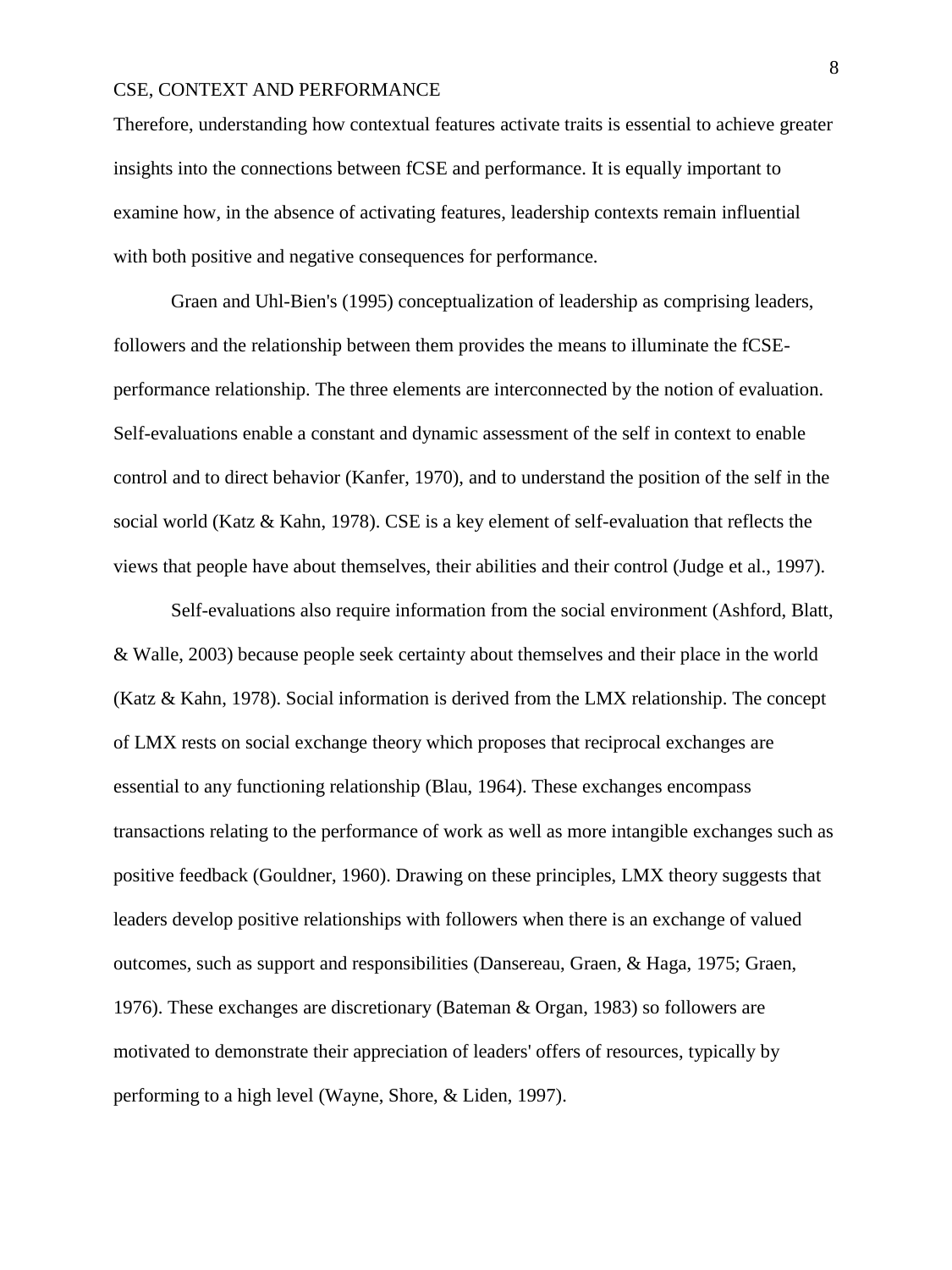Therefore, understanding how contextual features activate traits is essential to achieve greater insights into the connections between fCSE and performance. It is equally important to examine how, in the absence of activating features, leadership contexts remain influential with both positive and negative consequences for performance.

Graen and Uhl-Bien's (1995) conceptualization of leadership as comprising leaders, followers and the relationship between them provides the means to illuminate the fCSEperformance relationship. The three elements are interconnected by the notion of evaluation. Self-evaluations enable a constant and dynamic assessment of the self in context to enable control and to direct behavior (Kanfer, 1970), and to understand the position of the self in the social world (Katz & Kahn, 1978). CSE is a key element of self-evaluation that reflects the views that people have about themselves, their abilities and their control (Judge et al., 1997).

Self-evaluations also require information from the social environment (Ashford, Blatt, & Walle, 2003) because people seek certainty about themselves and their place in the world (Katz & Kahn, 1978). Social information is derived from the LMX relationship. The concept of LMX rests on social exchange theory which proposes that reciprocal exchanges are essential to any functioning relationship (Blau, 1964). These exchanges encompass transactions relating to the performance of work as well as more intangible exchanges such as positive feedback (Gouldner, 1960). Drawing on these principles, LMX theory suggests that leaders develop positive relationships with followers when there is an exchange of valued outcomes, such as support and responsibilities (Dansereau, Graen, & Haga, 1975; Graen, 1976). These exchanges are discretionary (Bateman & Organ, 1983) so followers are motivated to demonstrate their appreciation of leaders' offers of resources, typically by performing to a high level (Wayne, Shore, & Liden, 1997).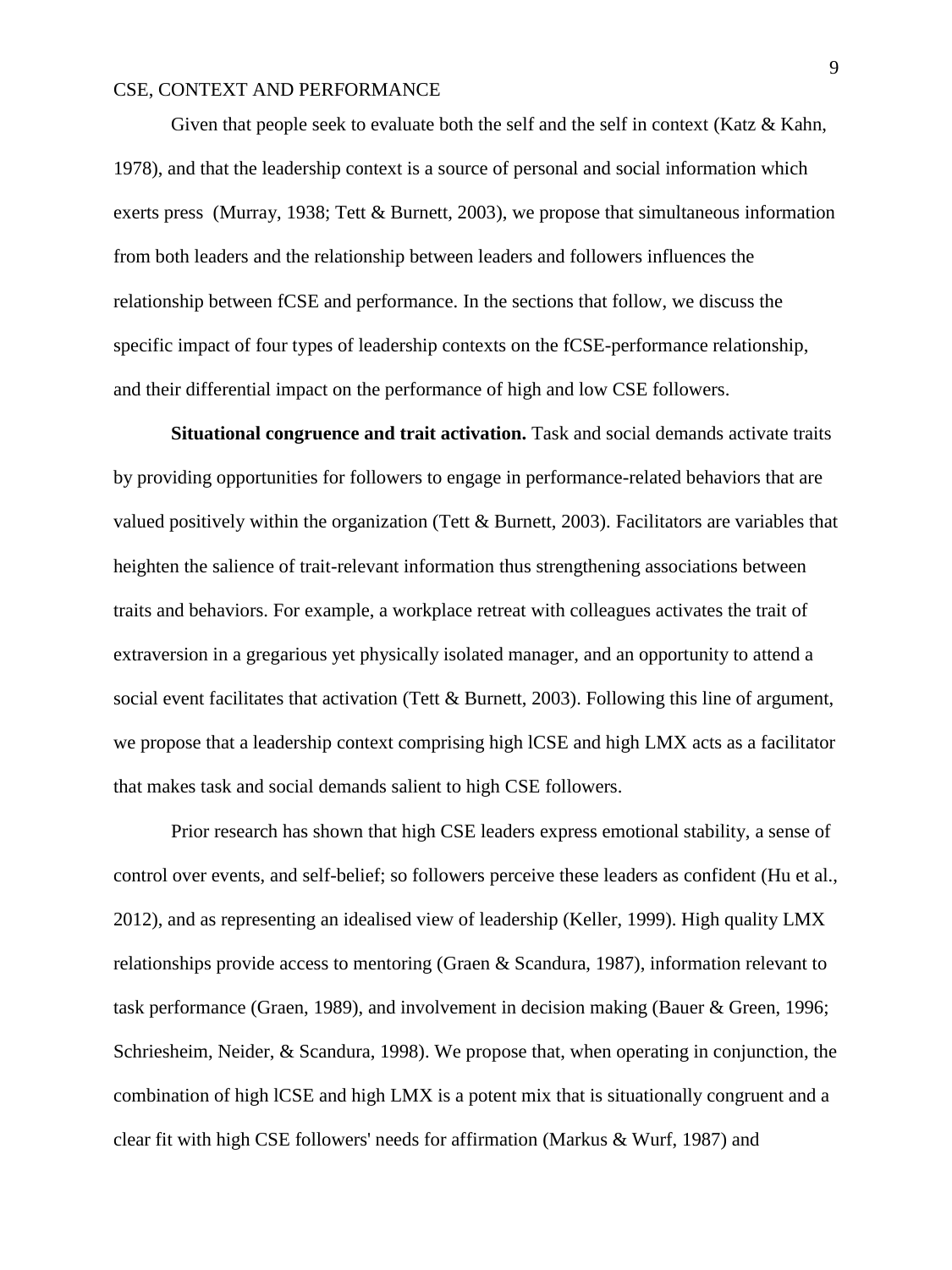Given that people seek to evaluate both the self and the self in context (Katz & Kahn, 1978), and that the leadership context is a source of personal and social information which exerts press (Murray, 1938; Tett & Burnett, 2003), we propose that simultaneous information from both leaders and the relationship between leaders and followers influences the relationship between fCSE and performance. In the sections that follow, we discuss the specific impact of four types of leadership contexts on the fCSE-performance relationship, and their differential impact on the performance of high and low CSE followers.

**Situational congruence and trait activation.** Task and social demands activate traits by providing opportunities for followers to engage in performance-related behaviors that are valued positively within the organization (Tett & Burnett, 2003). Facilitators are variables that heighten the salience of trait-relevant information thus strengthening associations between traits and behaviors. For example, a workplace retreat with colleagues activates the trait of extraversion in a gregarious yet physically isolated manager, and an opportunity to attend a social event facilitates that activation (Tett & Burnett, 2003). Following this line of argument, we propose that a leadership context comprising high lCSE and high LMX acts as a facilitator that makes task and social demands salient to high CSE followers.

Prior research has shown that high CSE leaders express emotional stability, a sense of control over events, and self-belief; so followers perceive these leaders as confident (Hu et al., 2012), and as representing an idealised view of leadership (Keller, 1999). High quality LMX relationships provide access to mentoring (Graen & Scandura, 1987), information relevant to task performance (Graen, 1989), and involvement in decision making (Bauer & Green, 1996; Schriesheim, Neider, & Scandura, 1998). We propose that, when operating in conjunction, the combination of high lCSE and high LMX is a potent mix that is situationally congruent and a clear fit with high CSE followers' needs for affirmation (Markus & Wurf, 1987) and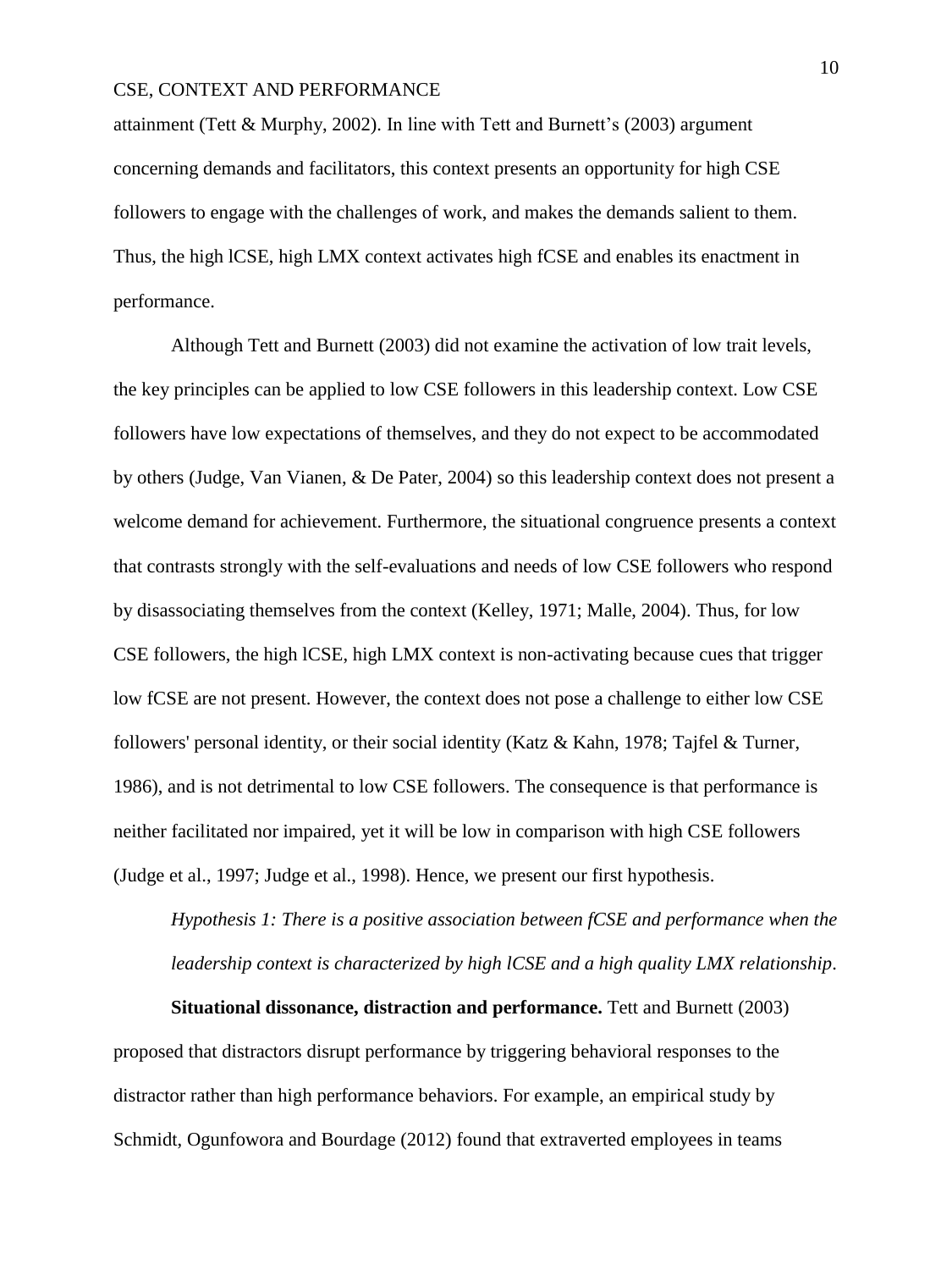attainment (Tett & Murphy, 2002). In line with Tett and Burnett's (2003) argument concerning demands and facilitators, this context presents an opportunity for high CSE followers to engage with the challenges of work, and makes the demands salient to them. Thus, the high lCSE, high LMX context activates high fCSE and enables its enactment in performance.

Although Tett and Burnett (2003) did not examine the activation of low trait levels, the key principles can be applied to low CSE followers in this leadership context. Low CSE followers have low expectations of themselves, and they do not expect to be accommodated by others (Judge, Van Vianen, & De Pater, 2004) so this leadership context does not present a welcome demand for achievement. Furthermore, the situational congruence presents a context that contrasts strongly with the self-evaluations and needs of low CSE followers who respond by disassociating themselves from the context (Kelley, 1971; Malle, 2004). Thus, for low CSE followers, the high lCSE, high LMX context is non-activating because cues that trigger low fCSE are not present. However, the context does not pose a challenge to either low CSE followers' personal identity, or their social identity (Katz & Kahn, 1978; Tajfel & Turner, 1986), and is not detrimental to low CSE followers. The consequence is that performance is neither facilitated nor impaired, yet it will be low in comparison with high CSE followers (Judge et al., 1997; Judge et al., 1998). Hence, we present our first hypothesis.

*Hypothesis 1: There is a positive association between fCSE and performance when the leadership context is characterized by high lCSE and a high quality LMX relationship*.

**Situational dissonance, distraction and performance.** Tett and Burnett (2003) proposed that distractors disrupt performance by triggering behavioral responses to the distractor rather than high performance behaviors. For example, an empirical study by Schmidt, Ogunfowora and Bourdage (2012) found that extraverted employees in teams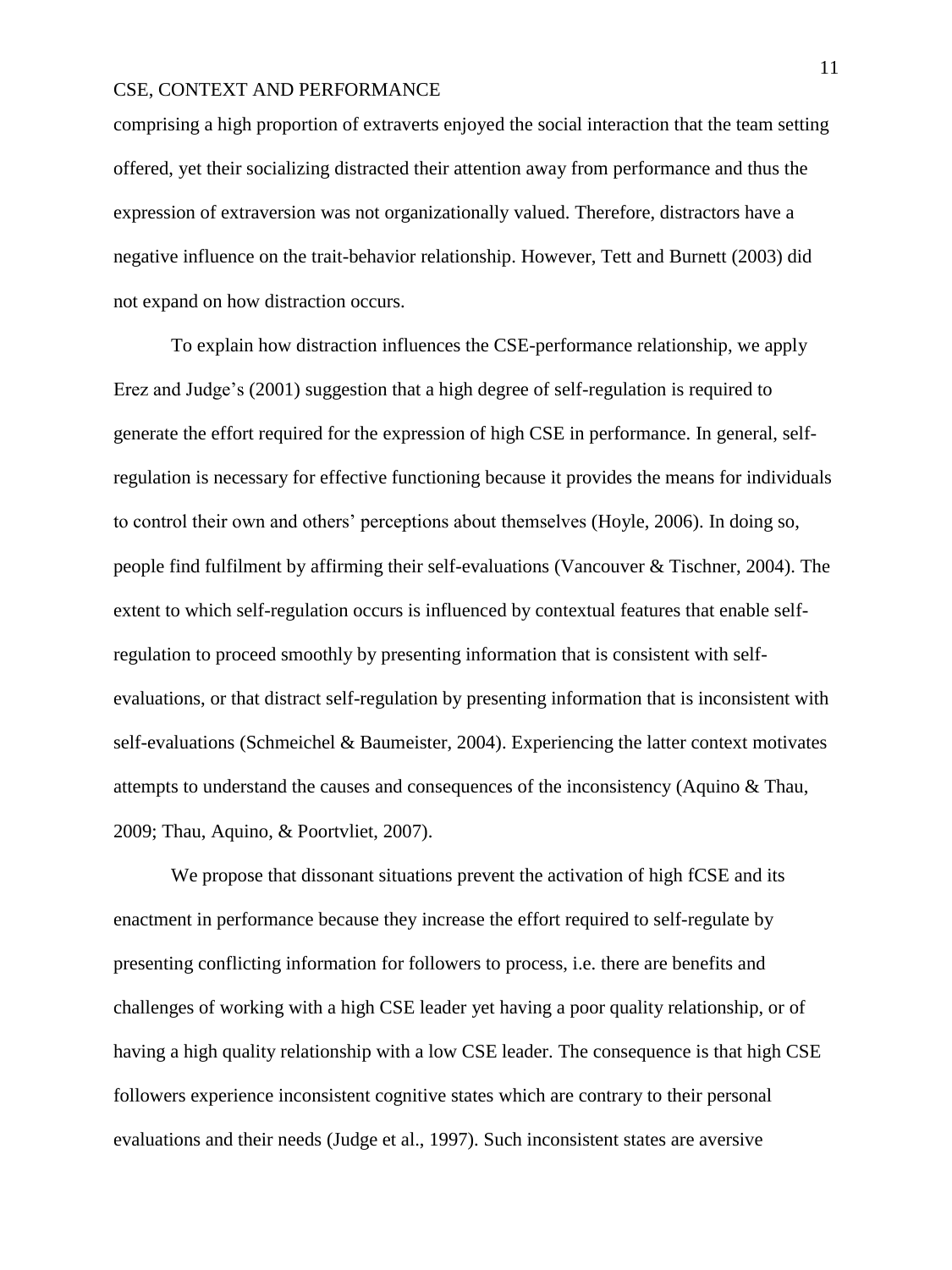comprising a high proportion of extraverts enjoyed the social interaction that the team setting offered, yet their socializing distracted their attention away from performance and thus the expression of extraversion was not organizationally valued. Therefore, distractors have a negative influence on the trait-behavior relationship. However, Tett and Burnett (2003) did not expand on how distraction occurs.

To explain how distraction influences the CSE-performance relationship, we apply Erez and Judge's (2001) suggestion that a high degree of self-regulation is required to generate the effort required for the expression of high CSE in performance. In general, selfregulation is necessary for effective functioning because it provides the means for individuals to control their own and others' perceptions about themselves (Hoyle, 2006). In doing so, people find fulfilment by affirming their self-evaluations (Vancouver & Tischner, 2004). The extent to which self-regulation occurs is influenced by contextual features that enable selfregulation to proceed smoothly by presenting information that is consistent with selfevaluations, or that distract self-regulation by presenting information that is inconsistent with self-evaluations (Schmeichel & Baumeister, 2004). Experiencing the latter context motivates attempts to understand the causes and consequences of the inconsistency (Aquino & Thau, 2009; Thau, Aquino, & Poortvliet, 2007).

We propose that dissonant situations prevent the activation of high fCSE and its enactment in performance because they increase the effort required to self-regulate by presenting conflicting information for followers to process, i.e. there are benefits and challenges of working with a high CSE leader yet having a poor quality relationship, or of having a high quality relationship with a low CSE leader. The consequence is that high CSE followers experience inconsistent cognitive states which are contrary to their personal evaluations and their needs (Judge et al., 1997). Such inconsistent states are aversive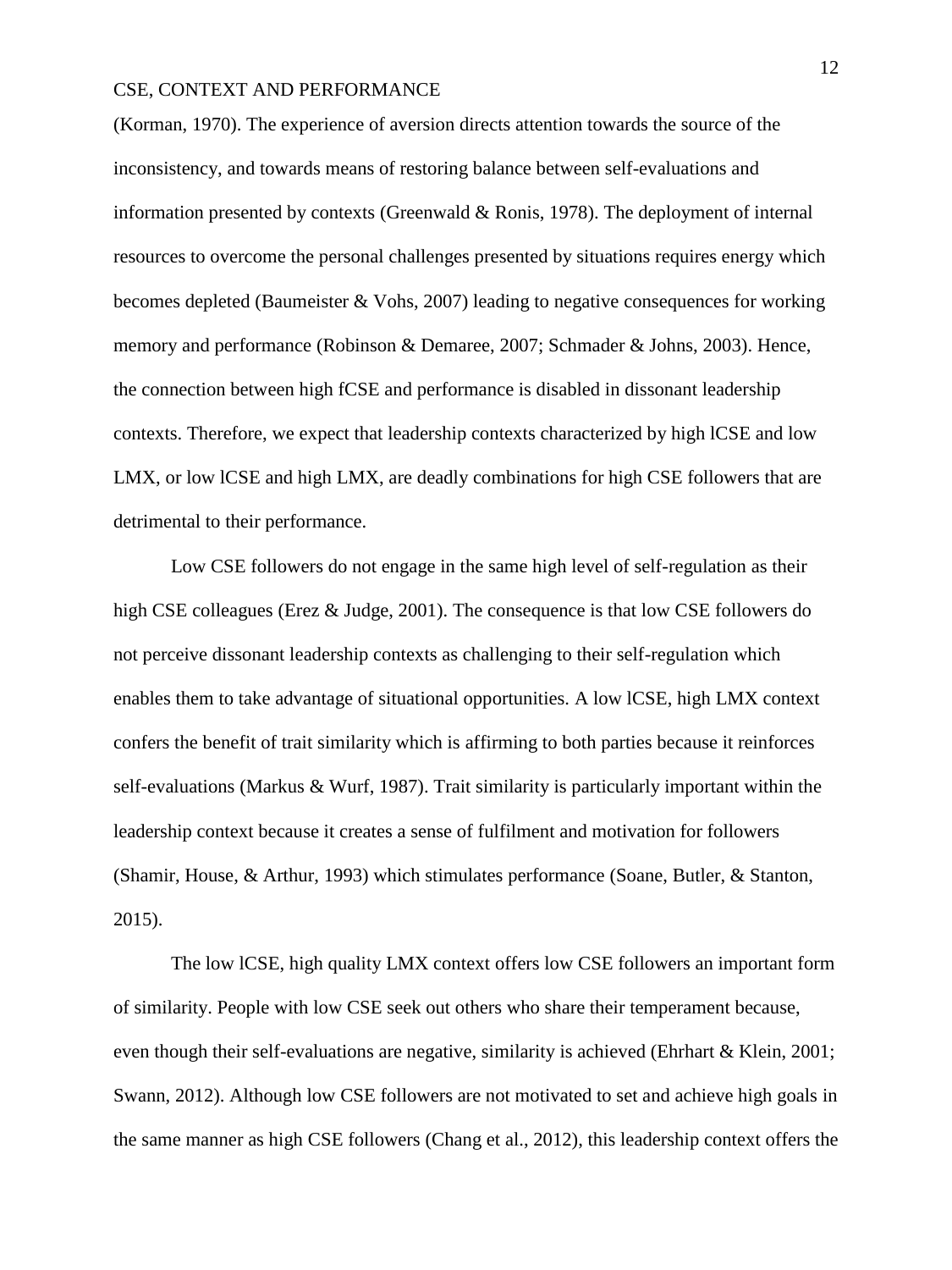(Korman, 1970). The experience of aversion directs attention towards the source of the inconsistency, and towards means of restoring balance between self-evaluations and information presented by contexts (Greenwald & Ronis, 1978). The deployment of internal resources to overcome the personal challenges presented by situations requires energy which becomes depleted (Baumeister & Vohs, 2007) leading to negative consequences for working memory and performance (Robinson & Demaree, 2007; Schmader & Johns, 2003). Hence, the connection between high fCSE and performance is disabled in dissonant leadership contexts. Therefore, we expect that leadership contexts characterized by high lCSE and low LMX, or low lCSE and high LMX, are deadly combinations for high CSE followers that are detrimental to their performance.

Low CSE followers do not engage in the same high level of self-regulation as their high CSE colleagues (Erez & Judge, 2001). The consequence is that low CSE followers do not perceive dissonant leadership contexts as challenging to their self-regulation which enables them to take advantage of situational opportunities. A low lCSE, high LMX context confers the benefit of trait similarity which is affirming to both parties because it reinforces self-evaluations (Markus & Wurf, 1987). Trait similarity is particularly important within the leadership context because it creates a sense of fulfilment and motivation for followers (Shamir, House, & Arthur, 1993) which stimulates performance (Soane, Butler, & Stanton, 2015).

The low lCSE, high quality LMX context offers low CSE followers an important form of similarity. People with low CSE seek out others who share their temperament because, even though their self-evaluations are negative, similarity is achieved (Ehrhart & Klein, 2001; Swann, 2012). Although low CSE followers are not motivated to set and achieve high goals in the same manner as high CSE followers (Chang et al., 2012), this leadership context offers the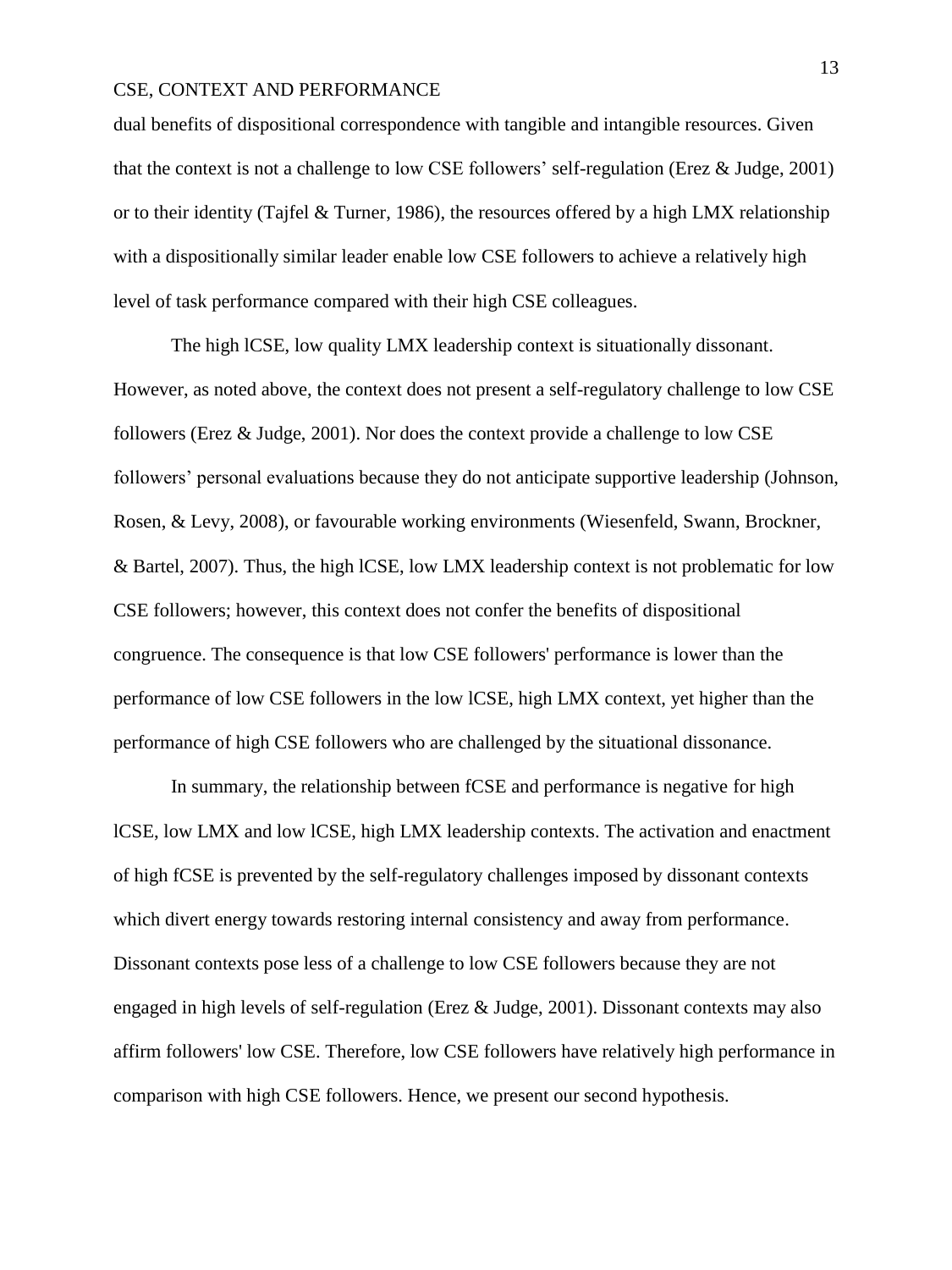dual benefits of dispositional correspondence with tangible and intangible resources. Given that the context is not a challenge to low CSE followers' self-regulation (Erez & Judge, 2001) or to their identity (Tajfel & Turner, 1986), the resources offered by a high LMX relationship with a dispositionally similar leader enable low CSE followers to achieve a relatively high level of task performance compared with their high CSE colleagues.

The high lCSE, low quality LMX leadership context is situationally dissonant. However, as noted above, the context does not present a self-regulatory challenge to low CSE followers (Erez & Judge, 2001). Nor does the context provide a challenge to low CSE followers' personal evaluations because they do not anticipate supportive leadership (Johnson, Rosen, & Levy, 2008), or favourable working environments (Wiesenfeld, Swann, Brockner, & Bartel, 2007). Thus, the high lCSE, low LMX leadership context is not problematic for low CSE followers; however, this context does not confer the benefits of dispositional congruence. The consequence is that low CSE followers' performance is lower than the performance of low CSE followers in the low lCSE, high LMX context, yet higher than the performance of high CSE followers who are challenged by the situational dissonance.

In summary, the relationship between fCSE and performance is negative for high lCSE, low LMX and low lCSE, high LMX leadership contexts. The activation and enactment of high fCSE is prevented by the self-regulatory challenges imposed by dissonant contexts which divert energy towards restoring internal consistency and away from performance. Dissonant contexts pose less of a challenge to low CSE followers because they are not engaged in high levels of self-regulation (Erez & Judge, 2001). Dissonant contexts may also affirm followers' low CSE. Therefore, low CSE followers have relatively high performance in comparison with high CSE followers. Hence, we present our second hypothesis.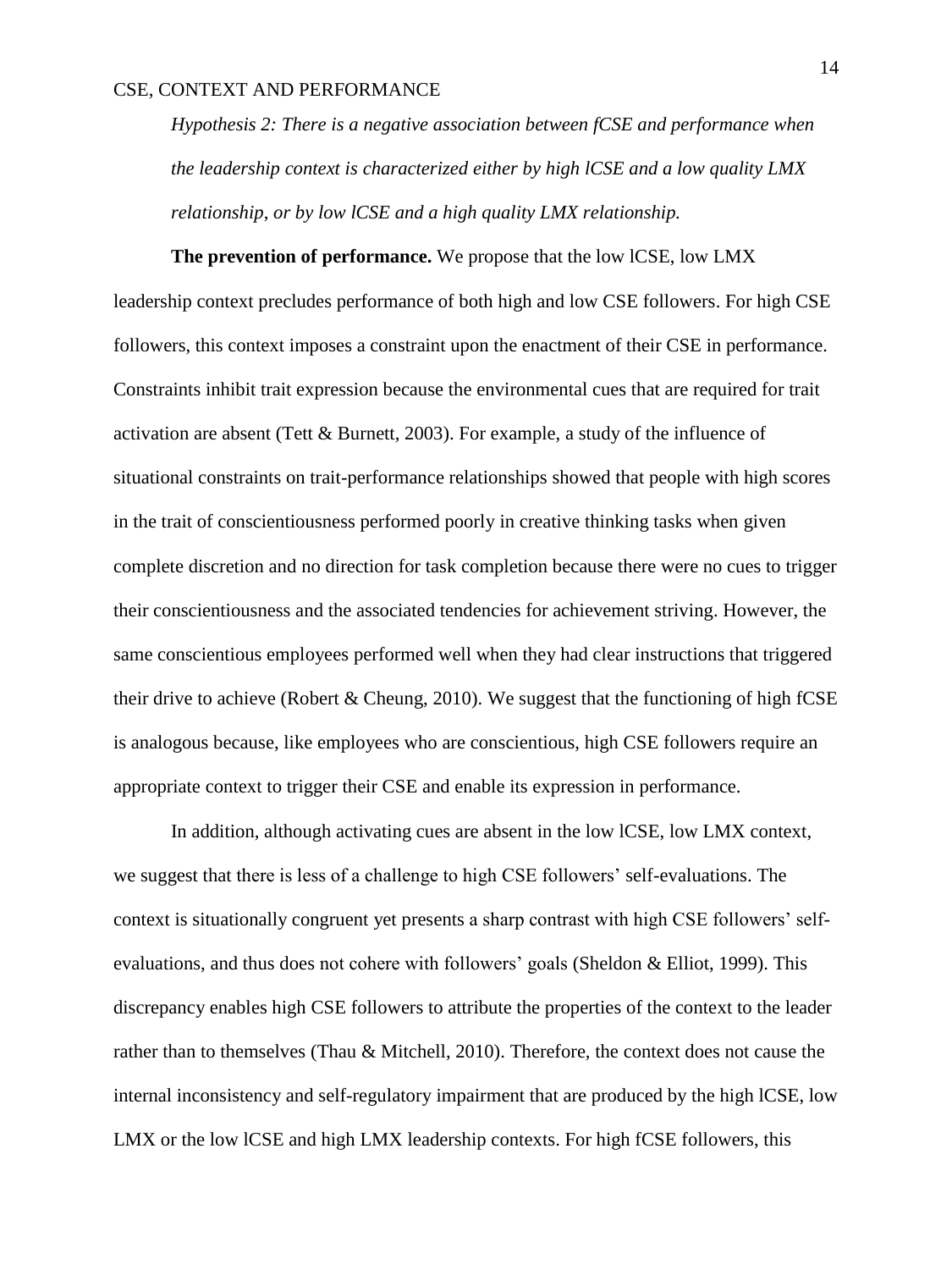*Hypothesis 2: There is a negative association between fCSE and performance when the leadership context is characterized either by high lCSE and a low quality LMX relationship*, *or by low lCSE and a high quality LMX relationship.*

**The prevention of performance.** We propose that the low lCSE, low LMX leadership context precludes performance of both high and low CSE followers. For high CSE followers, this context imposes a constraint upon the enactment of their CSE in performance. Constraints inhibit trait expression because the environmental cues that are required for trait activation are absent (Tett & Burnett, 2003). For example, a study of the influence of situational constraints on trait-performance relationships showed that people with high scores in the trait of conscientiousness performed poorly in creative thinking tasks when given complete discretion and no direction for task completion because there were no cues to trigger their conscientiousness and the associated tendencies for achievement striving. However, the same conscientious employees performed well when they had clear instructions that triggered their drive to achieve (Robert & Cheung, 2010). We suggest that the functioning of high fCSE is analogous because, like employees who are conscientious, high CSE followers require an appropriate context to trigger their CSE and enable its expression in performance.

In addition, although activating cues are absent in the low lCSE, low LMX context, we suggest that there is less of a challenge to high CSE followers' self-evaluations. The context is situationally congruent yet presents a sharp contrast with high CSE followers' selfevaluations, and thus does not cohere with followers' goals (Sheldon & Elliot, 1999). This discrepancy enables high CSE followers to attribute the properties of the context to the leader rather than to themselves (Thau & Mitchell, 2010). Therefore, the context does not cause the internal inconsistency and self-regulatory impairment that are produced by the high lCSE, low LMX or the low lCSE and high LMX leadership contexts. For high fCSE followers, this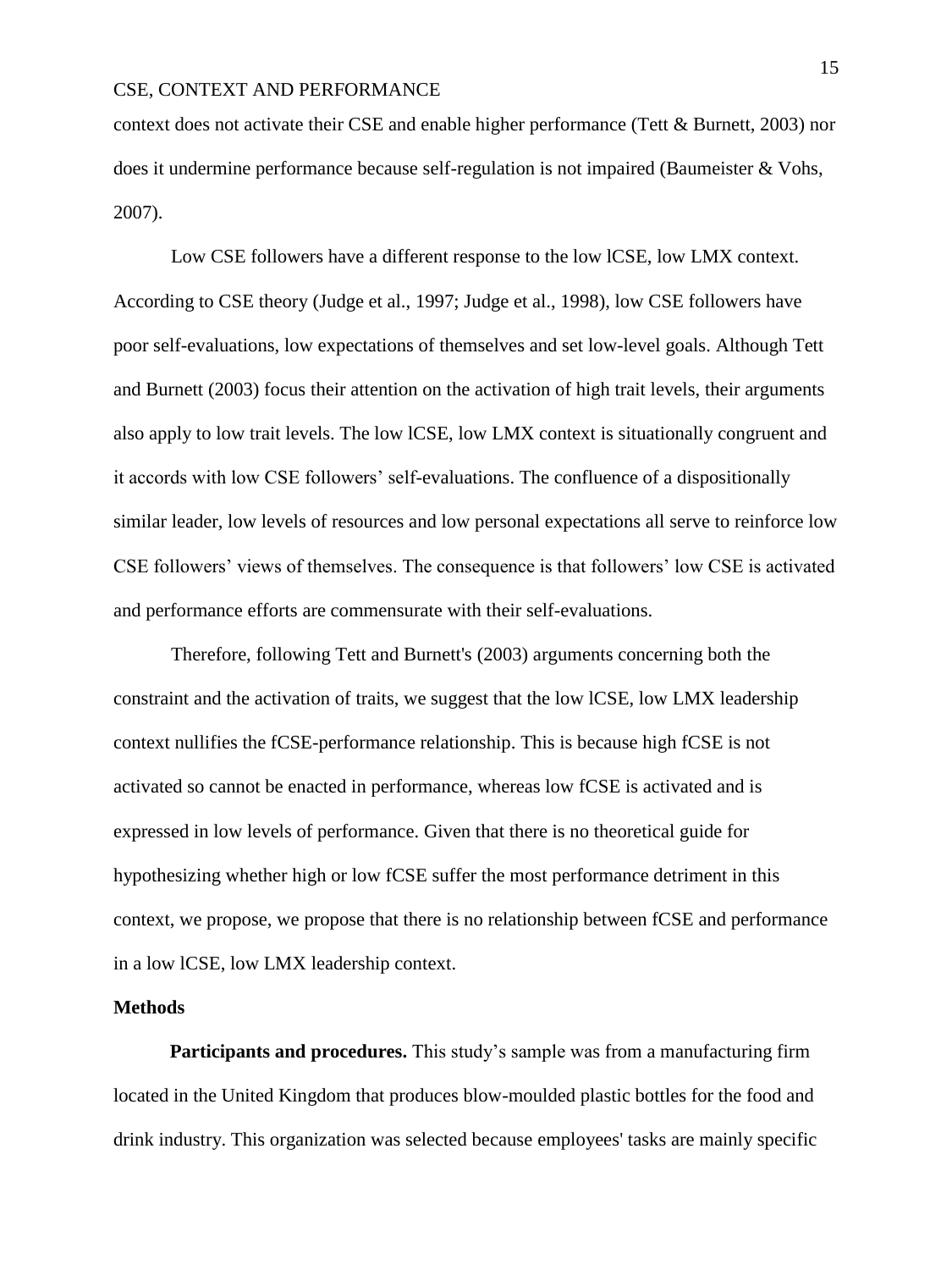context does not activate their CSE and enable higher performance (Tett & Burnett, 2003) nor does it undermine performance because self-regulation is not impaired (Baumeister & Vohs, 2007).

Low CSE followers have a different response to the low lCSE, low LMX context. According to CSE theory (Judge et al., 1997; Judge et al., 1998), low CSE followers have poor self-evaluations, low expectations of themselves and set low-level goals. Although Tett and Burnett (2003) focus their attention on the activation of high trait levels, their arguments also apply to low trait levels. The low lCSE, low LMX context is situationally congruent and it accords with low CSE followers' self-evaluations. The confluence of a dispositionally similar leader, low levels of resources and low personal expectations all serve to reinforce low CSE followers' views of themselves. The consequence is that followers' low CSE is activated and performance efforts are commensurate with their self-evaluations.

Therefore, following Tett and Burnett's (2003) arguments concerning both the constraint and the activation of traits, we suggest that the low lCSE, low LMX leadership context nullifies the fCSE-performance relationship. This is because high fCSE is not activated so cannot be enacted in performance, whereas low fCSE is activated and is expressed in low levels of performance. Given that there is no theoretical guide for hypothesizing whether high or low fCSE suffer the most performance detriment in this context, we propose, we propose that there is no relationship between fCSE and performance in a low lCSE, low LMX leadership context.

#### **Methods**

**Participants and procedures.** This study's sample was from a manufacturing firm located in the United Kingdom that produces blow-moulded plastic bottles for the food and drink industry. This organization was selected because employees' tasks are mainly specific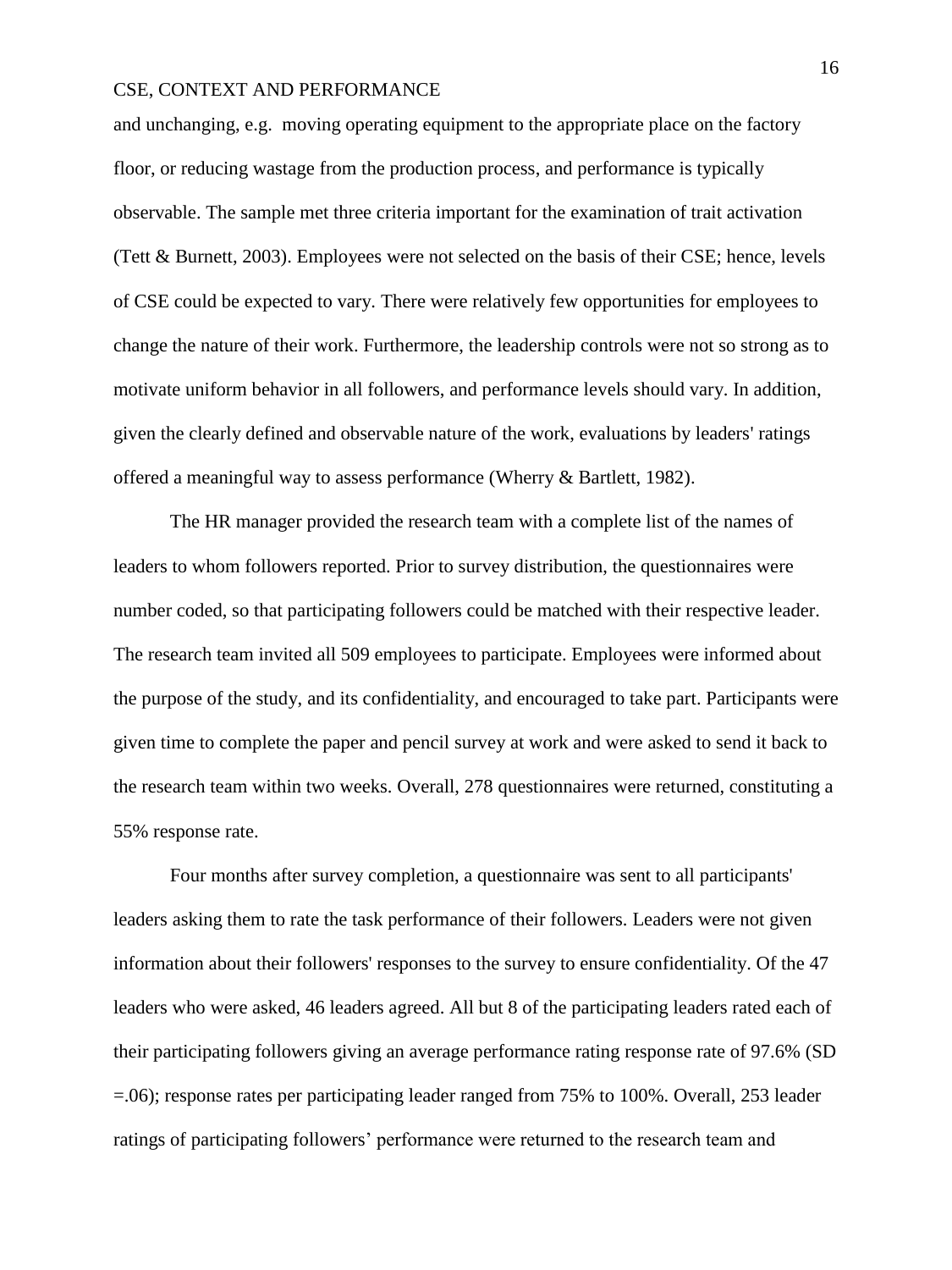and unchanging, e.g. moving operating equipment to the appropriate place on the factory floor, or reducing wastage from the production process, and performance is typically observable. The sample met three criteria important for the examination of trait activation (Tett & Burnett, 2003). Employees were not selected on the basis of their CSE; hence, levels of CSE could be expected to vary. There were relatively few opportunities for employees to change the nature of their work. Furthermore, the leadership controls were not so strong as to motivate uniform behavior in all followers, and performance levels should vary. In addition, given the clearly defined and observable nature of the work, evaluations by leaders' ratings offered a meaningful way to assess performance (Wherry & Bartlett, 1982).

The HR manager provided the research team with a complete list of the names of leaders to whom followers reported. Prior to survey distribution, the questionnaires were number coded, so that participating followers could be matched with their respective leader. The research team invited all 509 employees to participate. Employees were informed about the purpose of the study, and its confidentiality, and encouraged to take part. Participants were given time to complete the paper and pencil survey at work and were asked to send it back to the research team within two weeks. Overall, 278 questionnaires were returned, constituting a 55% response rate.

Four months after survey completion, a questionnaire was sent to all participants' leaders asking them to rate the task performance of their followers. Leaders were not given information about their followers' responses to the survey to ensure confidentiality. Of the 47 leaders who were asked, 46 leaders agreed. All but 8 of the participating leaders rated each of their participating followers giving an average performance rating response rate of 97.6% (SD =.06); response rates per participating leader ranged from 75% to 100%. Overall, 253 leader ratings of participating followers' performance were returned to the research team and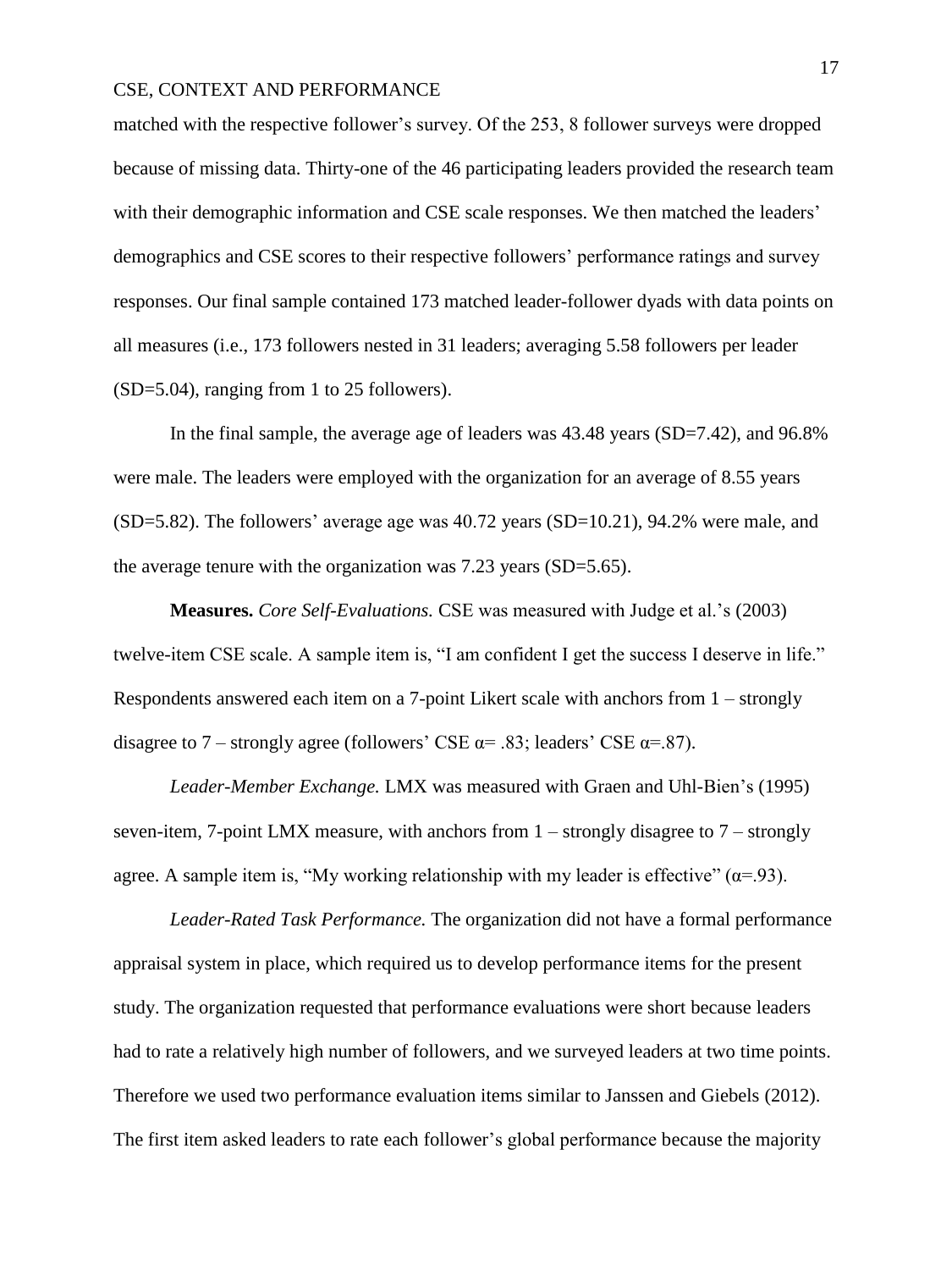matched with the respective follower's survey. Of the 253, 8 follower surveys were dropped because of missing data. Thirty-one of the 46 participating leaders provided the research team with their demographic information and CSE scale responses. We then matched the leaders' demographics and CSE scores to their respective followers' performance ratings and survey responses. Our final sample contained 173 matched leader-follower dyads with data points on all measures (i.e., 173 followers nested in 31 leaders; averaging 5.58 followers per leader (SD=5.04), ranging from 1 to 25 followers).

In the final sample, the average age of leaders was 43.48 years (SD=7.42), and 96.8% were male. The leaders were employed with the organization for an average of 8.55 years (SD=5.82). The followers' average age was 40.72 years (SD=10.21), 94.2% were male, and the average tenure with the organization was 7.23 years (SD=5.65).

**Measures.** *Core Self-Evaluations.* CSE was measured with Judge et al.'s (2003) twelve-item CSE scale. A sample item is, "I am confident I get the success I deserve in life." Respondents answered each item on a 7-point Likert scale with anchors from 1 – strongly disagree to 7 – strongly agree (followers' CSE  $\alpha$ = .83; leaders' CSE  $\alpha$ = .87).

*Leader-Member Exchange.* LMX was measured with Graen and Uhl-Bien's (1995) seven-item, 7-point LMX measure, with anchors from  $1 -$  strongly disagree to  $7 -$  strongly agree. A sample item is, "My working relationship with my leader is effective"  $(\alpha = 93)$ .

*Leader-Rated Task Performance.* The organization did not have a formal performance appraisal system in place, which required us to develop performance items for the present study. The organization requested that performance evaluations were short because leaders had to rate a relatively high number of followers, and we surveyed leaders at two time points. Therefore we used two performance evaluation items similar to Janssen and Giebels (2012). The first item asked leaders to rate each follower's global performance because the majority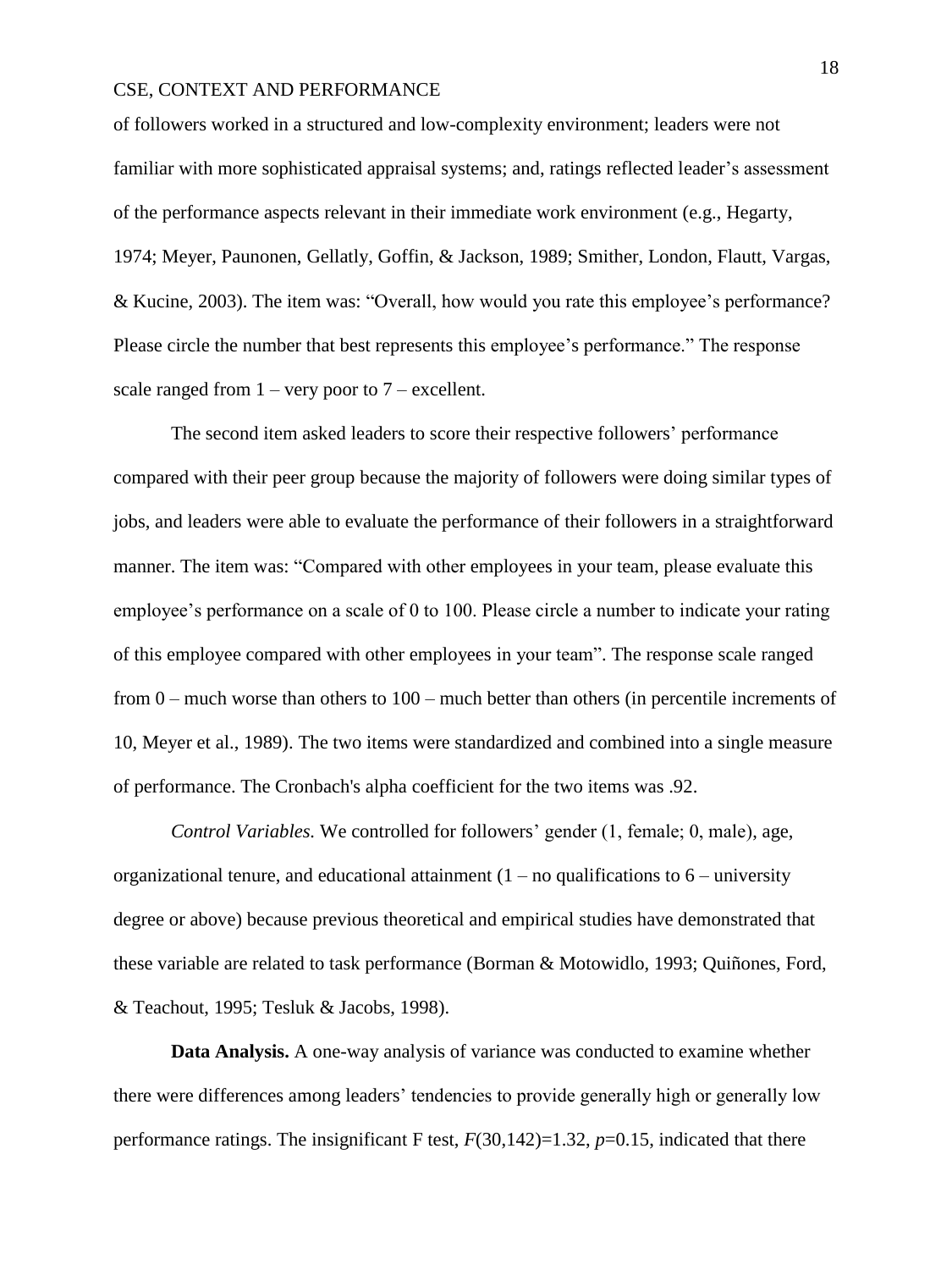of followers worked in a structured and low-complexity environment; leaders were not familiar with more sophisticated appraisal systems; and, ratings reflected leader's assessment of the performance aspects relevant in their immediate work environment (e.g., Hegarty, 1974; Meyer, Paunonen, Gellatly, Goffin, & Jackson, 1989; Smither, London, Flautt, Vargas, & Kucine, 2003). The item was: "Overall, how would you rate this employee's performance? Please circle the number that best represents this employee's performance." The response scale ranged from  $1 -$  very poor to  $7 -$  excellent.

The second item asked leaders to score their respective followers' performance compared with their peer group because the majority of followers were doing similar types of jobs, and leaders were able to evaluate the performance of their followers in a straightforward manner. The item was: "Compared with other employees in your team, please evaluate this employee's performance on a scale of 0 to 100. Please circle a number to indicate your rating of this employee compared with other employees in your team". The response scale ranged from 0 – much worse than others to 100 – much better than others (in percentile increments of 10, Meyer et al., 1989). The two items were standardized and combined into a single measure of performance. The Cronbach's alpha coefficient for the two items was .92.

*Control Variables.* We controlled for followers' gender (1, female; 0, male), age, organizational tenure, and educational attainment  $(1 - no$  qualifications to  $6 -$  university degree or above) because previous theoretical and empirical studies have demonstrated that these variable are related to task performance (Borman & Motowidlo, 1993; Quiñones, Ford, & Teachout, 1995; Tesluk & Jacobs, 1998).

**Data Analysis.** A one-way analysis of variance was conducted to examine whether there were differences among leaders' tendencies to provide generally high or generally low performance ratings. The insignificant F test, *F*(30,142)=1.32, *p*=0.15, indicated that there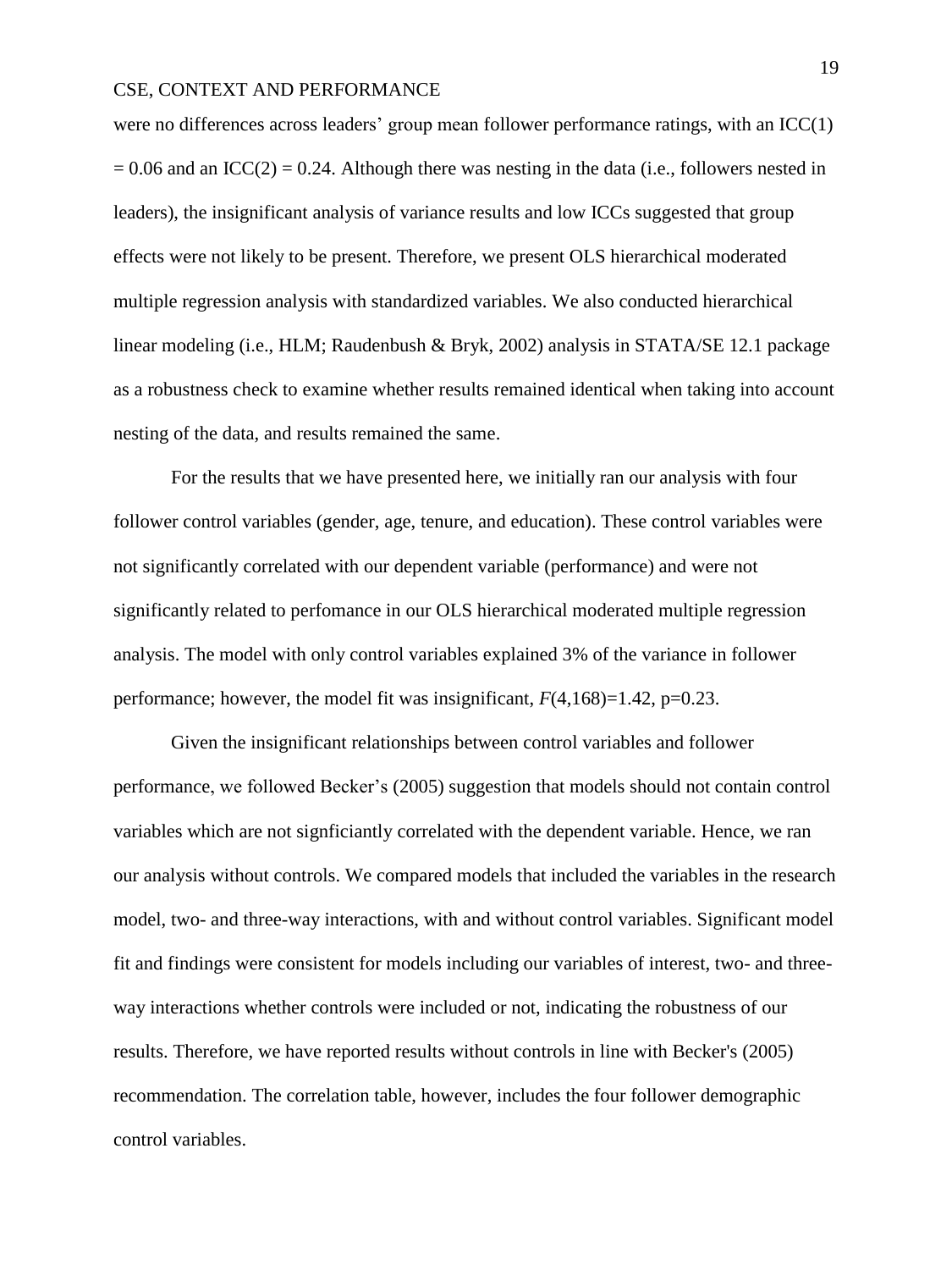were no differences across leaders' group mean follower performance ratings, with an ICC(1)  $= 0.06$  and an ICC(2) = 0.24. Although there was nesting in the data (i.e., followers nested in leaders), the insignificant analysis of variance results and low ICCs suggested that group effects were not likely to be present. Therefore, we present OLS hierarchical moderated multiple regression analysis with standardized variables. We also conducted hierarchical linear modeling (i.e., HLM; Raudenbush & Bryk, 2002) analysis in STATA/SE 12.1 package as a robustness check to examine whether results remained identical when taking into account nesting of the data, and results remained the same.

For the results that we have presented here, we initially ran our analysis with four follower control variables (gender, age, tenure, and education). These control variables were not significantly correlated with our dependent variable (performance) and were not significantly related to perfomance in our OLS hierarchical moderated multiple regression analysis. The model with only control variables explained 3% of the variance in follower performance; however, the model fit was insignificant,  $F(4,168)=1.42$ , p=0.23.

Given the insignificant relationships between control variables and follower performance, we followed Becker's (2005) suggestion that models should not contain control variables which are not signficiantly correlated with the dependent variable. Hence, we ran our analysis without controls. We compared models that included the variables in the research model, two- and three-way interactions, with and without control variables. Significant model fit and findings were consistent for models including our variables of interest, two- and threeway interactions whether controls were included or not, indicating the robustness of our results. Therefore, we have reported results without controls in line with Becker's (2005) recommendation. The correlation table, however, includes the four follower demographic control variables.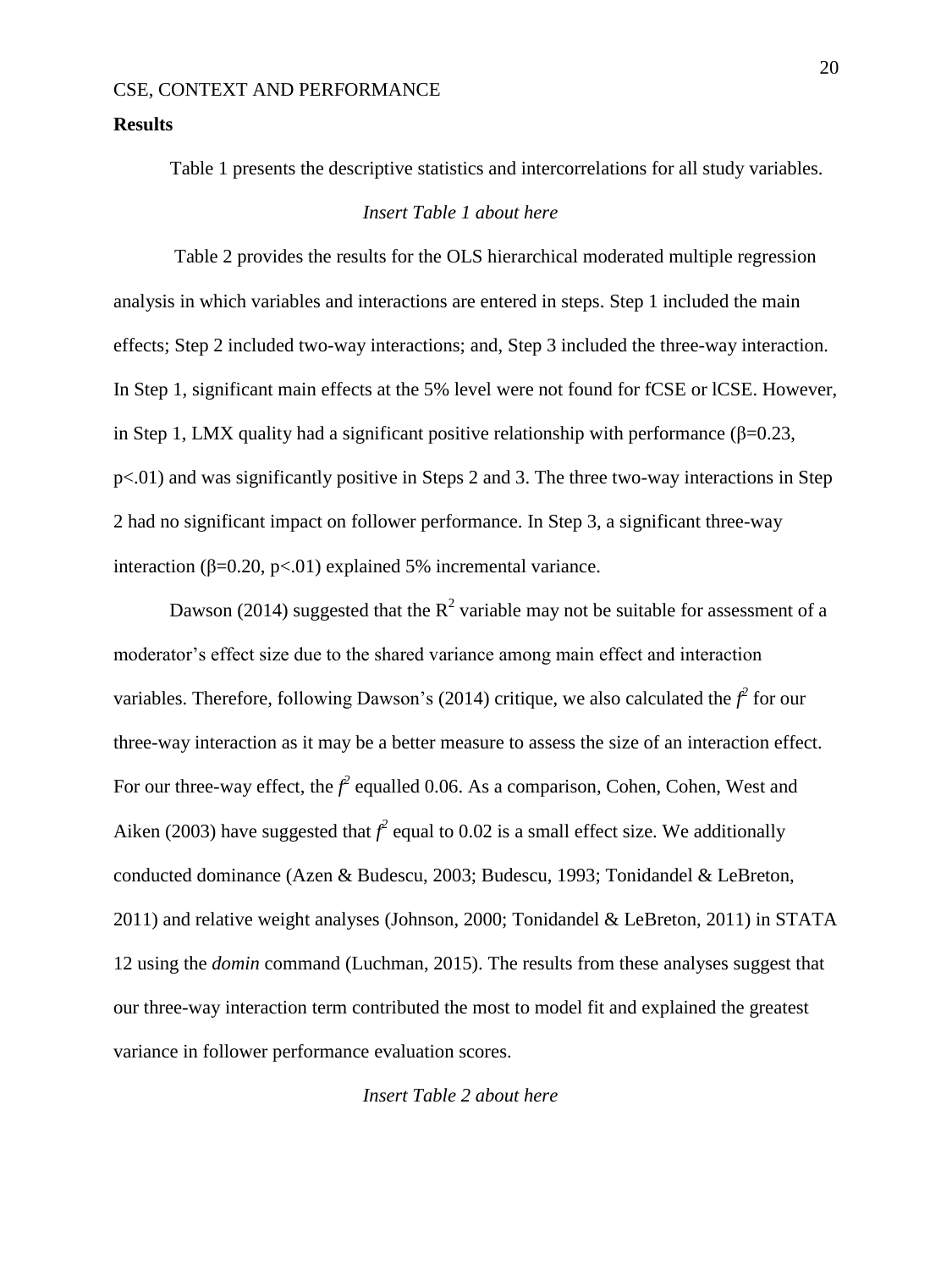#### **Results**

Table 1 presents the descriptive statistics and intercorrelations for all study variables.

### *Insert Table 1 about here*

 Table 2 provides the results for the OLS hierarchical moderated multiple regression analysis in which variables and interactions are entered in steps. Step 1 included the main effects; Step 2 included two-way interactions; and, Step 3 included the three-way interaction. In Step 1, significant main effects at the 5% level were not found for fCSE or lCSE. However, in Step 1, LMX quality had a significant positive relationship with performance ( $\beta$ =0.23, p<.01) and was significantly positive in Steps 2 and 3. The three two-way interactions in Step 2 had no significant impact on follower performance. In Step 3, a significant three-way interaction (β=0.20, p<.01) explained 5% incremental variance.

Dawson (2014) suggested that the  $R^2$  variable may not be suitable for assessment of a moderator's effect size due to the shared variance among main effect and interaction variables. Therefore, following Dawson's (2014) critique, we also calculated the  $f^2$  for our three-way interaction as it may be a better measure to assess the size of an interaction effect. For our three-way effect, the  $f^2$  equalled 0.06. As a comparison, Cohen, Cohen, West and Aiken (2003) have suggested that  $f^2$  equal to 0.02 is a small effect size. We additionally conducted dominance (Azen & Budescu, 2003; Budescu, 1993; Tonidandel & LeBreton, 2011) and relative weight analyses (Johnson, 2000; Tonidandel & LeBreton, 2011) in STATA 12 using the *domin* command (Luchman, 2015). The results from these analyses suggest that our three-way interaction term contributed the most to model fit and explained the greatest variance in follower performance evaluation scores.

*Insert Table 2 about here*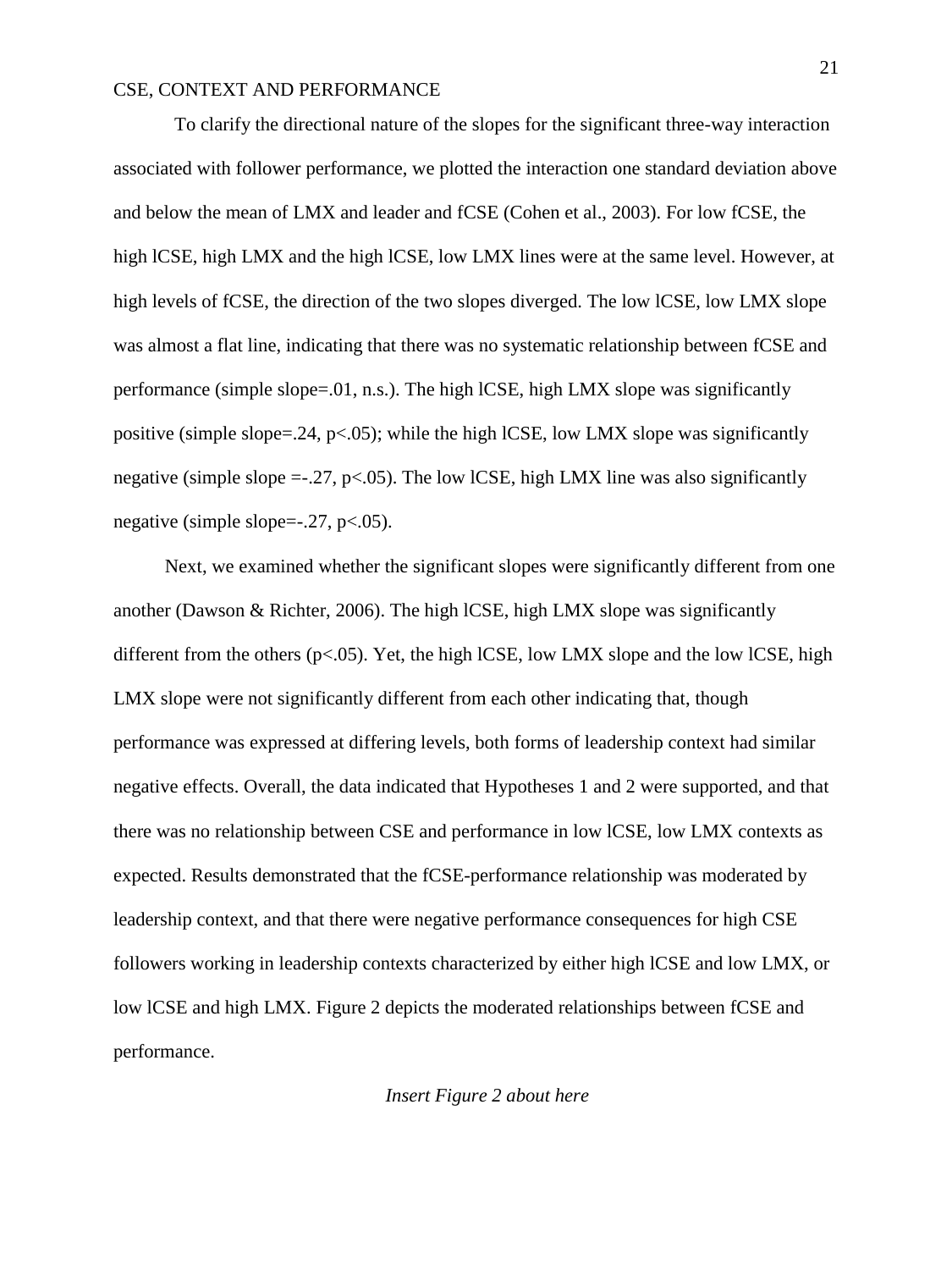To clarify the directional nature of the slopes for the significant three-way interaction associated with follower performance, we plotted the interaction one standard deviation above and below the mean of LMX and leader and fCSE (Cohen et al., 2003). For low fCSE, the high lCSE, high LMX and the high lCSE, low LMX lines were at the same level. However, at high levels of fCSE, the direction of the two slopes diverged. The low lCSE, low LMX slope was almost a flat line, indicating that there was no systematic relationship between fCSE and performance (simple slope=.01, n.s.). The high lCSE, high LMX slope was significantly positive (simple slope=.24,  $p<.05$ ); while the high lCSE, low LMX slope was significantly negative (simple slope  $=$ -.27, p $<$ .05). The low lCSE, high LMX line was also significantly negative (simple slope=-.27, p<.05).

 Next, we examined whether the significant slopes were significantly different from one another (Dawson & Richter, 2006). The high lCSE, high LMX slope was significantly different from the others ( $p<0.05$ ). Yet, the high lCSE, low LMX slope and the low lCSE, high LMX slope were not significantly different from each other indicating that, though performance was expressed at differing levels, both forms of leadership context had similar negative effects. Overall, the data indicated that Hypotheses 1 and 2 were supported, and that there was no relationship between CSE and performance in low lCSE, low LMX contexts as expected. Results demonstrated that the fCSE-performance relationship was moderated by leadership context, and that there were negative performance consequences for high CSE followers working in leadership contexts characterized by either high lCSE and low LMX, or low lCSE and high LMX. Figure 2 depicts the moderated relationships between fCSE and performance.

#### *Insert Figure 2 about here*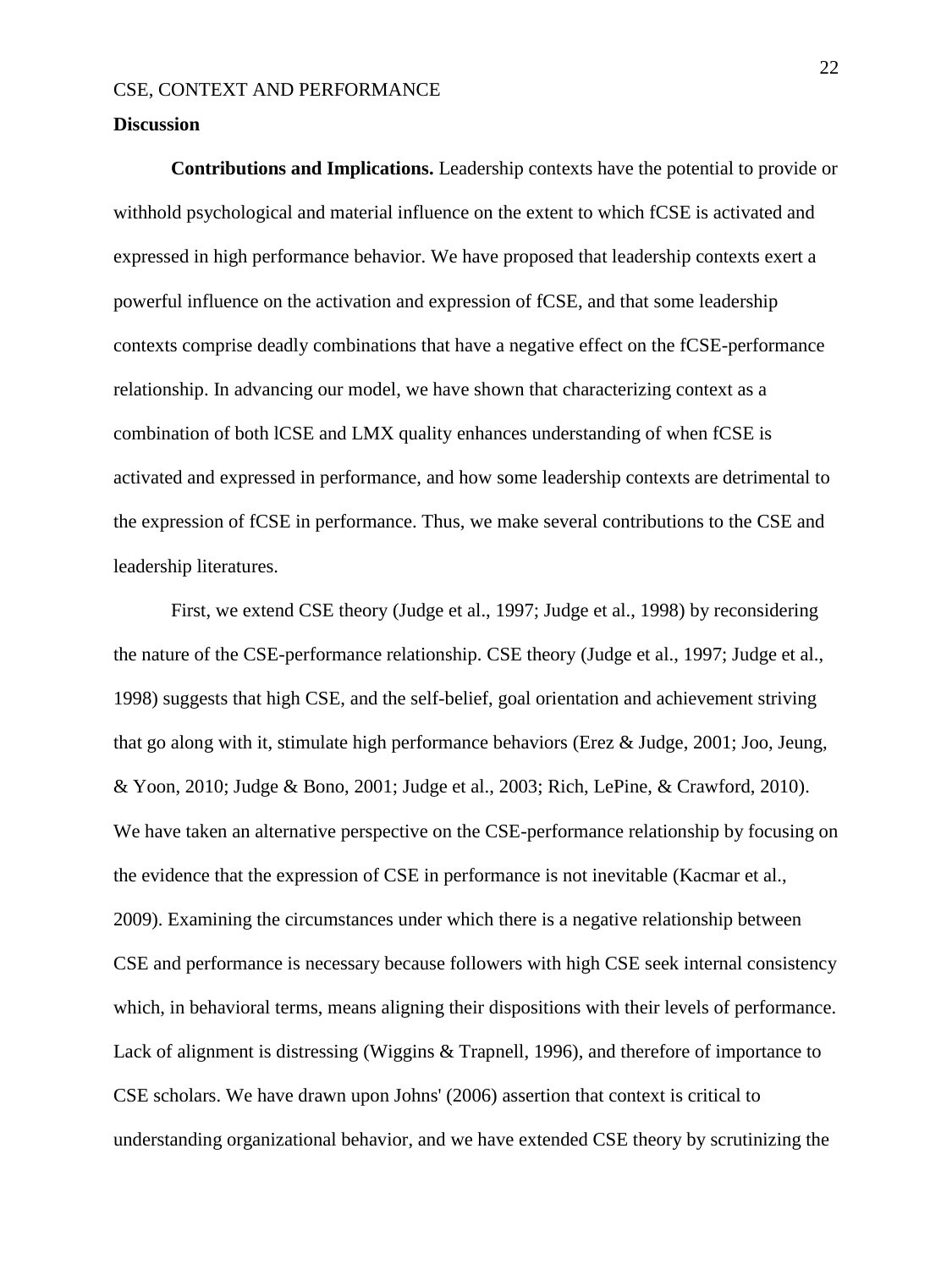#### **Discussion**

**Contributions and Implications.** Leadership contexts have the potential to provide or withhold psychological and material influence on the extent to which fCSE is activated and expressed in high performance behavior. We have proposed that leadership contexts exert a powerful influence on the activation and expression of fCSE, and that some leadership contexts comprise deadly combinations that have a negative effect on the fCSE-performance relationship. In advancing our model, we have shown that characterizing context as a combination of both lCSE and LMX quality enhances understanding of when fCSE is activated and expressed in performance, and how some leadership contexts are detrimental to the expression of fCSE in performance. Thus, we make several contributions to the CSE and leadership literatures.

First, we extend CSE theory (Judge et al., 1997; Judge et al., 1998) by reconsidering the nature of the CSE-performance relationship. CSE theory (Judge et al., 1997; Judge et al., 1998) suggests that high CSE, and the self-belief, goal orientation and achievement striving that go along with it, stimulate high performance behaviors (Erez & Judge, 2001; Joo, Jeung, & Yoon, 2010; Judge & Bono, 2001; Judge et al., 2003; Rich, LePine, & Crawford, 2010). We have taken an alternative perspective on the CSE-performance relationship by focusing on the evidence that the expression of CSE in performance is not inevitable (Kacmar et al., 2009). Examining the circumstances under which there is a negative relationship between CSE and performance is necessary because followers with high CSE seek internal consistency which, in behavioral terms, means aligning their dispositions with their levels of performance. Lack of alignment is distressing (Wiggins & Trapnell, 1996), and therefore of importance to CSE scholars. We have drawn upon Johns' (2006) assertion that context is critical to understanding organizational behavior, and we have extended CSE theory by scrutinizing the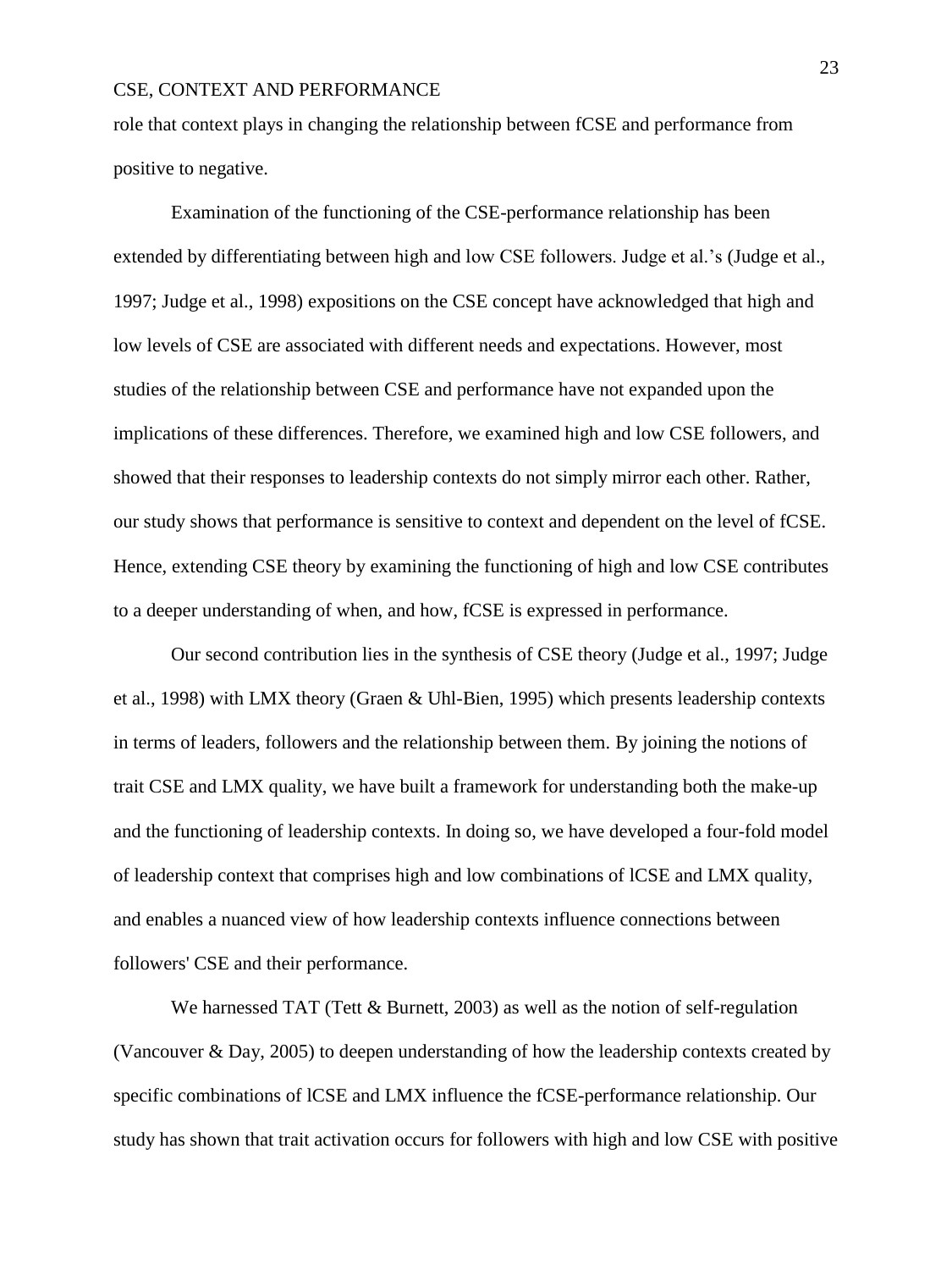role that context plays in changing the relationship between fCSE and performance from positive to negative.

Examination of the functioning of the CSE-performance relationship has been extended by differentiating between high and low CSE followers. Judge et al.'s (Judge et al., 1997; Judge et al., 1998) expositions on the CSE concept have acknowledged that high and low levels of CSE are associated with different needs and expectations. However, most studies of the relationship between CSE and performance have not expanded upon the implications of these differences. Therefore, we examined high and low CSE followers, and showed that their responses to leadership contexts do not simply mirror each other. Rather, our study shows that performance is sensitive to context and dependent on the level of fCSE. Hence, extending CSE theory by examining the functioning of high and low CSE contributes to a deeper understanding of when, and how, fCSE is expressed in performance.

Our second contribution lies in the synthesis of CSE theory (Judge et al., 1997; Judge et al., 1998) with LMX theory (Graen & Uhl-Bien, 1995) which presents leadership contexts in terms of leaders, followers and the relationship between them. By joining the notions of trait CSE and LMX quality, we have built a framework for understanding both the make-up and the functioning of leadership contexts. In doing so, we have developed a four-fold model of leadership context that comprises high and low combinations of lCSE and LMX quality, and enables a nuanced view of how leadership contexts influence connections between followers' CSE and their performance.

We harnessed TAT (Tett & Burnett, 2003) as well as the notion of self-regulation (Vancouver & Day, 2005) to deepen understanding of how the leadership contexts created by specific combinations of lCSE and LMX influence the fCSE-performance relationship. Our study has shown that trait activation occurs for followers with high and low CSE with positive

23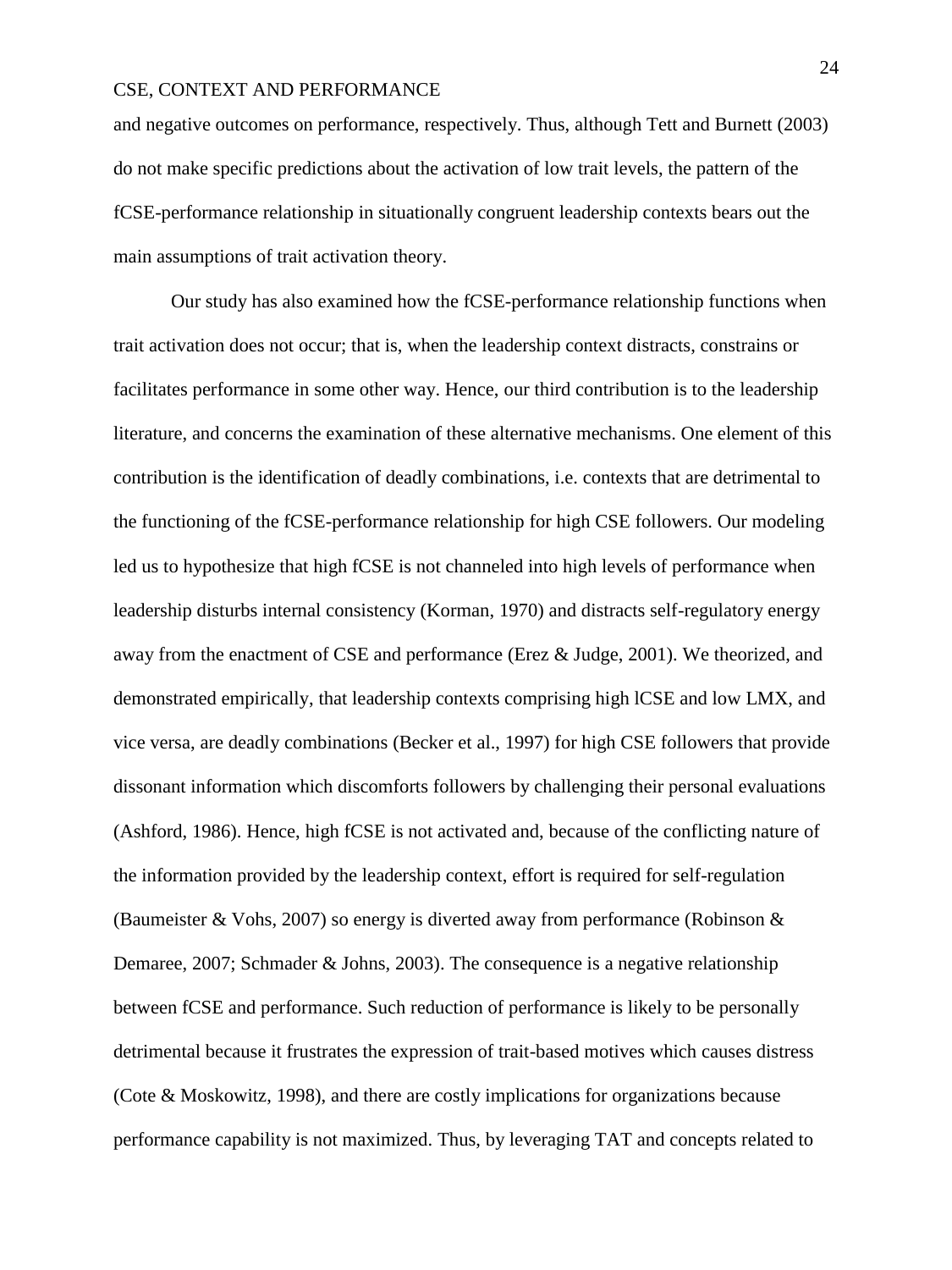and negative outcomes on performance, respectively. Thus, although Tett and Burnett (2003) do not make specific predictions about the activation of low trait levels, the pattern of the fCSE-performance relationship in situationally congruent leadership contexts bears out the main assumptions of trait activation theory.

Our study has also examined how the fCSE-performance relationship functions when trait activation does not occur; that is, when the leadership context distracts, constrains or facilitates performance in some other way. Hence, our third contribution is to the leadership literature, and concerns the examination of these alternative mechanisms. One element of this contribution is the identification of deadly combinations, i.e. contexts that are detrimental to the functioning of the fCSE-performance relationship for high CSE followers. Our modeling led us to hypothesize that high fCSE is not channeled into high levels of performance when leadership disturbs internal consistency (Korman, 1970) and distracts self-regulatory energy away from the enactment of CSE and performance (Erez & Judge, 2001). We theorized, and demonstrated empirically, that leadership contexts comprising high lCSE and low LMX, and vice versa, are deadly combinations (Becker et al., 1997) for high CSE followers that provide dissonant information which discomforts followers by challenging their personal evaluations (Ashford, 1986). Hence, high fCSE is not activated and, because of the conflicting nature of the information provided by the leadership context, effort is required for self-regulation (Baumeister & Vohs, 2007) so energy is diverted away from performance (Robinson  $\&$ Demaree, 2007; Schmader & Johns, 2003). The consequence is a negative relationship between fCSE and performance. Such reduction of performance is likely to be personally detrimental because it frustrates the expression of trait-based motives which causes distress (Cote & Moskowitz, 1998), and there are costly implications for organizations because performance capability is not maximized. Thus, by leveraging TAT and concepts related to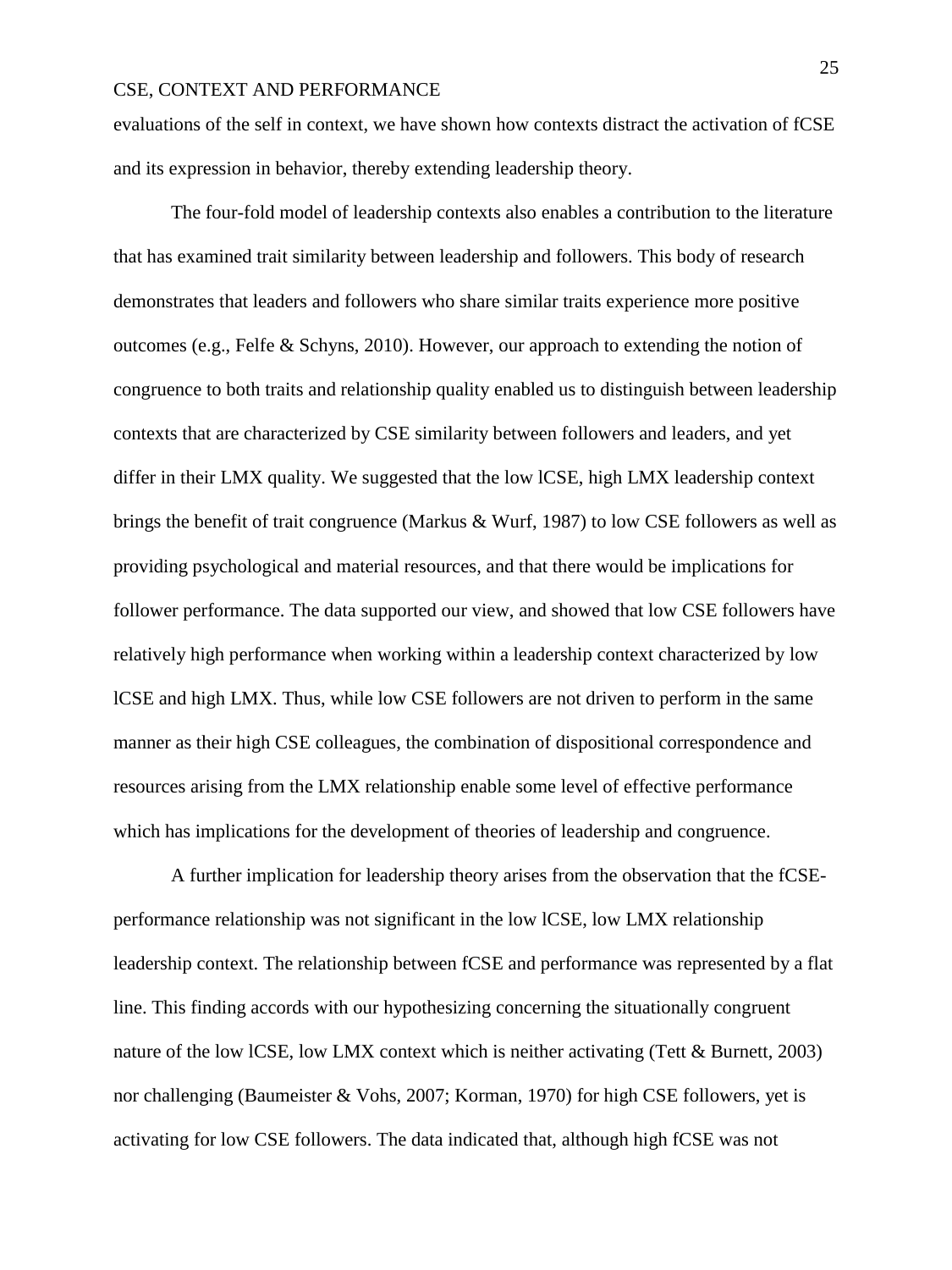evaluations of the self in context, we have shown how contexts distract the activation of fCSE and its expression in behavior, thereby extending leadership theory.

The four-fold model of leadership contexts also enables a contribution to the literature that has examined trait similarity between leadership and followers. This body of research demonstrates that leaders and followers who share similar traits experience more positive outcomes (e.g., Felfe & Schyns, 2010). However, our approach to extending the notion of congruence to both traits and relationship quality enabled us to distinguish between leadership contexts that are characterized by CSE similarity between followers and leaders, and yet differ in their LMX quality. We suggested that the low lCSE, high LMX leadership context brings the benefit of trait congruence (Markus & Wurf, 1987) to low CSE followers as well as providing psychological and material resources, and that there would be implications for follower performance. The data supported our view, and showed that low CSE followers have relatively high performance when working within a leadership context characterized by low lCSE and high LMX. Thus, while low CSE followers are not driven to perform in the same manner as their high CSE colleagues, the combination of dispositional correspondence and resources arising from the LMX relationship enable some level of effective performance which has implications for the development of theories of leadership and congruence.

A further implication for leadership theory arises from the observation that the fCSEperformance relationship was not significant in the low lCSE, low LMX relationship leadership context. The relationship between fCSE and performance was represented by a flat line. This finding accords with our hypothesizing concerning the situationally congruent nature of the low lCSE, low LMX context which is neither activating (Tett & Burnett, 2003) nor challenging (Baumeister & Vohs, 2007; Korman, 1970) for high CSE followers, yet is activating for low CSE followers. The data indicated that, although high fCSE was not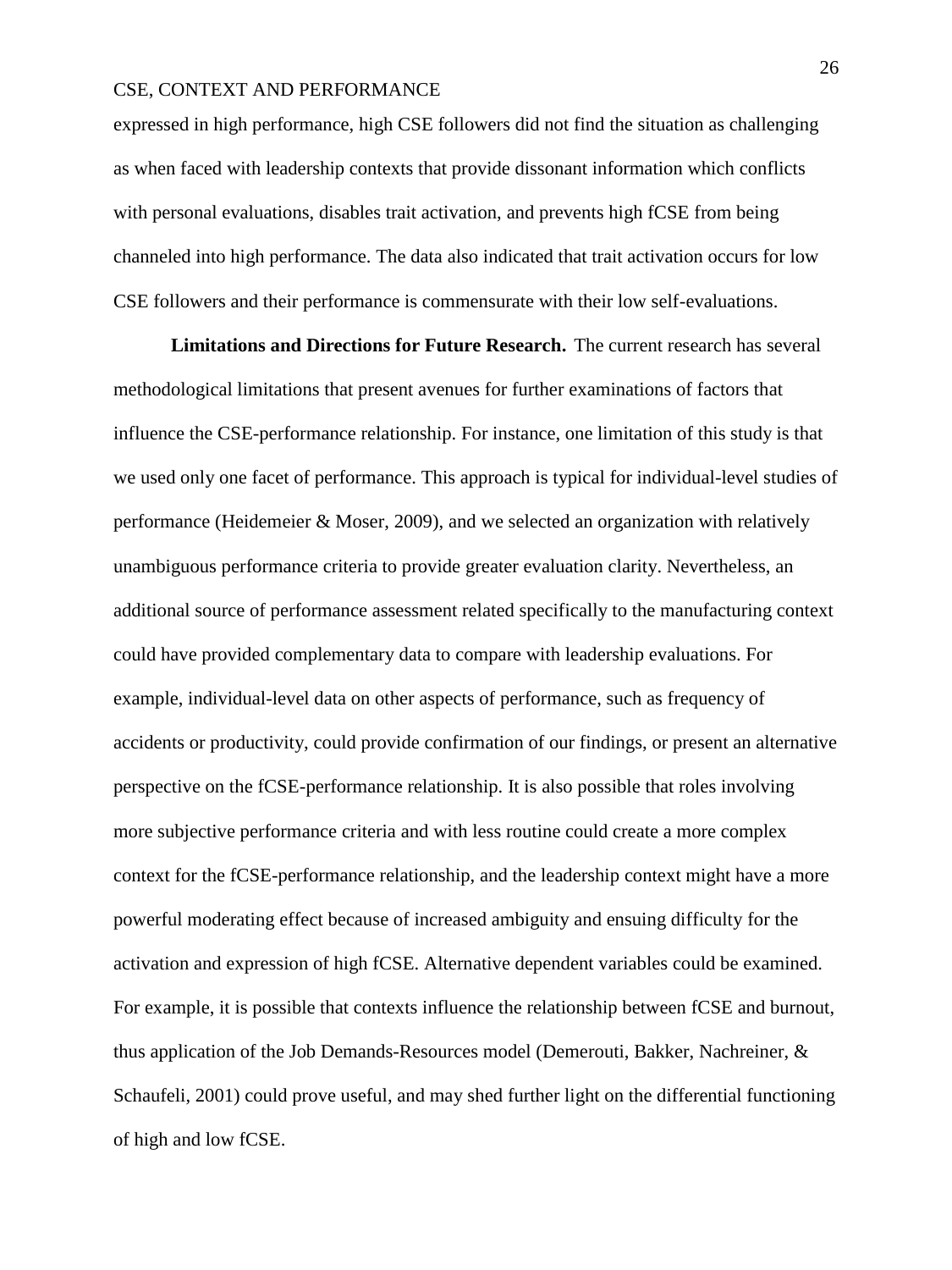expressed in high performance, high CSE followers did not find the situation as challenging as when faced with leadership contexts that provide dissonant information which conflicts with personal evaluations, disables trait activation, and prevents high fCSE from being channeled into high performance. The data also indicated that trait activation occurs for low CSE followers and their performance is commensurate with their low self-evaluations.

**Limitations and Directions for Future Research.** The current research has several methodological limitations that present avenues for further examinations of factors that influence the CSE-performance relationship. For instance, one limitation of this study is that we used only one facet of performance. This approach is typical for individual-level studies of performance (Heidemeier & Moser, 2009), and we selected an organization with relatively unambiguous performance criteria to provide greater evaluation clarity. Nevertheless, an additional source of performance assessment related specifically to the manufacturing context could have provided complementary data to compare with leadership evaluations. For example, individual-level data on other aspects of performance, such as frequency of accidents or productivity, could provide confirmation of our findings, or present an alternative perspective on the fCSE-performance relationship. It is also possible that roles involving more subjective performance criteria and with less routine could create a more complex context for the fCSE-performance relationship, and the leadership context might have a more powerful moderating effect because of increased ambiguity and ensuing difficulty for the activation and expression of high fCSE. Alternative dependent variables could be examined. For example, it is possible that contexts influence the relationship between fCSE and burnout, thus application of the Job Demands-Resources model (Demerouti, Bakker, Nachreiner, & Schaufeli, 2001) could prove useful, and may shed further light on the differential functioning of high and low fCSE.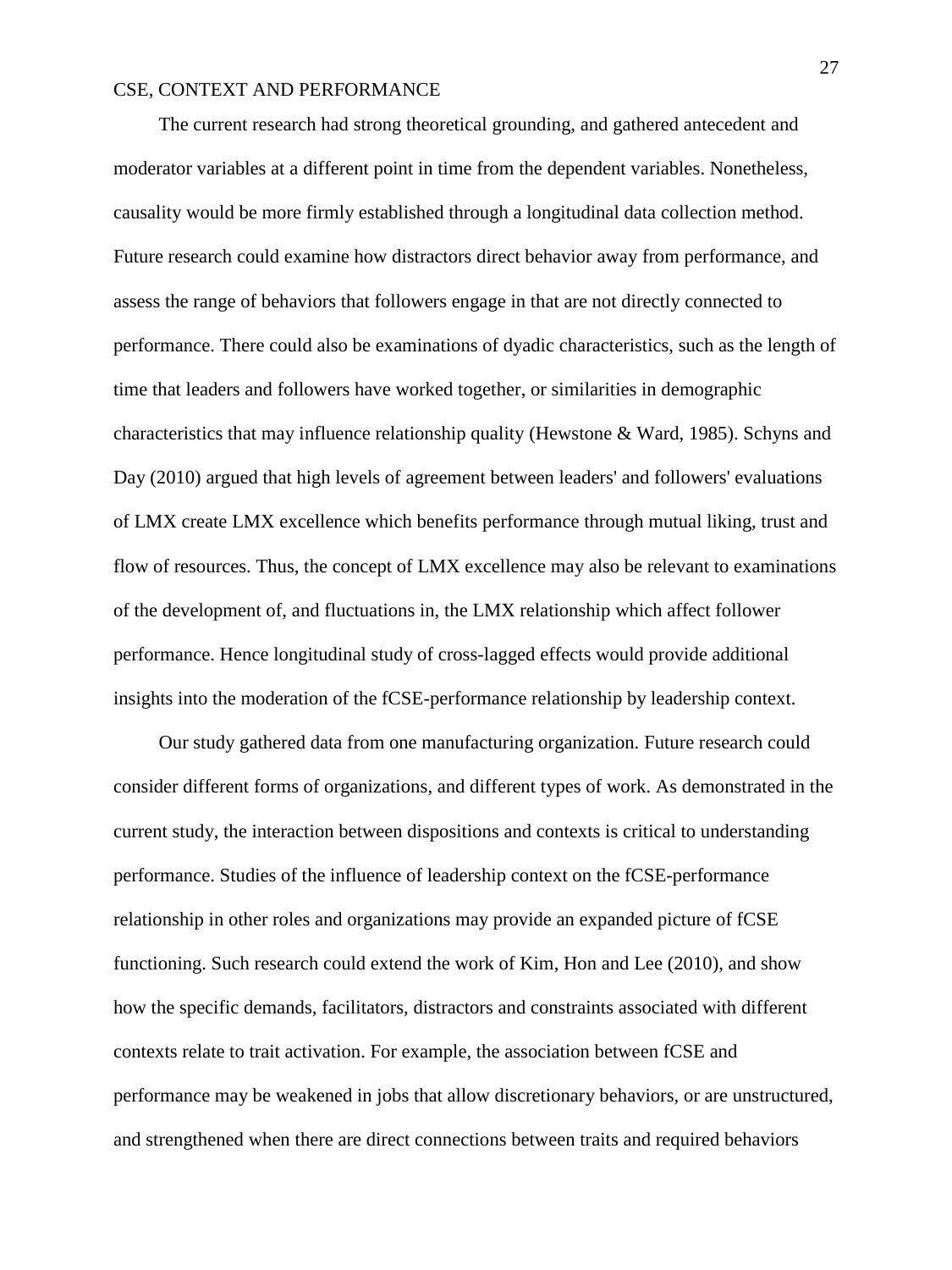The current research had strong theoretical grounding, and gathered antecedent and moderator variables at a different point in time from the dependent variables. Nonetheless, causality would be more firmly established through a longitudinal data collection method. Future research could examine how distractors direct behavior away from performance, and assess the range of behaviors that followers engage in that are not directly connected to performance. There could also be examinations of dyadic characteristics, such as the length of time that leaders and followers have worked together, or similarities in demographic characteristics that may influence relationship quality (Hewstone & Ward, 1985). Schyns and Day (2010) argued that high levels of agreement between leaders' and followers' evaluations of LMX create LMX excellence which benefits performance through mutual liking, trust and flow of resources. Thus, the concept of LMX excellence may also be relevant to examinations of the development of, and fluctuations in, the LMX relationship which affect follower performance. Hence longitudinal study of cross-lagged effects would provide additional insights into the moderation of the fCSE-performance relationship by leadership context.

Our study gathered data from one manufacturing organization. Future research could consider different forms of organizations, and different types of work. As demonstrated in the current study, the interaction between dispositions and contexts is critical to understanding performance. Studies of the influence of leadership context on the fCSE-performance relationship in other roles and organizations may provide an expanded picture of fCSE functioning. Such research could extend the work of Kim, Hon and Lee (2010), and show how the specific demands, facilitators, distractors and constraints associated with different contexts relate to trait activation. For example, the association between fCSE and performance may be weakened in jobs that allow discretionary behaviors, or are unstructured, and strengthened when there are direct connections between traits and required behaviors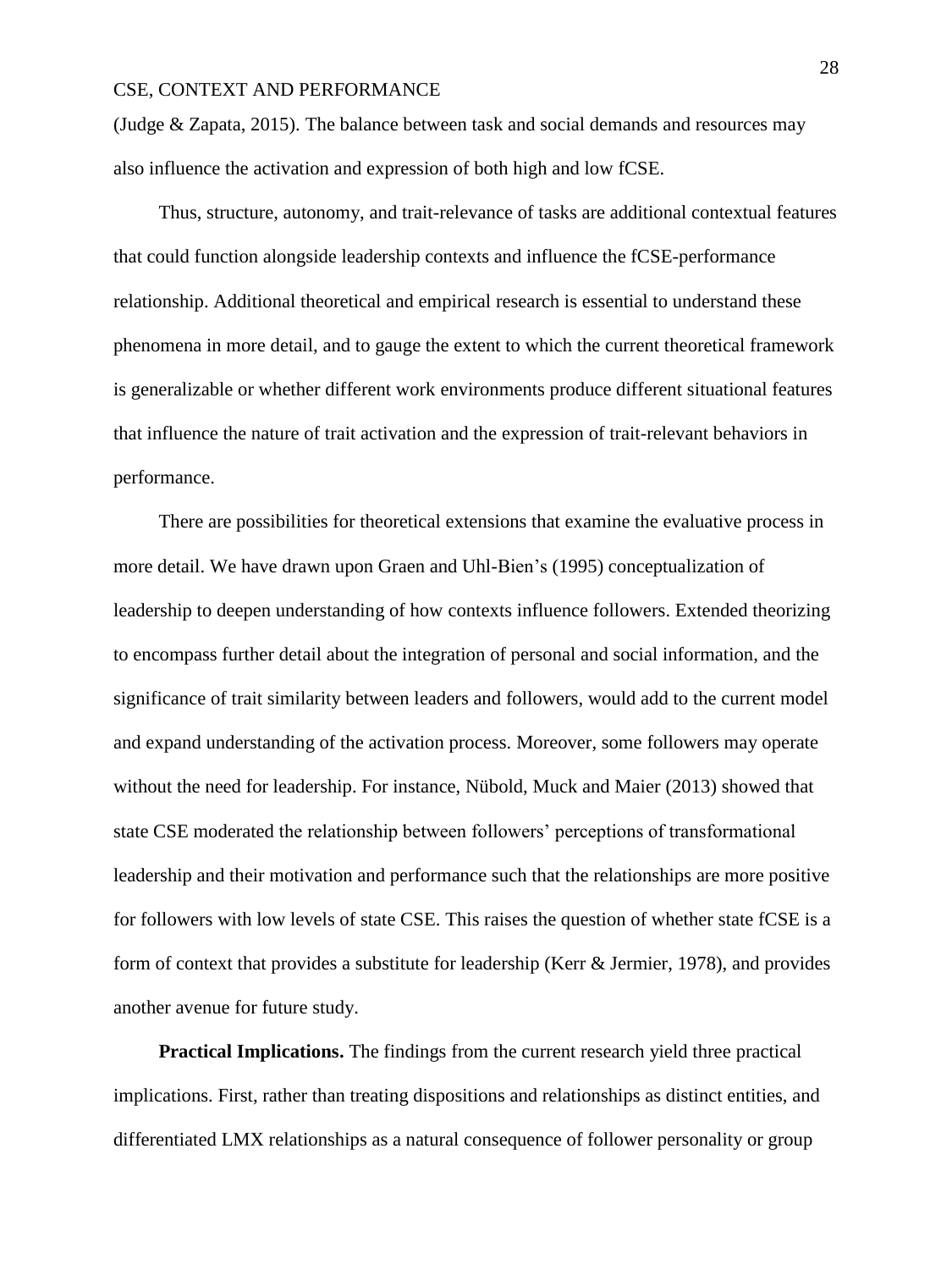(Judge & Zapata, 2015). The balance between task and social demands and resources may also influence the activation and expression of both high and low fCSE.

Thus, structure, autonomy, and trait-relevance of tasks are additional contextual features that could function alongside leadership contexts and influence the fCSE-performance relationship. Additional theoretical and empirical research is essential to understand these phenomena in more detail, and to gauge the extent to which the current theoretical framework is generalizable or whether different work environments produce different situational features that influence the nature of trait activation and the expression of trait-relevant behaviors in performance.

There are possibilities for theoretical extensions that examine the evaluative process in more detail. We have drawn upon Graen and Uhl-Bien's (1995) conceptualization of leadership to deepen understanding of how contexts influence followers. Extended theorizing to encompass further detail about the integration of personal and social information, and the significance of trait similarity between leaders and followers, would add to the current model and expand understanding of the activation process. Moreover, some followers may operate without the need for leadership. For instance, Nübold, Muck and Maier (2013) showed that state CSE moderated the relationship between followers' perceptions of transformational leadership and their motivation and performance such that the relationships are more positive for followers with low levels of state CSE. This raises the question of whether state fCSE is a form of context that provides a substitute for leadership (Kerr & Jermier, 1978), and provides another avenue for future study.

**Practical Implications.** The findings from the current research yield three practical implications. First, rather than treating dispositions and relationships as distinct entities, and differentiated LMX relationships as a natural consequence of follower personality or group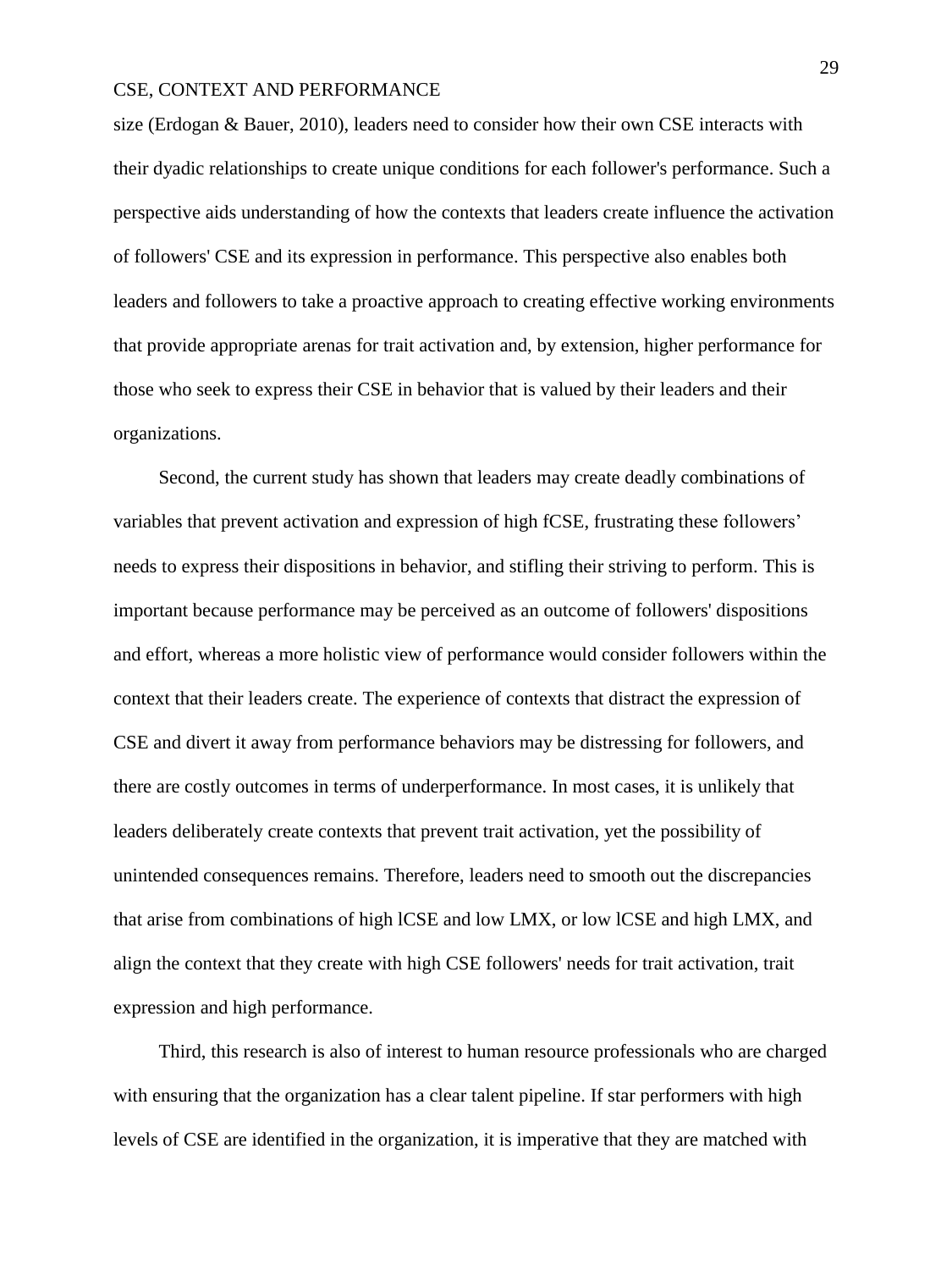size (Erdogan & Bauer, 2010), leaders need to consider how their own CSE interacts with their dyadic relationships to create unique conditions for each follower's performance. Such a perspective aids understanding of how the contexts that leaders create influence the activation of followers' CSE and its expression in performance. This perspective also enables both leaders and followers to take a proactive approach to creating effective working environments that provide appropriate arenas for trait activation and, by extension, higher performance for those who seek to express their CSE in behavior that is valued by their leaders and their organizations.

Second, the current study has shown that leaders may create deadly combinations of variables that prevent activation and expression of high fCSE, frustrating these followers' needs to express their dispositions in behavior, and stifling their striving to perform. This is important because performance may be perceived as an outcome of followers' dispositions and effort, whereas a more holistic view of performance would consider followers within the context that their leaders create. The experience of contexts that distract the expression of CSE and divert it away from performance behaviors may be distressing for followers, and there are costly outcomes in terms of underperformance. In most cases, it is unlikely that leaders deliberately create contexts that prevent trait activation, yet the possibility of unintended consequences remains. Therefore, leaders need to smooth out the discrepancies that arise from combinations of high lCSE and low LMX, or low lCSE and high LMX, and align the context that they create with high CSE followers' needs for trait activation, trait expression and high performance.

Third, this research is also of interest to human resource professionals who are charged with ensuring that the organization has a clear talent pipeline. If star performers with high levels of CSE are identified in the organization, it is imperative that they are matched with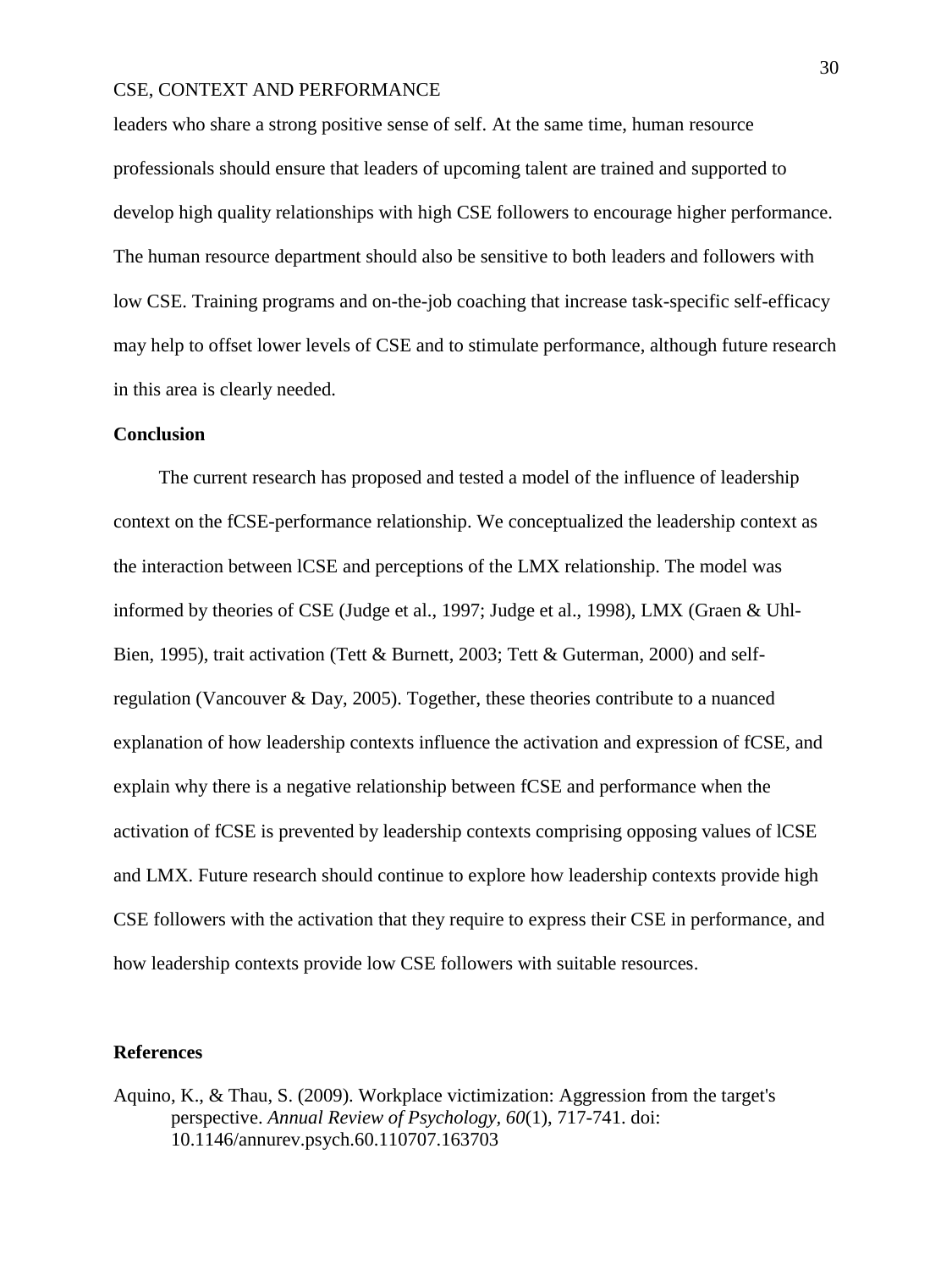leaders who share a strong positive sense of self. At the same time, human resource professionals should ensure that leaders of upcoming talent are trained and supported to develop high quality relationships with high CSE followers to encourage higher performance. The human resource department should also be sensitive to both leaders and followers with low CSE. Training programs and on-the-job coaching that increase task-specific self-efficacy may help to offset lower levels of CSE and to stimulate performance, although future research in this area is clearly needed.

## **Conclusion**

The current research has proposed and tested a model of the influence of leadership context on the fCSE-performance relationship. We conceptualized the leadership context as the interaction between lCSE and perceptions of the LMX relationship. The model was informed by theories of CSE (Judge et al., 1997; Judge et al., 1998), LMX (Graen & Uhl-Bien, 1995), trait activation (Tett & Burnett, 2003; Tett & Guterman, 2000) and selfregulation (Vancouver & Day, 2005). Together, these theories contribute to a nuanced explanation of how leadership contexts influence the activation and expression of fCSE, and explain why there is a negative relationship between fCSE and performance when the activation of fCSE is prevented by leadership contexts comprising opposing values of lCSE and LMX. Future research should continue to explore how leadership contexts provide high CSE followers with the activation that they require to express their CSE in performance, and how leadership contexts provide low CSE followers with suitable resources.

## **References**

Aquino, K., & Thau, S. (2009). Workplace victimization: Aggression from the target's perspective. *Annual Review of Psychology, 60*(1), 717-741. doi: 10.1146/annurev.psych.60.110707.163703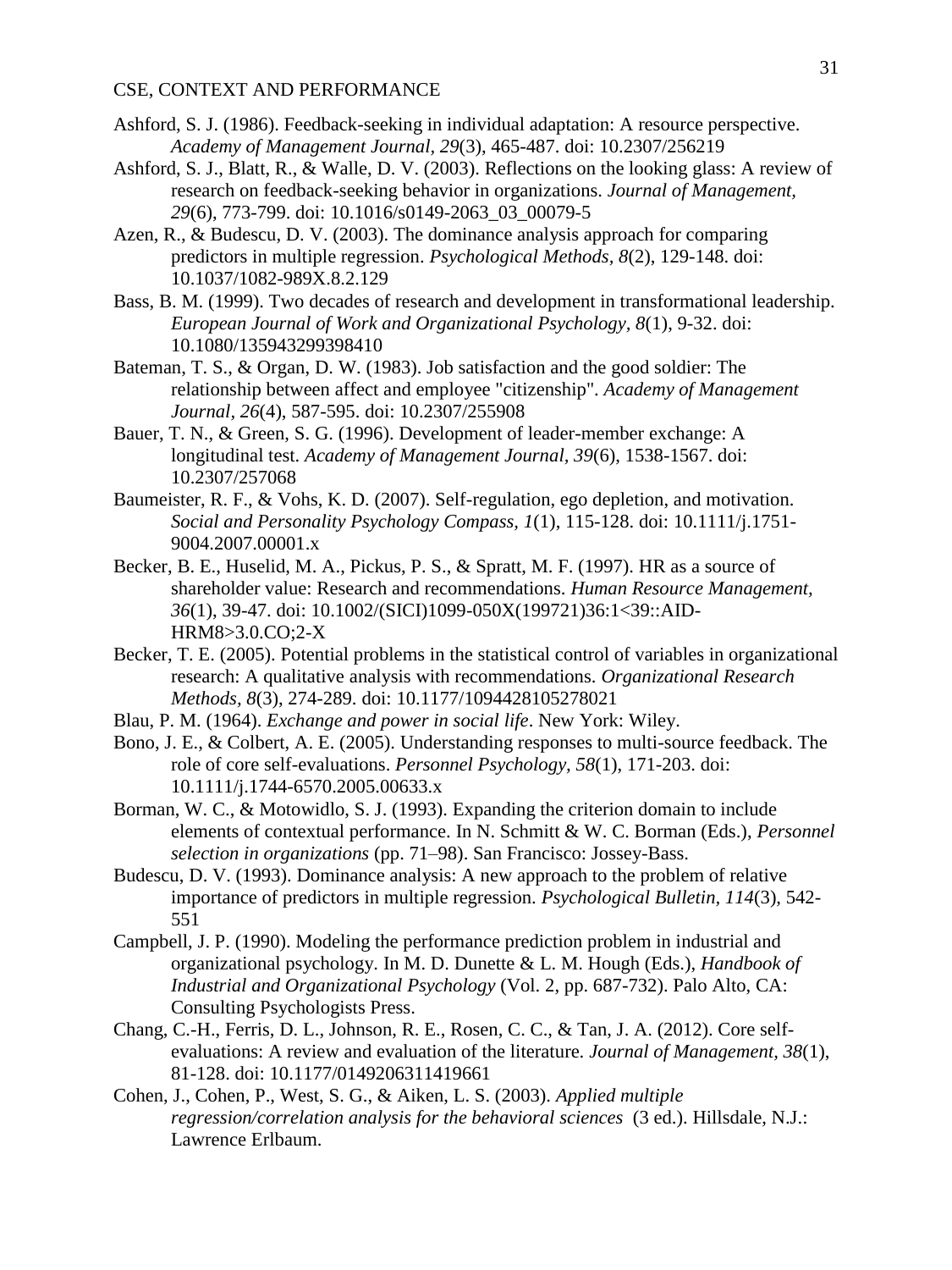- Ashford, S. J. (1986). Feedback-seeking in individual adaptation: A resource perspective. *Academy of Management Journal, 29*(3), 465-487. doi: 10.2307/256219
- Ashford, S. J., Blatt, R., & Walle, D. V. (2003). Reflections on the looking glass: A review of research on feedback-seeking behavior in organizations. *Journal of Management, 29*(6), 773-799. doi: 10.1016/s0149-2063\_03\_00079-5
- Azen, R., & Budescu, D. V. (2003). The dominance analysis approach for comparing predictors in multiple regression. *Psychological Methods, 8*(2), 129-148. doi: 10.1037/1082-989X.8.2.129
- Bass, B. M. (1999). Two decades of research and development in transformational leadership. *European Journal of Work and Organizational Psychology, 8*(1), 9-32. doi: 10.1080/135943299398410
- Bateman, T. S., & Organ, D. W. (1983). Job satisfaction and the good soldier: The relationship between affect and employee "citizenship". *Academy of Management Journal, 26*(4), 587-595. doi: 10.2307/255908
- Bauer, T. N., & Green, S. G. (1996). Development of leader-member exchange: A longitudinal test. *Academy of Management Journal, 39*(6), 1538-1567. doi: 10.2307/257068
- Baumeister, R. F., & Vohs, K. D. (2007). Self-regulation, ego depletion, and motivation. *Social and Personality Psychology Compass, 1*(1), 115-128. doi: 10.1111/j.1751- 9004.2007.00001.x
- Becker, B. E., Huselid, M. A., Pickus, P. S., & Spratt, M. F. (1997). HR as a source of shareholder value: Research and recommendations. *Human Resource Management, 36*(1), 39-47. doi: 10.1002/(SICI)1099-050X(199721)36:1<39::AID-HRM8>3.0.CO;2-X
- Becker, T. E. (2005). Potential problems in the statistical control of variables in organizational research: A qualitative analysis with recommendations. *Organizational Research Methods, 8*(3), 274-289. doi: 10.1177/1094428105278021
- Blau, P. M. (1964). *Exchange and power in social life*. New York: Wiley.
- Bono, J. E., & Colbert, A. E. (2005). Understanding responses to multi-source feedback. The role of core self-evaluations. *Personnel Psychology, 58*(1), 171-203. doi: 10.1111/j.1744-6570.2005.00633.x
- Borman, W. C., & Motowidlo, S. J. (1993). Expanding the criterion domain to include elements of contextual performance. In N. Schmitt & W. C. Borman (Eds.), *Personnel selection in organizations* (pp. 71–98). San Francisco: Jossey-Bass.
- Budescu, D. V. (1993). Dominance analysis: A new approach to the problem of relative importance of predictors in multiple regression. *Psychological Bulletin, 114*(3), 542- 551
- Campbell, J. P. (1990). Modeling the performance prediction problem in industrial and organizational psychology. In M. D. Dunette & L. M. Hough (Eds.), *Handbook of Industrial and Organizational Psychology* (Vol. 2, pp. 687-732). Palo Alto, CA: Consulting Psychologists Press.
- Chang, C.-H., Ferris, D. L., Johnson, R. E., Rosen, C. C., & Tan, J. A. (2012). Core selfevaluations: A review and evaluation of the literature. *Journal of Management, 38*(1), 81-128. doi: 10.1177/0149206311419661
- Cohen, J., Cohen, P., West, S. G., & Aiken, L. S. (2003). *Applied multiple regression/correlation analysis for the behavioral sciences* (3 ed.). Hillsdale, N.J.: Lawrence Erlbaum.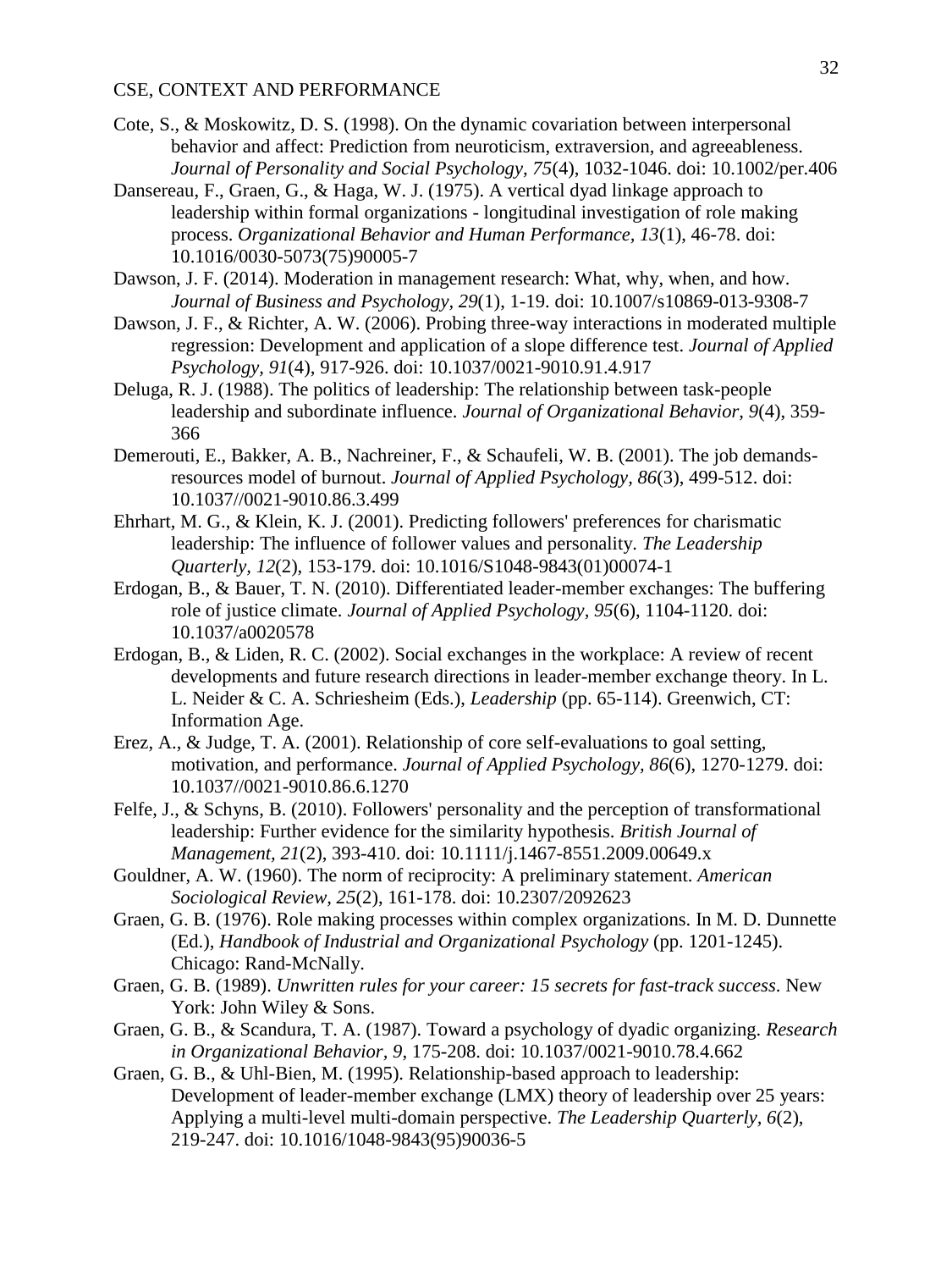- Cote, S., & Moskowitz, D. S. (1998). On the dynamic covariation between interpersonal behavior and affect: Prediction from neuroticism, extraversion, and agreeableness. *Journal of Personality and Social Psychology, 75*(4), 1032-1046. doi: 10.1002/per.406
- Dansereau, F., Graen, G., & Haga, W. J. (1975). A vertical dyad linkage approach to leadership within formal organizations - longitudinal investigation of role making process. *Organizational Behavior and Human Performance, 13*(1), 46-78. doi: 10.1016/0030-5073(75)90005-7
- Dawson, J. F. (2014). Moderation in management research: What, why, when, and how. *Journal of Business and Psychology, 29*(1), 1-19. doi: 10.1007/s10869-013-9308-7
- Dawson, J. F., & Richter, A. W. (2006). Probing three-way interactions in moderated multiple regression: Development and application of a slope difference test. *Journal of Applied Psychology, 91*(4), 917-926. doi: 10.1037/0021-9010.91.4.917
- Deluga, R. J. (1988). The politics of leadership: The relationship between task-people leadership and subordinate influence. *Journal of Organizational Behavior, 9*(4), 359- 366
- Demerouti, E., Bakker, A. B., Nachreiner, F., & Schaufeli, W. B. (2001). The job demandsresources model of burnout. *Journal of Applied Psychology, 86*(3), 499-512. doi: 10.1037//0021-9010.86.3.499
- Ehrhart, M. G., & Klein, K. J. (2001). Predicting followers' preferences for charismatic leadership: The influence of follower values and personality. *The Leadership Quarterly, 12*(2), 153-179. doi: 10.1016/S1048-9843(01)00074-1
- Erdogan, B., & Bauer, T. N. (2010). Differentiated leader-member exchanges: The buffering role of justice climate. *Journal of Applied Psychology, 95*(6), 1104-1120. doi: 10.1037/a0020578
- Erdogan, B., & Liden, R. C. (2002). Social exchanges in the workplace: A review of recent developments and future research directions in leader-member exchange theory. In L. L. Neider & C. A. Schriesheim (Eds.), *Leadership* (pp. 65-114). Greenwich, CT: Information Age.
- Erez, A., & Judge, T. A. (2001). Relationship of core self-evaluations to goal setting, motivation, and performance. *Journal of Applied Psychology, 86*(6), 1270-1279. doi: 10.1037//0021-9010.86.6.1270
- Felfe, J., & Schyns, B. (2010). Followers' personality and the perception of transformational leadership: Further evidence for the similarity hypothesis. *British Journal of Management, 21*(2), 393-410. doi: 10.1111/j.1467-8551.2009.00649.x
- Gouldner, A. W. (1960). The norm of reciprocity: A preliminary statement. *American Sociological Review, 25*(2), 161-178. doi: 10.2307/2092623
- Graen, G. B. (1976). Role making processes within complex organizations. In M. D. Dunnette (Ed.), *Handbook of Industrial and Organizational Psychology* (pp. 1201-1245). Chicago: Rand-McNally.
- Graen, G. B. (1989). *Unwritten rules for your career: 15 secrets for fast-track success*. New York: John Wiley & Sons.
- Graen, G. B., & Scandura, T. A. (1987). Toward a psychology of dyadic organizing. *Research in Organizational Behavior, 9*, 175-208. doi: 10.1037/0021-9010.78.4.662
- Graen, G. B., & Uhl-Bien, M. (1995). Relationship-based approach to leadership: Development of leader-member exchange (LMX) theory of leadership over 25 years: Applying a multi-level multi-domain perspective. *The Leadership Quarterly, 6*(2), 219-247. doi: 10.1016/1048-9843(95)90036-5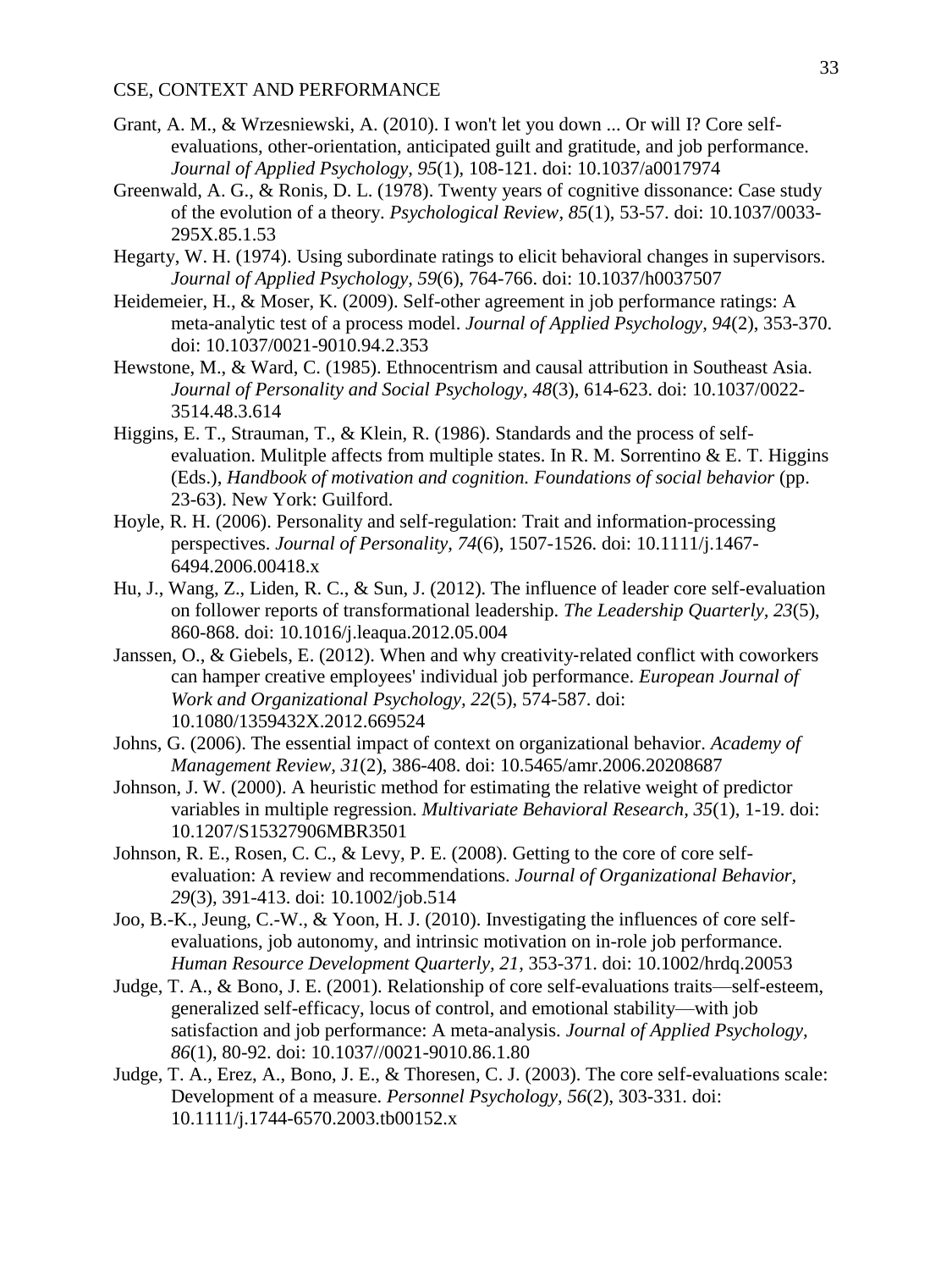- Grant, A. M., & Wrzesniewski, A. (2010). I won't let you down ... Or will I? Core selfevaluations, other-orientation, anticipated guilt and gratitude, and job performance. *Journal of Applied Psychology, 95*(1), 108-121. doi: 10.1037/a0017974
- Greenwald, A. G., & Ronis, D. L. (1978). Twenty years of cognitive dissonance: Case study of the evolution of a theory. *Psychological Review, 85*(1), 53-57. doi: 10.1037/0033- 295X.85.1.53
- Hegarty, W. H. (1974). Using subordinate ratings to elicit behavioral changes in supervisors. *Journal of Applied Psychology, 59*(6), 764-766. doi: 10.1037/h0037507
- Heidemeier, H., & Moser, K. (2009). Self-other agreement in job performance ratings: A meta-analytic test of a process model. *Journal of Applied Psychology, 94*(2), 353-370. doi: 10.1037/0021-9010.94.2.353
- Hewstone, M., & Ward, C. (1985). Ethnocentrism and causal attribution in Southeast Asia. *Journal of Personality and Social Psychology, 48*(3), 614-623. doi: 10.1037/0022- 3514.48.3.614
- Higgins, E. T., Strauman, T., & Klein, R. (1986). Standards and the process of selfevaluation. Mulitple affects from multiple states. In R. M. Sorrentino  $\&$  E. T. Higgins (Eds.), *Handbook of motivation and cognition. Foundations of social behavior* (pp. 23-63). New York: Guilford.
- Hoyle, R. H. (2006). Personality and self-regulation: Trait and information-processing perspectives. *Journal of Personality, 74*(6), 1507-1526. doi: 10.1111/j.1467- 6494.2006.00418.x
- Hu, J., Wang, Z., Liden, R. C., & Sun, J. (2012). The influence of leader core self-evaluation on follower reports of transformational leadership. *The Leadership Quarterly, 23*(5), 860-868. doi: 10.1016/j.leaqua.2012.05.004
- Janssen, O., & Giebels, E. (2012). When and why creativity‐related conflict with coworkers can hamper creative employees' individual job performance. *European Journal of Work and Organizational Psychology, 22*(5), 574-587. doi: 10.1080/1359432X.2012.669524
- Johns, G. (2006). The essential impact of context on organizational behavior. *Academy of Management Review, 31*(2), 386-408. doi: 10.5465/amr.2006.20208687
- Johnson, J. W. (2000). A heuristic method for estimating the relative weight of predictor variables in multiple regression. *Multivariate Behavioral Research, 35*(1), 1-19. doi: 10.1207/S15327906MBR3501
- Johnson, R. E., Rosen, C. C., & Levy, P. E. (2008). Getting to the core of core selfevaluation: A review and recommendations. *Journal of Organizational Behavior, 29*(3), 391-413. doi: 10.1002/job.514
- Joo, B.-K., Jeung, C.-W., & Yoon, H. J. (2010). Investigating the influences of core selfevaluations, job autonomy, and intrinsic motivation on in-role job performance. *Human Resource Development Quarterly, 21*, 353-371. doi: 10.1002/hrdq.20053
- Judge, T. A., & Bono, J. E. (2001). Relationship of core self-evaluations traits—self-esteem, generalized self-efficacy, locus of control, and emotional stability—with job satisfaction and job performance: A meta-analysis. *Journal of Applied Psychology, 86*(1), 80-92. doi: 10.1037//0021-9010.86.1.80
- Judge, T. A., Erez, A., Bono, J. E., & Thoresen, C. J. (2003). The core self-evaluations scale: Development of a measure. *Personnel Psychology, 56*(2), 303-331. doi: 10.1111/j.1744-6570.2003.tb00152.x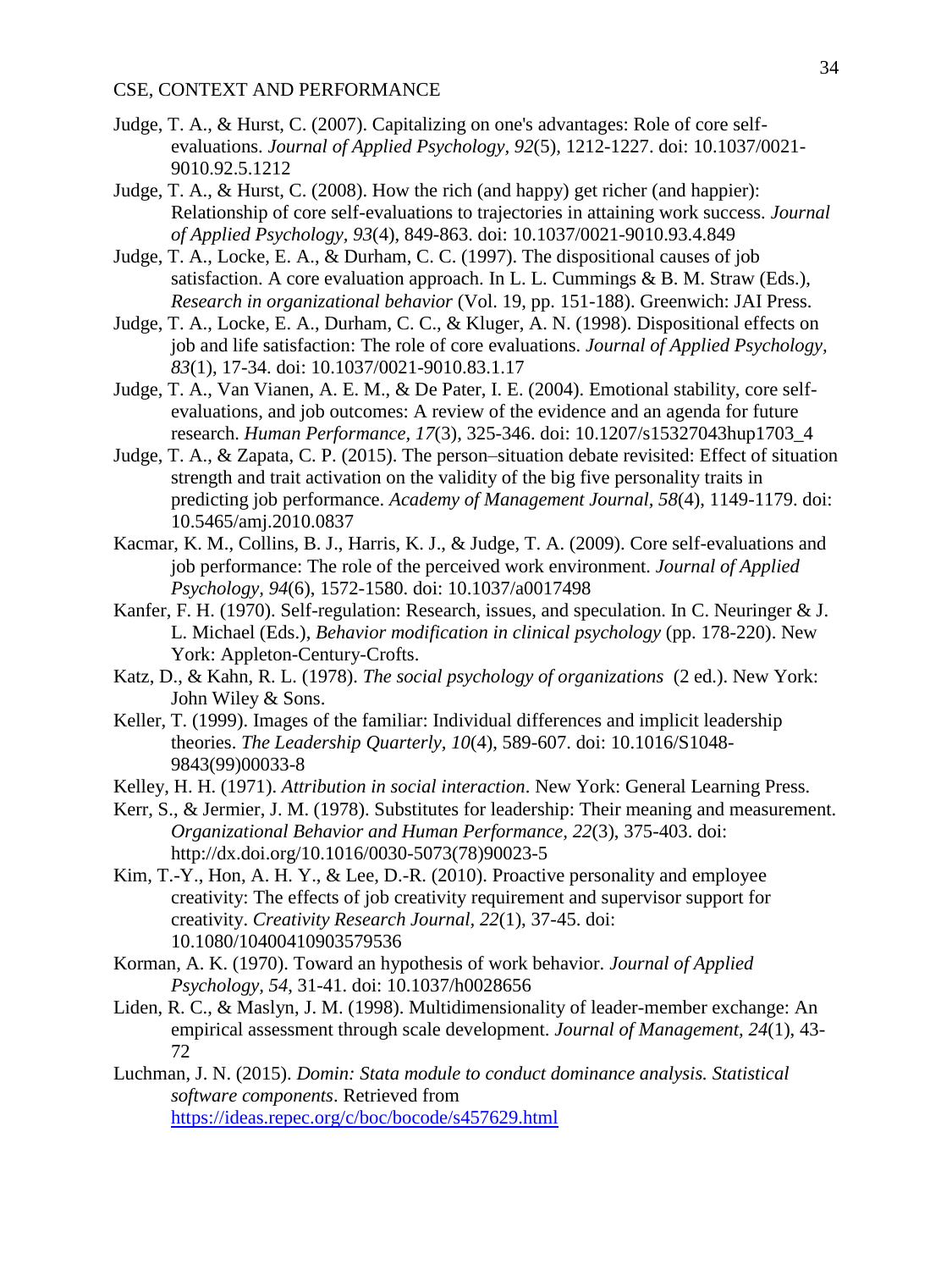- Judge, T. A., & Hurst, C. (2007). Capitalizing on one's advantages: Role of core selfevaluations. *Journal of Applied Psychology, 92*(5), 1212-1227. doi: 10.1037/0021- 9010.92.5.1212
- Judge, T. A., & Hurst, C. (2008). How the rich (and happy) get richer (and happier): Relationship of core self-evaluations to trajectories in attaining work success. *Journal of Applied Psychology, 93*(4), 849-863. doi: 10.1037/0021-9010.93.4.849
- Judge, T. A., Locke, E. A., & Durham, C. C. (1997). The dispositional causes of job satisfaction. A core evaluation approach. In L. L. Cummings  $\&$  B. M. Straw (Eds.), *Research in organizational behavior* (Vol. 19, pp. 151-188). Greenwich: JAI Press.
- Judge, T. A., Locke, E. A., Durham, C. C., & Kluger, A. N. (1998). Dispositional effects on job and life satisfaction: The role of core evaluations. *Journal of Applied Psychology, 83*(1), 17-34. doi: 10.1037/0021-9010.83.1.17
- Judge, T. A., Van Vianen, A. E. M., & De Pater, I. E. (2004). Emotional stability, core selfevaluations, and job outcomes: A review of the evidence and an agenda for future research. *Human Performance, 17*(3), 325-346. doi: 10.1207/s15327043hup1703\_4
- Judge, T. A., & Zapata, C. P. (2015). The person–situation debate revisited: Effect of situation strength and trait activation on the validity of the big five personality traits in predicting job performance. *Academy of Management Journal, 58*(4), 1149-1179. doi: 10.5465/amj.2010.0837
- Kacmar, K. M., Collins, B. J., Harris, K. J., & Judge, T. A. (2009). Core self-evaluations and job performance: The role of the perceived work environment. *Journal of Applied Psychology, 94*(6), 1572-1580. doi: 10.1037/a0017498
- Kanfer, F. H. (1970). Self-regulation: Research, issues, and speculation. In C. Neuringer & J. L. Michael (Eds.), *Behavior modification in clinical psychology* (pp. 178-220). New York: Appleton-Century-Crofts.
- Katz, D., & Kahn, R. L. (1978). *The social psychology of organizations* (2 ed.). New York: John Wiley & Sons.
- Keller, T. (1999). Images of the familiar: Individual differences and implicit leadership theories. *The Leadership Quarterly, 10*(4), 589-607. doi: 10.1016/S1048- 9843(99)00033-8
- Kelley, H. H. (1971). *Attribution in social interaction*. New York: General Learning Press.
- Kerr, S., & Jermier, J. M. (1978). Substitutes for leadership: Their meaning and measurement. *Organizational Behavior and Human Performance, 22*(3), 375-403. doi: http://dx.doi.org/10.1016/0030-5073(78)90023-5
- Kim, T.-Y., Hon, A. H. Y., & Lee, D.-R. (2010). Proactive personality and employee creativity: The effects of job creativity requirement and supervisor support for creativity. *Creativity Research Journal, 22*(1), 37-45. doi: 10.1080/10400410903579536
- Korman, A. K. (1970). Toward an hypothesis of work behavior. *Journal of Applied Psychology, 54*, 31-41. doi: 10.1037/h0028656
- Liden, R. C., & Maslyn, J. M. (1998). Multidimensionality of leader-member exchange: An empirical assessment through scale development. *Journal of Management, 24*(1), 43- 72
- Luchman, J. N. (2015). *Domin: Stata module to conduct dominance analysis. Statistical software components*. Retrieved from <https://ideas.repec.org/c/boc/bocode/s457629.html>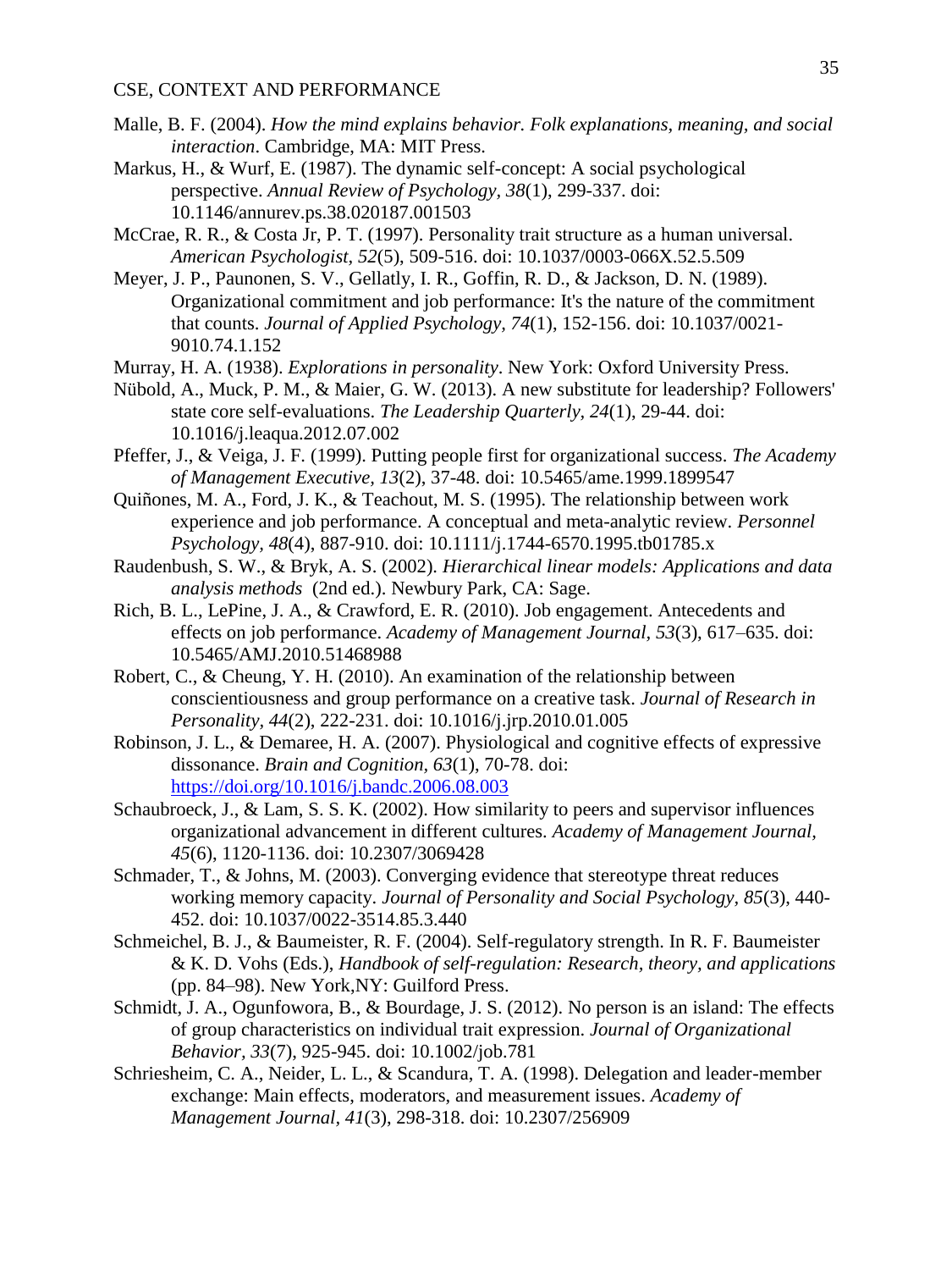- Malle, B. F. (2004). *How the mind explains behavior. Folk explanations, meaning, and social interaction*. Cambridge, MA: MIT Press.
- Markus, H., & Wurf, E. (1987). The dynamic self-concept: A social psychological perspective. *Annual Review of Psychology, 38*(1), 299-337. doi: 10.1146/annurev.ps.38.020187.001503
- McCrae, R. R., & Costa Jr, P. T. (1997). Personality trait structure as a human universal. *American Psychologist, 52*(5), 509-516. doi: 10.1037/0003-066X.52.5.509
- Meyer, J. P., Paunonen, S. V., Gellatly, I. R., Goffin, R. D., & Jackson, D. N. (1989). Organizational commitment and job performance: It's the nature of the commitment that counts. *Journal of Applied Psychology, 74*(1), 152-156. doi: 10.1037/0021- 9010.74.1.152
- Murray, H. A. (1938). *Explorations in personality*. New York: Oxford University Press.
- Nübold, A., Muck, P. M., & Maier, G. W. (2013). A new substitute for leadership? Followers' state core self-evaluations. *The Leadership Quarterly, 24*(1), 29-44. doi: 10.1016/j.leaqua.2012.07.002
- Pfeffer, J., & Veiga, J. F. (1999). Putting people first for organizational success. *The Academy of Management Executive, 13*(2), 37-48. doi: 10.5465/ame.1999.1899547
- Quiñones, M. A., Ford, J. K., & Teachout, M. S. (1995). The relationship between work experience and job performance. A conceptual and meta-analytic review. *Personnel Psychology, 48*(4), 887-910. doi: 10.1111/j.1744-6570.1995.tb01785.x
- Raudenbush, S. W., & Bryk, A. S. (2002). *Hierarchical linear models: Applications and data analysis methods* (2nd ed.). Newbury Park, CA: Sage.
- Rich, B. L., LePine, J. A., & Crawford, E. R. (2010). Job engagement. Antecedents and effects on job performance. *Academy of Management Journal, 53*(3), 617–635. doi: 10.5465/AMJ.2010.51468988
- Robert, C., & Cheung, Y. H. (2010). An examination of the relationship between conscientiousness and group performance on a creative task. *Journal of Research in Personality, 44*(2), 222-231. doi: 10.1016/j.jrp.2010.01.005
- Robinson, J. L., & Demaree, H. A. (2007). Physiological and cognitive effects of expressive dissonance. *Brain and Cognition, 63*(1), 70-78. doi: <https://doi.org/10.1016/j.bandc.2006.08.003>
- Schaubroeck, J., & Lam, S. S. K. (2002). How similarity to peers and supervisor influences organizational advancement in different cultures. *Academy of Management Journal, 45*(6), 1120-1136. doi: 10.2307/3069428
- Schmader, T., & Johns, M. (2003). Converging evidence that stereotype threat reduces working memory capacity. *Journal of Personality and Social Psychology, 85*(3), 440- 452. doi: 10.1037/0022-3514.85.3.440
- Schmeichel, B. J., & Baumeister, R. F. (2004). Self-regulatory strength. In R. F. Baumeister & K. D. Vohs (Eds.), *Handbook of self-regulation: Research, theory, and applications* (pp. 84–98). New York,NY: Guilford Press.
- Schmidt, J. A., Ogunfowora, B., & Bourdage, J. S. (2012). No person is an island: The effects of group characteristics on individual trait expression. *Journal of Organizational Behavior, 33*(7), 925-945. doi: 10.1002/job.781
- Schriesheim, C. A., Neider, L. L., & Scandura, T. A. (1998). Delegation and leader-member exchange: Main effects, moderators, and measurement issues. *Academy of Management Journal, 41*(3), 298-318. doi: 10.2307/256909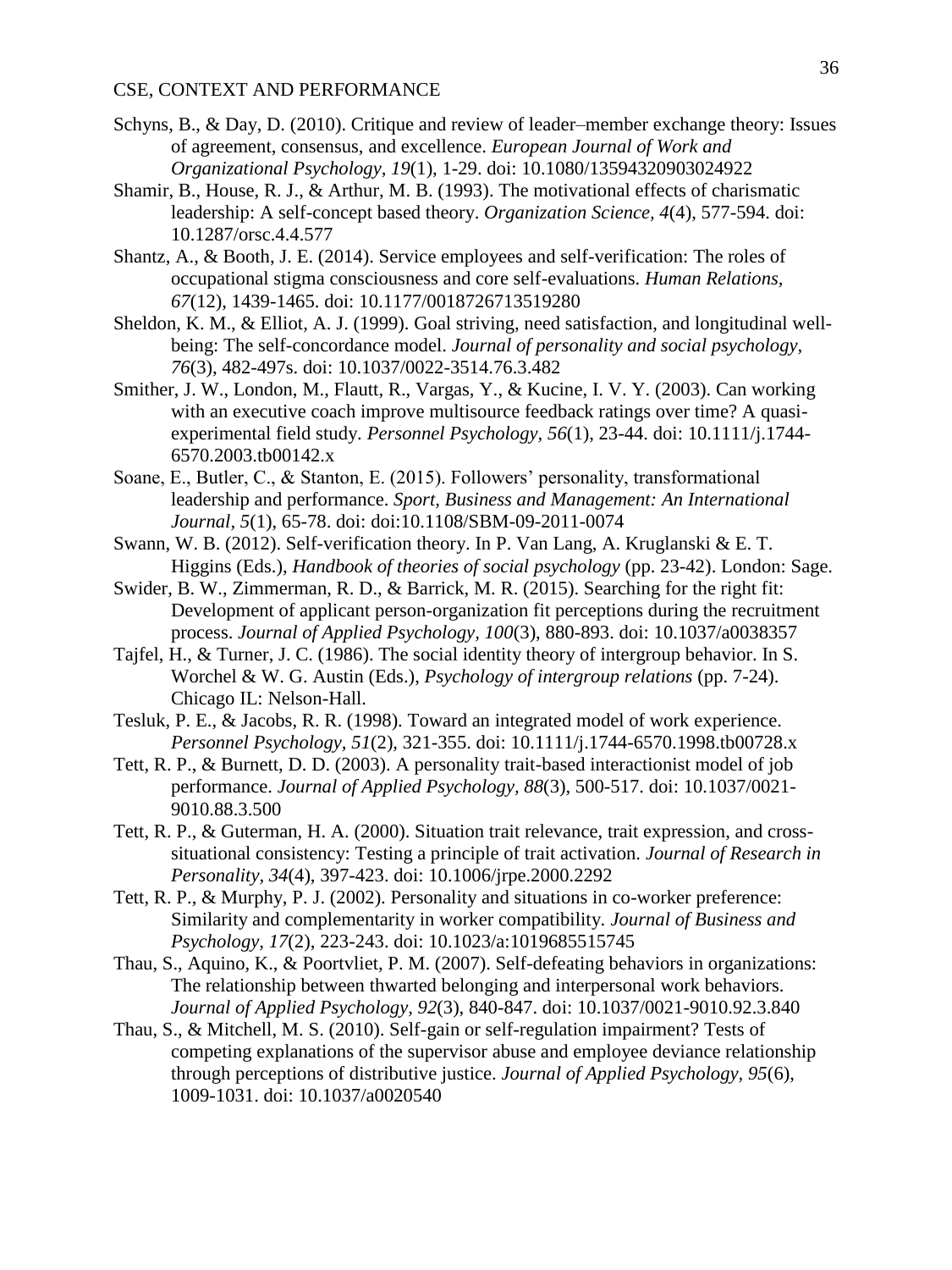- Schyns, B., & Day, D. (2010). Critique and review of leader–member exchange theory: Issues of agreement, consensus, and excellence. *European Journal of Work and Organizational Psychology, 19*(1), 1-29. doi: 10.1080/13594320903024922
- Shamir, B., House, R. J., & Arthur, M. B. (1993). The motivational effects of charismatic leadership: A self-concept based theory. *Organization Science, 4*(4), 577-594. doi: 10.1287/orsc.4.4.577
- Shantz, A., & Booth, J. E. (2014). Service employees and self-verification: The roles of occupational stigma consciousness and core self-evaluations. *Human Relations, 67*(12), 1439-1465. doi: 10.1177/0018726713519280
- Sheldon, K. M., & Elliot, A. J. (1999). Goal striving, need satisfaction, and longitudinal wellbeing: The self-concordance model. *Journal of personality and social psychology, 76*(3), 482-497s. doi: 10.1037/0022-3514.76.3.482
- Smither, J. W., London, M., Flautt, R., Vargas, Y., & Kucine, I. V. Y. (2003). Can working with an executive coach improve multisource feedback ratings over time? A quasiexperimental field study. *Personnel Psychology, 56*(1), 23-44. doi: 10.1111/j.1744- 6570.2003.tb00142.x
- Soane, E., Butler, C., & Stanton, E. (2015). Followers' personality, transformational leadership and performance. *Sport, Business and Management: An International Journal, 5*(1), 65-78. doi: doi:10.1108/SBM-09-2011-0074
- Swann, W. B. (2012). Self-verification theory. In P. Van Lang, A. Kruglanski & E. T. Higgins (Eds.), *Handbook of theories of social psychology* (pp. 23-42). London: Sage.
- Swider, B. W., Zimmerman, R. D., & Barrick, M. R. (2015). Searching for the right fit: Development of applicant person-organization fit perceptions during the recruitment process. *Journal of Applied Psychology, 100*(3), 880-893. doi: 10.1037/a0038357
- Tajfel, H., & Turner, J. C. (1986). The social identity theory of intergroup behavior. In S. Worchel & W. G. Austin (Eds.), *Psychology of intergroup relations* (pp. 7-24). Chicago IL: Nelson-Hall.
- Tesluk, P. E., & Jacobs, R. R. (1998). Toward an integrated model of work experience. *Personnel Psychology, 51*(2), 321-355. doi: 10.1111/j.1744-6570.1998.tb00728.x
- Tett, R. P., & Burnett, D. D. (2003). A personality trait-based interactionist model of job performance. *Journal of Applied Psychology, 88*(3), 500-517. doi: 10.1037/0021- 9010.88.3.500
- Tett, R. P., & Guterman, H. A. (2000). Situation trait relevance, trait expression, and crosssituational consistency: Testing a principle of trait activation. *Journal of Research in Personality, 34*(4), 397-423. doi: 10.1006/jrpe.2000.2292
- Tett, R. P., & Murphy, P. J. (2002). Personality and situations in co-worker preference: Similarity and complementarity in worker compatibility. *Journal of Business and Psychology, 17*(2), 223-243. doi: 10.1023/a:1019685515745
- Thau, S., Aquino, K., & Poortvliet, P. M. (2007). Self-defeating behaviors in organizations: The relationship between thwarted belonging and interpersonal work behaviors. *Journal of Applied Psychology, 92*(3), 840-847. doi: 10.1037/0021-9010.92.3.840
- Thau, S., & Mitchell, M. S. (2010). Self-gain or self-regulation impairment? Tests of competing explanations of the supervisor abuse and employee deviance relationship through perceptions of distributive justice. *Journal of Applied Psychology, 95*(6), 1009-1031. doi: 10.1037/a0020540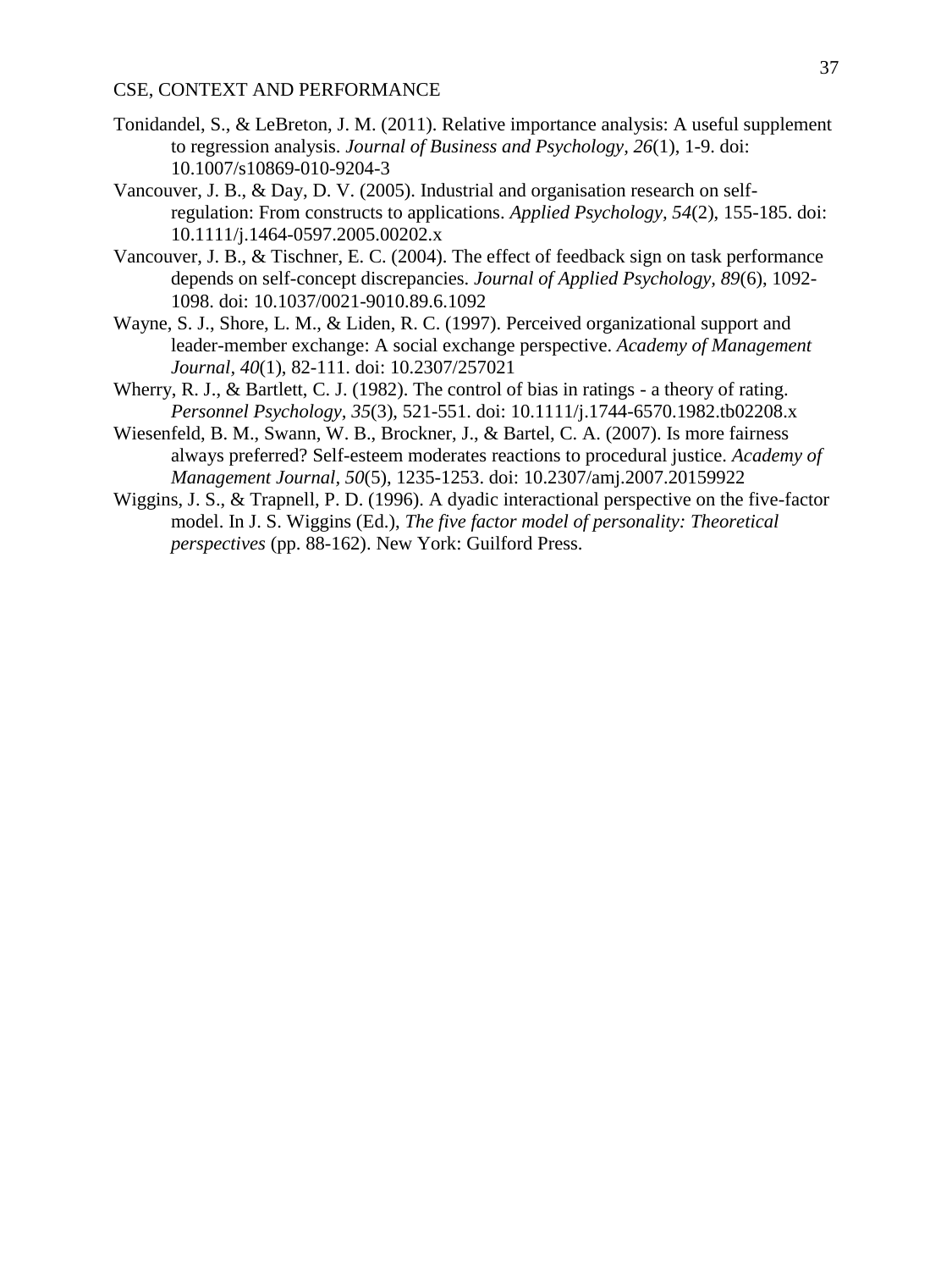- Tonidandel, S., & LeBreton, J. M. (2011). Relative importance analysis: A useful supplement to regression analysis. *Journal of Business and Psychology, 26*(1), 1-9. doi: 10.1007/s10869-010-9204-3
- Vancouver, J. B., & Day, D. V. (2005). Industrial and organisation research on selfregulation: From constructs to applications. *Applied Psychology, 54*(2), 155-185. doi: 10.1111/j.1464-0597.2005.00202.x
- Vancouver, J. B., & Tischner, E. C. (2004). The effect of feedback sign on task performance depends on self-concept discrepancies. *Journal of Applied Psychology, 89*(6), 1092- 1098. doi: 10.1037/0021-9010.89.6.1092
- Wayne, S. J., Shore, L. M., & Liden, R. C. (1997). Perceived organizational support and leader-member exchange: A social exchange perspective. *Academy of Management Journal, 40*(1), 82-111. doi: 10.2307/257021
- Wherry, R. J., & Bartlett, C. J. (1982). The control of bias in ratings a theory of rating. *Personnel Psychology, 35*(3), 521-551. doi: 10.1111/j.1744-6570.1982.tb02208.x
- Wiesenfeld, B. M., Swann, W. B., Brockner, J., & Bartel, C. A. (2007). Is more fairness always preferred? Self-esteem moderates reactions to procedural justice. *Academy of Management Journal, 50*(5), 1235-1253. doi: 10.2307/amj.2007.20159922
- Wiggins, J. S., & Trapnell, P. D. (1996). A dyadic interactional perspective on the five-factor model. In J. S. Wiggins (Ed.), *The five factor model of personality: Theoretical perspectives* (pp. 88-162). New York: Guilford Press.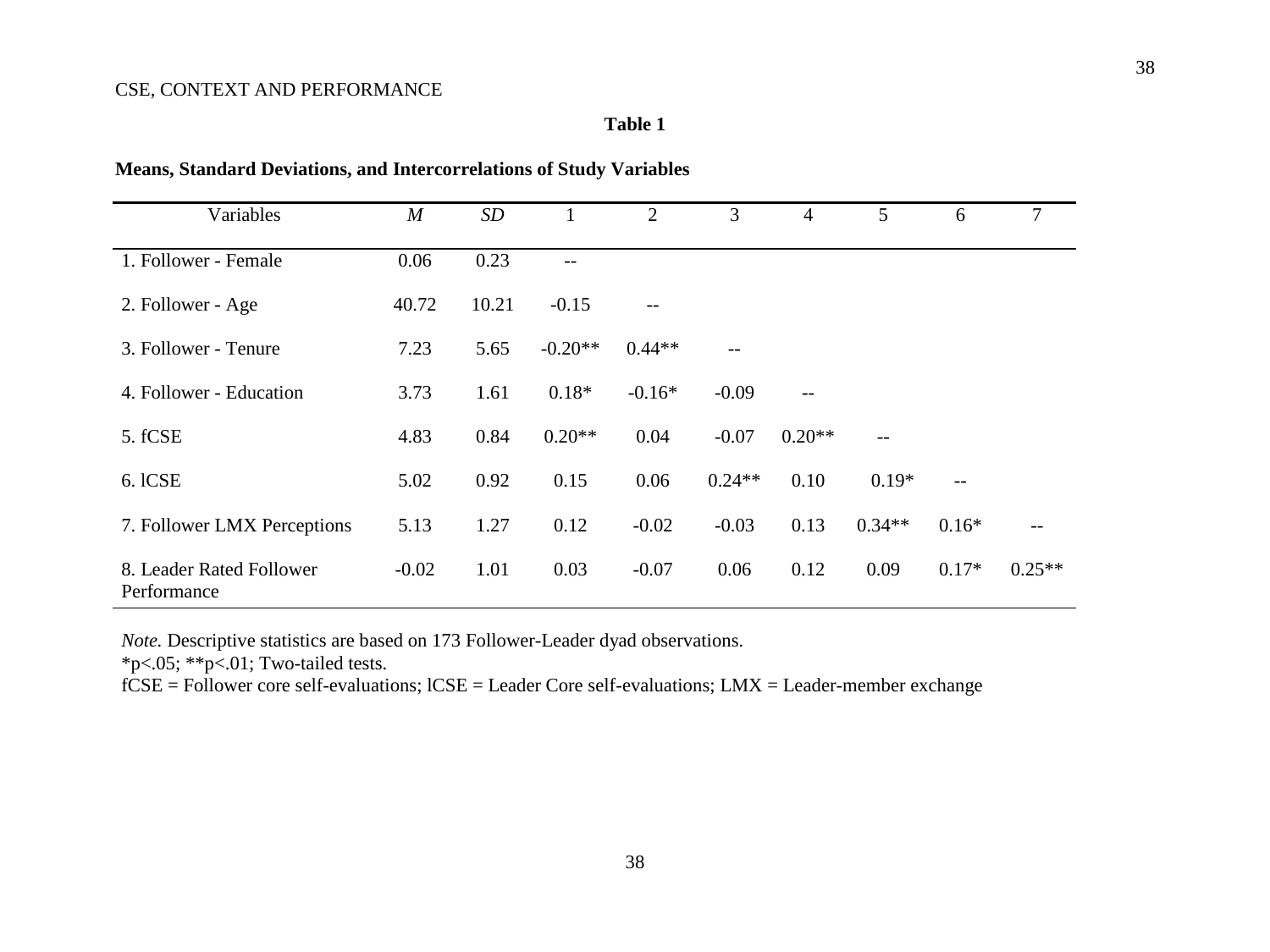## **Table 1**

| Variables                               | $\boldsymbol{M}$ | SD    | 1         | 2        | 3        | $\overline{4}$ | 5        | 6                 | $\tau$   |
|-----------------------------------------|------------------|-------|-----------|----------|----------|----------------|----------|-------------------|----------|
| 1. Follower - Female                    | 0.06             | 0.23  | --        |          |          |                |          |                   |          |
| 2. Follower - Age                       | 40.72            | 10.21 | $-0.15$   | --       |          |                |          |                   |          |
| 3. Follower - Tenure                    | 7.23             | 5.65  | $-0.20**$ | $0.44**$ | $--$     |                |          |                   |          |
| 4. Follower - Education                 | 3.73             | 1.61  | $0.18*$   | $-0.16*$ | $-0.09$  |                |          |                   |          |
| 5. fCSE                                 | 4.83             | 0.84  | $0.20**$  | 0.04     | $-0.07$  | $0.20**$       | $-$      |                   |          |
| 6. ICSE                                 | 5.02             | 0.92  | 0.15      | 0.06     | $0.24**$ | 0.10           | $0.19*$  | $\qquad \qquad -$ |          |
| 7. Follower LMX Perceptions             | 5.13             | 1.27  | 0.12      | $-0.02$  | $-0.03$  | 0.13           | $0.34**$ | $0.16*$           | $- -$    |
| 8. Leader Rated Follower<br>Performance | $-0.02$          | 1.01  | 0.03      | $-0.07$  | 0.06     | 0.12           | 0.09     | $0.17*$           | $0.25**$ |

## **Means, Standard Deviations, and Intercorrelations of Study Variables**

*Note.* Descriptive statistics are based on 173 Follower-Leader dyad observations.

 $*p<.05$ ;  $*p<.01$ ; Two-tailed tests.

fCSE = Follower core self-evaluations; lCSE = Leader Core self-evaluations; LMX = Leader-member exchange

38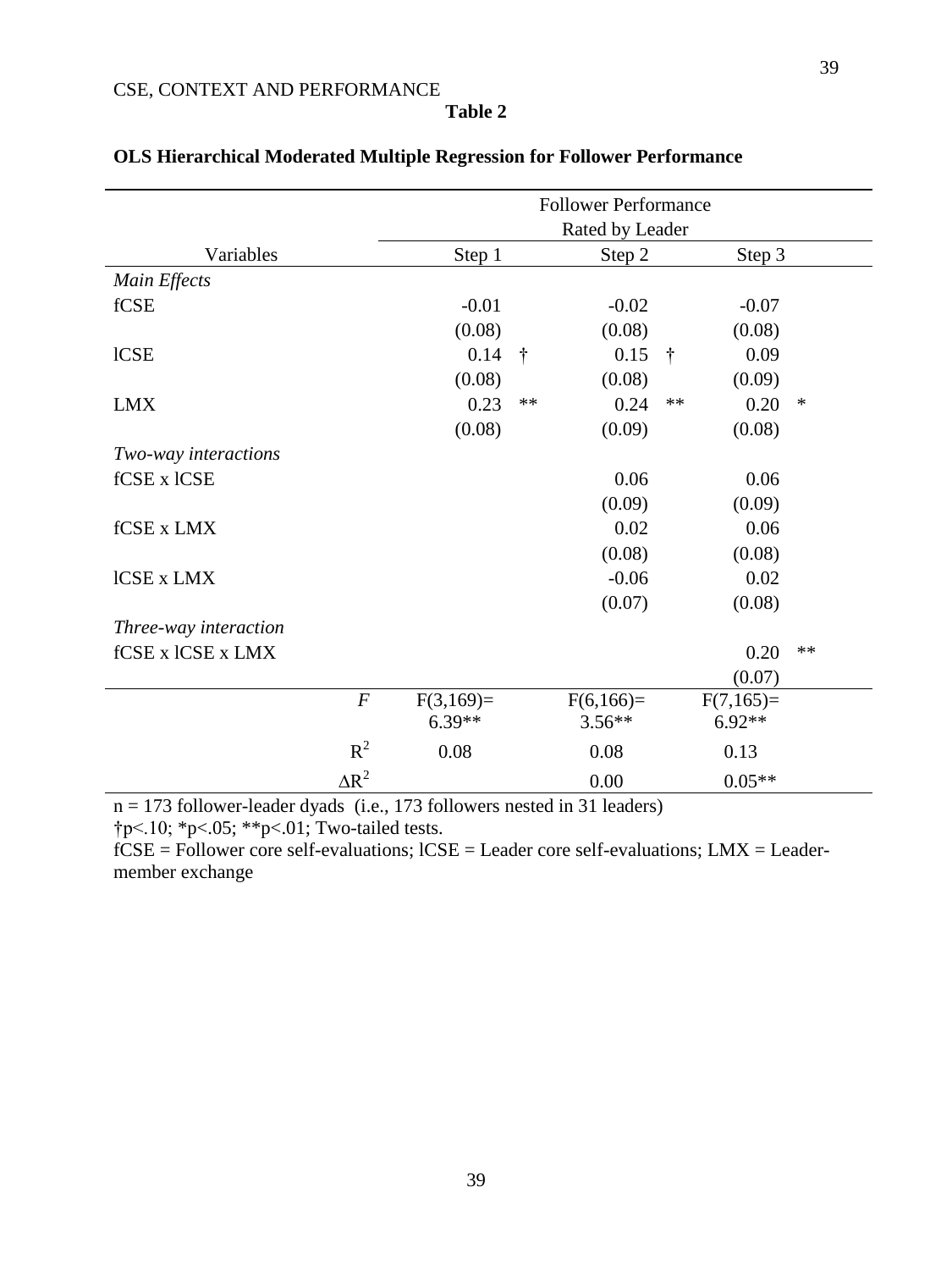|                       |                  | <b>Follower Performance</b> |               |                         |               |                         |      |  |  |  |
|-----------------------|------------------|-----------------------------|---------------|-------------------------|---------------|-------------------------|------|--|--|--|
|                       |                  | Rated by Leader             |               |                         |               |                         |      |  |  |  |
| Variables             | Step 1           |                             |               | Step 2                  |               | Step 3                  |      |  |  |  |
| Main Effects          |                  |                             |               |                         |               |                         |      |  |  |  |
| fCSE                  |                  | $-0.01$                     |               | $-0.02$                 |               | $-0.07$                 |      |  |  |  |
|                       |                  | (0.08)                      |               | (0.08)                  |               | (0.08)                  |      |  |  |  |
| <b>ICSE</b>           |                  | 0.14                        | $\ddot{\tau}$ | 0.15                    | $\ddot{\tau}$ | 0.09                    |      |  |  |  |
|                       |                  | (0.08)                      |               | (0.08)                  |               | (0.09)                  |      |  |  |  |
| <b>LMX</b>            |                  | 0.23                        | $**$          | 0.24                    | $**$          | 0.20                    | ∗    |  |  |  |
|                       |                  | (0.08)                      |               | (0.09)                  |               | (0.08)                  |      |  |  |  |
| Two-way interactions  |                  |                             |               |                         |               |                         |      |  |  |  |
| fCSE x lCSE           |                  |                             |               | 0.06                    |               | 0.06                    |      |  |  |  |
|                       |                  |                             |               | (0.09)                  |               | (0.09)                  |      |  |  |  |
| fCSE x LMX            |                  |                             |               | 0.02                    |               | 0.06                    |      |  |  |  |
|                       |                  |                             |               | (0.08)                  |               | (0.08)                  |      |  |  |  |
| ICSE x LMX            |                  |                             |               | $-0.06$                 |               | 0.02                    |      |  |  |  |
|                       |                  |                             |               | (0.07)                  |               | (0.08)                  |      |  |  |  |
| Three-way interaction |                  |                             |               |                         |               |                         |      |  |  |  |
| fCSE x lCSE x LMX     |                  |                             |               |                         |               | 0.20                    | $**$ |  |  |  |
|                       |                  |                             |               |                         |               | (0.07)                  |      |  |  |  |
|                       | $\boldsymbol{F}$ | $F(3,169)=$<br>$6.39**$     |               | $F(6,166)=$<br>$3.56**$ |               | $F(7,165)=$<br>$6.92**$ |      |  |  |  |
|                       | $R^2$            | 0.08                        |               | 0.08                    |               | 0.13                    |      |  |  |  |
|                       | $\Delta R^2$     |                             |               | 0.00                    |               | $0.05**$                |      |  |  |  |

# **OLS Hierarchical Moderated Multiple Regression for Follower Performance**

 $n = 173$  follower-leader dyads (i.e., 173 followers nested in 31 leaders)

†p<.10; \*p<.05; \*\*p<.01; Two-tailed tests.

 $fCSE =$  Follower core self-evaluations;  $lCSE =$  Leader core self-evaluations;  $LMX =$  Leadermember exchange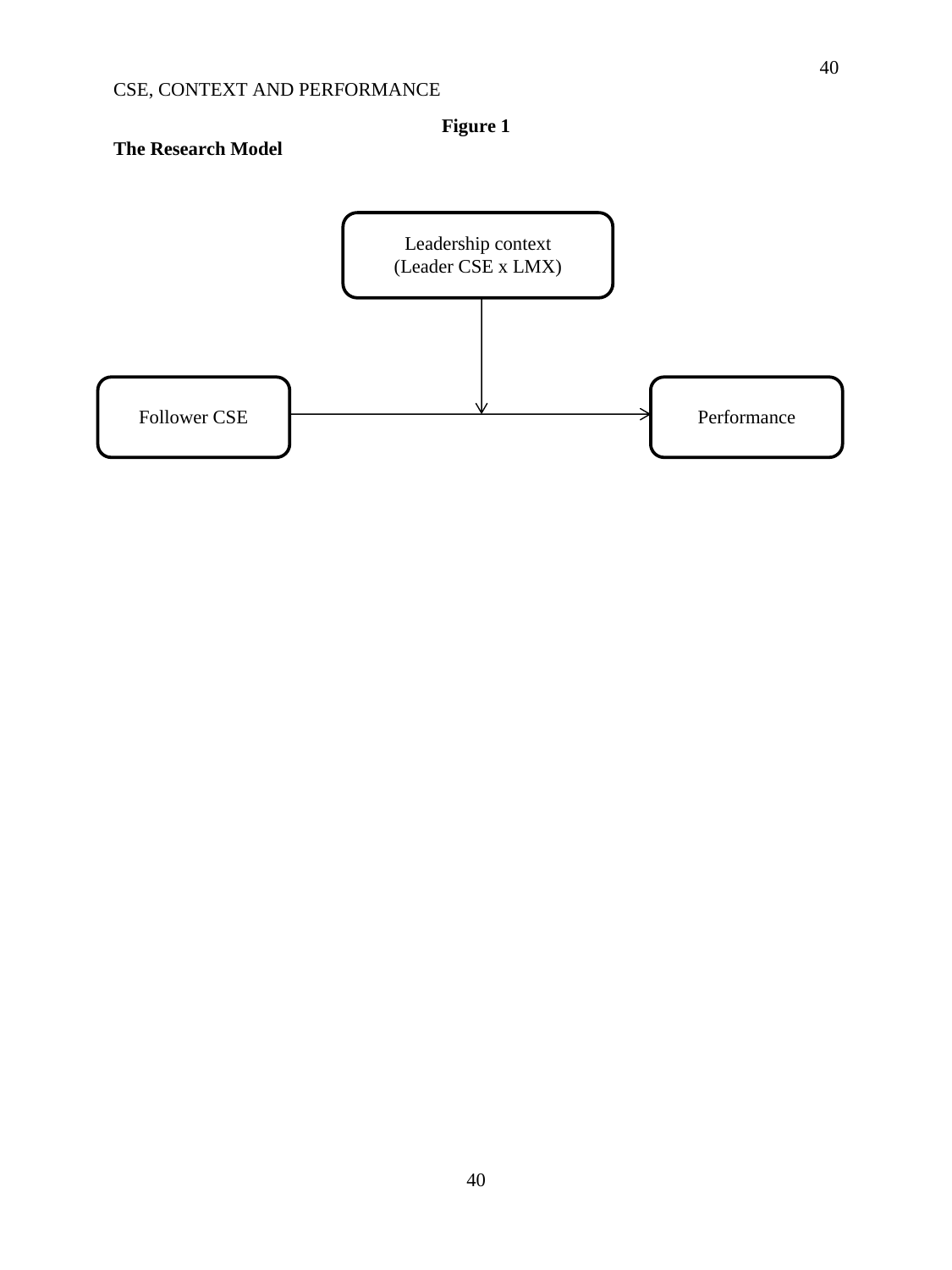**Figure 1**

# **The Research Model**